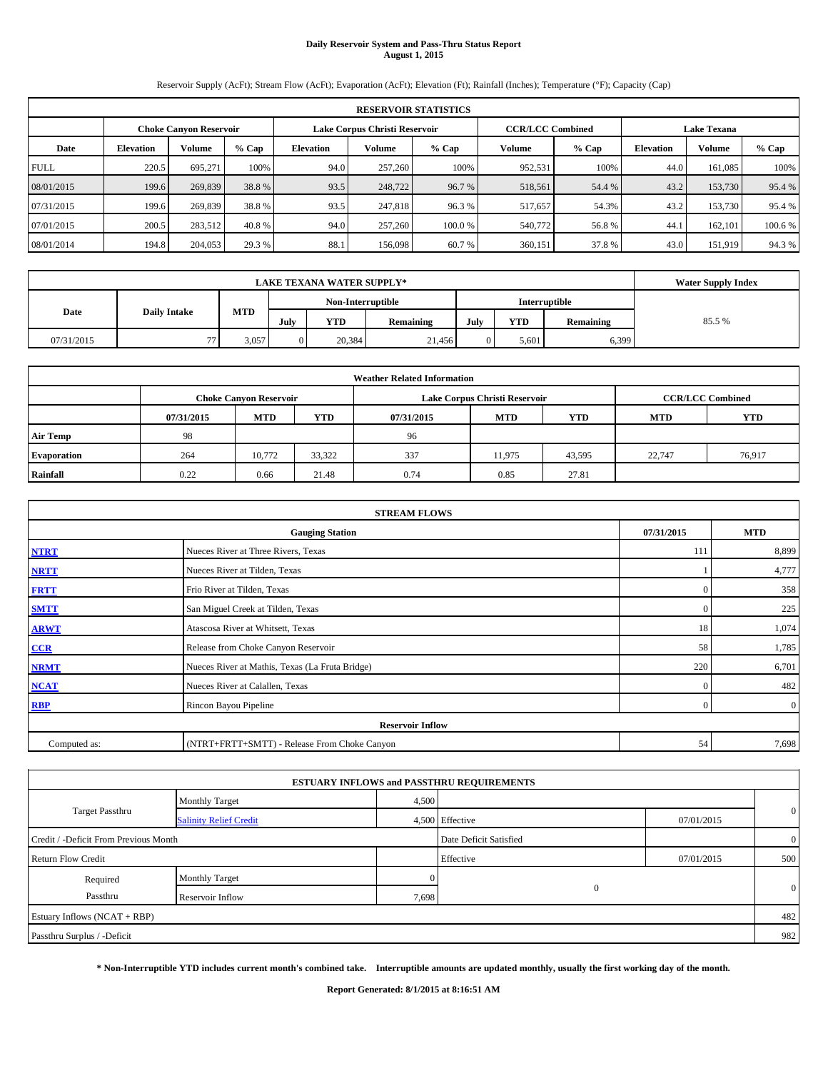# **Daily Reservoir System and Pass-Thru Status Report August 1, 2015**

Reservoir Supply (AcFt); Stream Flow (AcFt); Evaporation (AcFt); Elevation (Ft); Rainfall (Inches); Temperature (°F); Capacity (Cap)

|             | <b>RESERVOIR STATISTICS</b> |                               |         |                  |                               |         |                         |         |                    |               |         |  |
|-------------|-----------------------------|-------------------------------|---------|------------------|-------------------------------|---------|-------------------------|---------|--------------------|---------------|---------|--|
|             |                             | <b>Choke Canyon Reservoir</b> |         |                  | Lake Corpus Christi Reservoir |         | <b>CCR/LCC Combined</b> |         | <b>Lake Texana</b> |               |         |  |
| Date        | <b>Elevation</b>            | Volume                        | $%$ Cap | <b>Elevation</b> | Volume                        | $%$ Cap | Volume                  | $%$ Cap | <b>Elevation</b>   | <b>Volume</b> | % Cap   |  |
| <b>FULL</b> | 220.5                       | 695.271                       | 100%    | 94.0             | 257,260                       | 100%    | 952,531                 | 100%    | 44.0               | 161,085       | 100%    |  |
| 08/01/2015  | 199.6                       | 269,839                       | 38.8%   | 93.5             | 248,722                       | 96.7 %  | 518,561                 | 54.4 %  | 43.2               | 153,730       | 95.4 %  |  |
| 07/31/2015  | 199.6                       | 269,839                       | 38.8%   | 93.5             | 247,818                       | 96.3%   | 517,657                 | 54.3%   | 43.2               | 153,730       | 95.4 %  |  |
| 07/01/2015  | 200.5                       | 283,512                       | 40.8%   | 94.0             | 257,260                       | 100.0 % | 540,772                 | 56.8%   | 44.1               | 162,101       | 100.6 % |  |
| 08/01/2014  | 194.8                       | 204,053                       | 29.3 %  | 88.1             | 156,098                       | 60.7%   | 360,151                 | 37.8%   | 43.0               | 151,919       | 94.3 %  |  |

|            | <b>LAKE TEXANA WATER SUPPLY*</b> |                                    |      |            |           |      |       |                  |        |  |  |
|------------|----------------------------------|------------------------------------|------|------------|-----------|------|-------|------------------|--------|--|--|
|            |                                  | Non-Interruptible<br>Interruptible |      |            |           |      |       |                  |        |  |  |
| Date       | <b>Daily Intake</b>              | <b>MTD</b>                         | July | <b>YTD</b> | Remaining | July | YTD   | <b>Remaining</b> | 85.5 % |  |  |
| 07/31/2015 | $\overline{a}$                   | 3,057                              |      | 20,384     | 21,456    |      | 5,601 | 6,399            |        |  |  |

| <b>Weather Related Information</b> |            |                               |        |            |                               |                         |        |        |  |  |  |
|------------------------------------|------------|-------------------------------|--------|------------|-------------------------------|-------------------------|--------|--------|--|--|--|
|                                    |            | <b>Choke Canyon Reservoir</b> |        |            | Lake Corpus Christi Reservoir | <b>CCR/LCC Combined</b> |        |        |  |  |  |
|                                    | 07/31/2015 | <b>MTD</b>                    | YTD    | 07/31/2015 | <b>MTD</b>                    | <b>YTD</b>              |        |        |  |  |  |
| <b>Air Temp</b>                    | 98         |                               |        | 96         |                               |                         |        |        |  |  |  |
| <b>Evaporation</b>                 | 264        | 10,772                        | 33,322 | 337        | 11,975                        | 43,595                  | 22,747 | 76,917 |  |  |  |
| Rainfall                           | 0.22       | 0.66                          | 21.48  | 0.74       | 0.85                          | 27.81                   |        |        |  |  |  |

| <b>STREAM FLOWS</b>                                |                                                 |                |                |  |  |  |  |  |  |
|----------------------------------------------------|-------------------------------------------------|----------------|----------------|--|--|--|--|--|--|
| 07/31/2015<br><b>MTD</b><br><b>Gauging Station</b> |                                                 |                |                |  |  |  |  |  |  |
| <b>NTRT</b>                                        | Nueces River at Three Rivers, Texas             | 111            | 8,899          |  |  |  |  |  |  |
| <b>NRTT</b>                                        | Nueces River at Tilden, Texas                   |                | 4,777          |  |  |  |  |  |  |
| <b>FRTT</b>                                        | Frio River at Tilden, Texas                     | $\mathbf{0}$   | 358            |  |  |  |  |  |  |
| <b>SMTT</b>                                        | San Miguel Creek at Tilden, Texas               | $\mathbf{0}$   | 225            |  |  |  |  |  |  |
| <b>ARWT</b>                                        | Atascosa River at Whitsett, Texas               | 18             | 1,074          |  |  |  |  |  |  |
| CCR                                                | Release from Choke Canyon Reservoir             | 58             | 1,785          |  |  |  |  |  |  |
| <b>NRMT</b>                                        | Nueces River at Mathis, Texas (La Fruta Bridge) | 220            | 6,701          |  |  |  |  |  |  |
| <b>NCAT</b>                                        | Nueces River at Calallen, Texas                 | $\mathbf{0}$   | 482            |  |  |  |  |  |  |
| <b>RBP</b>                                         | Rincon Bayou Pipeline                           | $\overline{0}$ | $\overline{0}$ |  |  |  |  |  |  |
|                                                    | <b>Reservoir Inflow</b>                         |                |                |  |  |  |  |  |  |
| Computed as:                                       | (NTRT+FRTT+SMTT) - Release From Choke Canyon    |                |                |  |  |  |  |  |  |

|                                       |                               |       | <b>ESTUARY INFLOWS and PASSTHRU REQUIREMENTS</b> |            |                |
|---------------------------------------|-------------------------------|-------|--------------------------------------------------|------------|----------------|
|                                       | <b>Monthly Target</b>         | 4,500 |                                                  |            |                |
| <b>Target Passthru</b>                | <b>Salinity Relief Credit</b> |       | 4,500 Effective                                  | 07/01/2015 | $\mathbf{0}$   |
| Credit / -Deficit From Previous Month |                               |       | Date Deficit Satisfied                           |            | $\overline{0}$ |
| <b>Return Flow Credit</b>             |                               |       | Effective                                        | 07/01/2015 | 500            |
| Required                              | <b>Monthly Target</b>         |       |                                                  |            |                |
| Passthru                              | Reservoir Inflow              | 7,698 | $\Omega$                                         |            | $\mathbf{0}$   |
| Estuary Inflows (NCAT + RBP)          |                               |       |                                                  |            | 482            |
| Passthru Surplus / -Deficit           |                               |       |                                                  |            | 982            |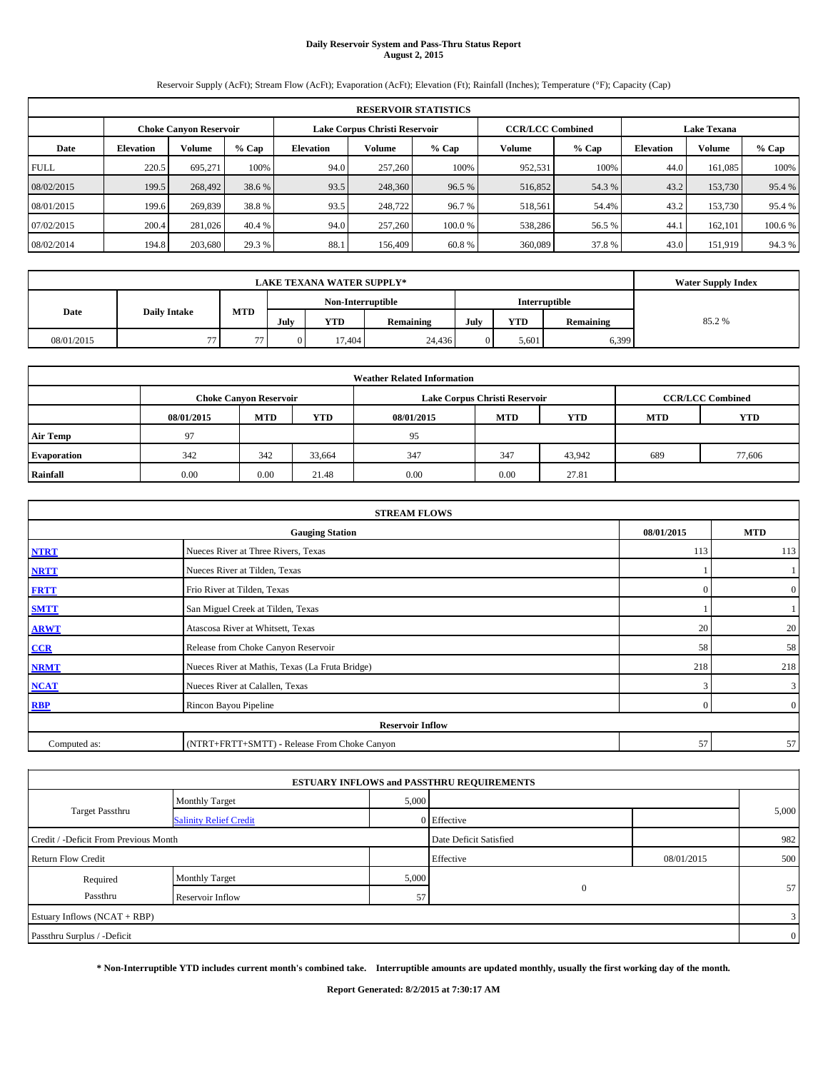# **Daily Reservoir System and Pass-Thru Status Report August 2, 2015**

Reservoir Supply (AcFt); Stream Flow (AcFt); Evaporation (AcFt); Elevation (Ft); Rainfall (Inches); Temperature (°F); Capacity (Cap)

|             | <b>RESERVOIR STATISTICS</b> |                               |         |                               |                         |         |                    |         |                  |               |         |  |  |
|-------------|-----------------------------|-------------------------------|---------|-------------------------------|-------------------------|---------|--------------------|---------|------------------|---------------|---------|--|--|
|             |                             | <b>Choke Canyon Reservoir</b> |         | Lake Corpus Christi Reservoir | <b>CCR/LCC Combined</b> |         | <b>Lake Texana</b> |         |                  |               |         |  |  |
| Date        | <b>Elevation</b>            | Volume                        | $%$ Cap | <b>Elevation</b>              | Volume                  | $%$ Cap | Volume             | $%$ Cap | <b>Elevation</b> | <b>Volume</b> | % Cap   |  |  |
| <b>FULL</b> | 220.5                       | 695.271                       | 100%    | 94.0                          | 257,260                 | 100%    | 952,531            | 100%    | 44.0             | 161,085       | 100%    |  |  |
| 08/02/2015  | 199.5                       | 268,492                       | 38.6 %  | 93.5                          | 248,360                 | 96.5 %  | 516,852            | 54.3 %  | 43.2             | 153,730       | 95.4 %  |  |  |
| 08/01/2015  | 199.6                       | 269,839                       | 38.8%   | 93.5                          | 248,722                 | 96.7 %  | 518,561            | 54.4%   | 43.2             | 153,730       | 95.4 %  |  |  |
| 07/02/2015  | 200.4                       | 281,026                       | 40.4 %  | 94.0                          | 257,260                 | 100.0 % | 538,286            | 56.5 %  | 44.1             | 162,101       | 100.6 % |  |  |
| 08/02/2014  | 194.8                       | 203,680                       | 29.3 %  | 88.1                          | 156,409                 | 60.8%   | 360,089            | 37.8%   | 43.0             | 151,919       | 94.3 %  |  |  |

|                             |                | <b>Water Supply Index</b>          |      |            |           |      |       |                  |        |
|-----------------------------|----------------|------------------------------------|------|------------|-----------|------|-------|------------------|--------|
|                             |                | Interruptible<br>Non-Interruptible |      |            |           |      |       |                  |        |
| <b>Daily Intake</b><br>Date |                | <b>MTD</b>                         | July | <b>YTD</b> | Remaining | July | YTD   | <b>Remaining</b> | 85.2 % |
| 08/01/2015                  | $\overline{a}$ | 77                                 |      | 17.404     | 24,436    |      | 5,601 | 6.399            |        |

| <b>Weather Related Information</b> |            |                               |            |            |                               |                         |            |        |  |  |  |
|------------------------------------|------------|-------------------------------|------------|------------|-------------------------------|-------------------------|------------|--------|--|--|--|
|                                    |            | <b>Choke Canyon Reservoir</b> |            |            | Lake Corpus Christi Reservoir | <b>CCR/LCC Combined</b> |            |        |  |  |  |
|                                    | 08/01/2015 | <b>MTD</b>                    | <b>YTD</b> | 08/01/2015 | <b>MTD</b>                    | <b>MTD</b>              | <b>YTD</b> |        |  |  |  |
| <b>Air Temp</b>                    | 97         |                               |            | 95         |                               |                         |            |        |  |  |  |
| <b>Evaporation</b>                 | 342        | 342                           | 33,664     | 347        | 347                           | 43,942                  | 689        | 77,606 |  |  |  |
| Rainfall                           | 0.00       | 0.00                          | 21.48      | 0.00       | 0.00                          | 27.81                   |            |        |  |  |  |

| <b>STREAM FLOWS</b> |                                                    |          |                |  |  |  |  |  |  |
|---------------------|----------------------------------------------------|----------|----------------|--|--|--|--|--|--|
|                     | 08/01/2015<br><b>MTD</b><br><b>Gauging Station</b> |          |                |  |  |  |  |  |  |
| <b>NTRT</b>         | Nueces River at Three Rivers, Texas                | 113      | 113            |  |  |  |  |  |  |
| <b>NRTT</b>         | Nueces River at Tilden, Texas                      |          |                |  |  |  |  |  |  |
| <b>FRTT</b>         | Frio River at Tilden, Texas                        | $\Omega$ | $\overline{0}$ |  |  |  |  |  |  |
| <b>SMTT</b>         | San Miguel Creek at Tilden, Texas                  |          |                |  |  |  |  |  |  |
| <b>ARWT</b>         | Atascosa River at Whitsett, Texas                  | 20       | 20             |  |  |  |  |  |  |
| CCR                 | Release from Choke Canyon Reservoir                | 58       | 58             |  |  |  |  |  |  |
| <b>NRMT</b>         | Nueces River at Mathis, Texas (La Fruta Bridge)    | 218      | 218            |  |  |  |  |  |  |
| <b>NCAT</b>         | Nueces River at Calallen, Texas                    | 3        | $\mathbf{3}$   |  |  |  |  |  |  |
| <b>RBP</b>          | Rincon Bayou Pipeline                              | $\Omega$ | $\overline{0}$ |  |  |  |  |  |  |
|                     | <b>Reservoir Inflow</b>                            |          |                |  |  |  |  |  |  |
| Computed as:        | (NTRT+FRTT+SMTT) - Release From Choke Canyon       |          |                |  |  |  |  |  |  |

|                                       |                               |       | <b>ESTUARY INFLOWS and PASSTHRU REQUIREMENTS</b> |            |                |
|---------------------------------------|-------------------------------|-------|--------------------------------------------------|------------|----------------|
|                                       | <b>Monthly Target</b>         | 5,000 |                                                  |            |                |
| <b>Target Passthru</b>                | <b>Salinity Relief Credit</b> |       | 0 Effective                                      |            | 5,000          |
| Credit / -Deficit From Previous Month |                               |       | Date Deficit Satisfied                           |            | 982            |
| <b>Return Flow Credit</b>             |                               |       | Effective                                        | 08/01/2015 | 500            |
| Required                              | <b>Monthly Target</b>         | 5,000 |                                                  |            |                |
| Passthru                              | Reservoir Inflow              | 57    | $\mathbf{0}$                                     |            | 57             |
| Estuary Inflows (NCAT + RBP)          |                               |       |                                                  |            | 3 <sub>1</sub> |
| Passthru Surplus / -Deficit           |                               |       |                                                  |            | $\overline{0}$ |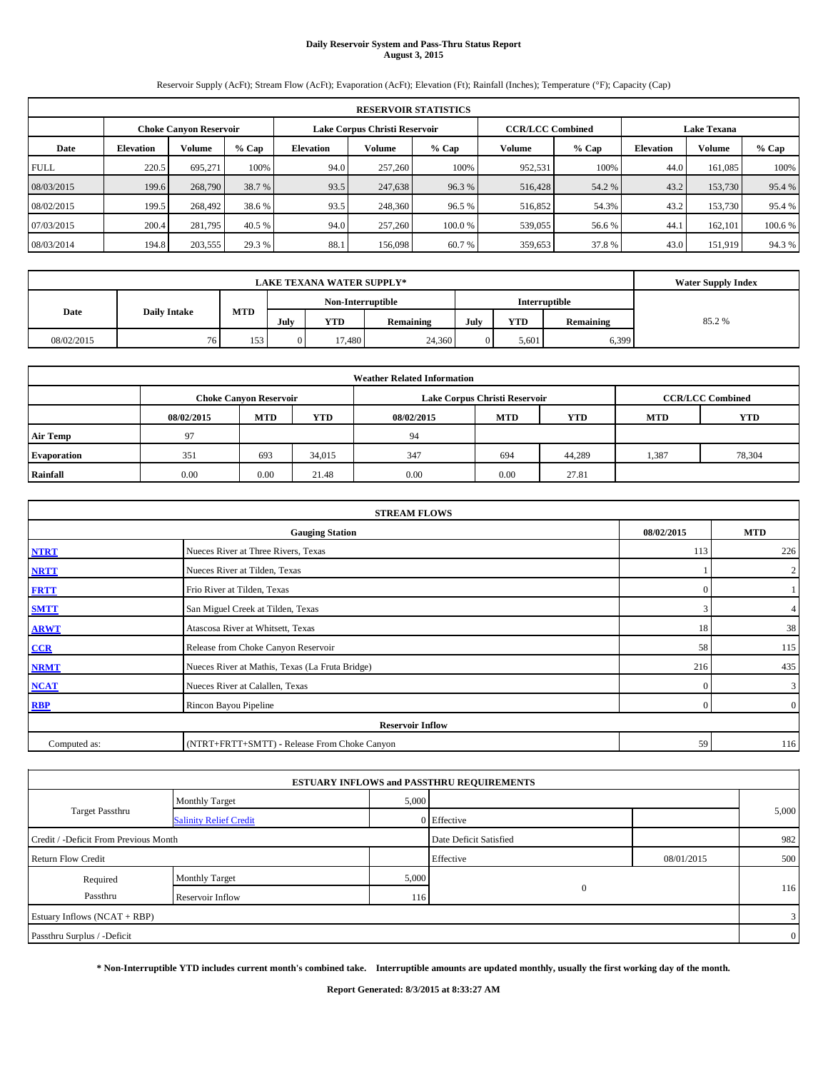## **Daily Reservoir System and Pass-Thru Status Report August 3, 2015**

Reservoir Supply (AcFt); Stream Flow (AcFt); Evaporation (AcFt); Elevation (Ft); Rainfall (Inches); Temperature (°F); Capacity (Cap)

|             | <b>RESERVOIR STATISTICS</b> |                               |                         |                    |         |         |         |         |                  |               |         |  |
|-------------|-----------------------------|-------------------------------|-------------------------|--------------------|---------|---------|---------|---------|------------------|---------------|---------|--|
|             |                             | <b>Choke Canyon Reservoir</b> | <b>CCR/LCC Combined</b> | <b>Lake Texana</b> |         |         |         |         |                  |               |         |  |
| Date        | <b>Elevation</b>            | Volume                        | $%$ Cap                 | <b>Elevation</b>   | Volume  | $%$ Cap | Volume  | $%$ Cap | <b>Elevation</b> | <b>Volume</b> | % Cap   |  |
| <b>FULL</b> | 220.5                       | 695.271                       | 100%                    | 94.0               | 257,260 | 100%    | 952,531 | 100%    | 44.0             | 161,085       | 100%    |  |
| 08/03/2015  | 199.6                       | 268,790                       | 38.7 %                  | 93.5               | 247,638 | 96.3 %  | 516,428 | 54.2 %  | 43.2             | 153,730       | 95.4 %  |  |
| 08/02/2015  | 199.5                       | 268,492                       | 38.6 %                  | 93.5               | 248,360 | 96.5 %  | 516,852 | 54.3%   | 43.2             | 153,730       | 95.4 %  |  |
| 07/03/2015  | 200.4                       | 281,795                       | 40.5 %                  | 94.0               | 257,260 | 100.0 % | 539,055 | 56.6 %  | 44.1             | 162,101       | 100.6 % |  |
| 08/03/2014  | 194.8                       | 203,555                       | 29.3 %                  | 88.1               | 156,098 | 60.7%   | 359,653 | 37.8%   | 43.0             | 151,919       | 94.3 %  |  |

|                             |    | <b>Water Supply Index</b> |                   |            |           |      |       |                  |        |
|-----------------------------|----|---------------------------|-------------------|------------|-----------|------|-------|------------------|--------|
|                             |    |                           | Non-Interruptible |            |           |      |       |                  |        |
| Date<br><b>Daily Intake</b> |    | <b>MTD</b>                | July              | <b>YTD</b> | Remaining | July | YTD   | <b>Remaining</b> | 85.2 % |
| 08/02/2015                  | 76 | 153                       |                   | 17.480     | 24,360    |      | 5,601 | 6.399            |        |

| <b>Weather Related Information</b> |            |                               |            |            |                               |                         |            |            |  |  |
|------------------------------------|------------|-------------------------------|------------|------------|-------------------------------|-------------------------|------------|------------|--|--|
|                                    |            | <b>Choke Canyon Reservoir</b> |            |            | Lake Corpus Christi Reservoir | <b>CCR/LCC Combined</b> |            |            |  |  |
|                                    | 08/02/2015 | <b>MTD</b>                    | <b>YTD</b> | 08/02/2015 | <b>MTD</b>                    | <b>YTD</b>              | <b>MTD</b> | <b>YTD</b> |  |  |
| <b>Air Temp</b>                    | 97         |                               |            | 94         |                               |                         |            |            |  |  |
| <b>Evaporation</b>                 | 351        | 693                           | 34,015     | 347        | 694                           | 44,289                  | 1,387      | 78,304     |  |  |
| Rainfall                           | 0.00       | 0.00                          | 21.48      | 0.00       | 0.00                          | 27.81                   |            |            |  |  |

| <b>STREAM FLOWS</b> |                                                 |            |                |  |  |  |  |  |  |
|---------------------|-------------------------------------------------|------------|----------------|--|--|--|--|--|--|
|                     | <b>Gauging Station</b>                          | 08/02/2015 | <b>MTD</b>     |  |  |  |  |  |  |
| <b>NTRT</b>         | Nueces River at Three Rivers, Texas             | 113        | 226            |  |  |  |  |  |  |
| <b>NRTT</b>         | Nueces River at Tilden, Texas                   |            | $\overline{2}$ |  |  |  |  |  |  |
| <b>FRTT</b>         | Frio River at Tilden, Texas                     | $\Omega$   |                |  |  |  |  |  |  |
| <b>SMTT</b>         | San Miguel Creek at Tilden, Texas               | 3          | $\overline{4}$ |  |  |  |  |  |  |
| <b>ARWT</b>         | Atascosa River at Whitsett, Texas               | 18         | 38             |  |  |  |  |  |  |
| CCR                 | Release from Choke Canyon Reservoir             | 58         | 115            |  |  |  |  |  |  |
| <b>NRMT</b>         | Nueces River at Mathis, Texas (La Fruta Bridge) | 216        | 435            |  |  |  |  |  |  |
| <b>NCAT</b>         | Nueces River at Calallen, Texas                 | $\Omega$   | $\mathbf{3}$   |  |  |  |  |  |  |
| <b>RBP</b>          | Rincon Bayou Pipeline                           | $\Omega$   | $\overline{0}$ |  |  |  |  |  |  |
|                     | <b>Reservoir Inflow</b>                         |            |                |  |  |  |  |  |  |
| Computed as:        | (NTRT+FRTT+SMTT) - Release From Choke Canyon    | 59         | 116            |  |  |  |  |  |  |

| 5,000 |                                                                                                                        |                |
|-------|------------------------------------------------------------------------------------------------------------------------|----------------|
|       |                                                                                                                        | 5,000          |
|       |                                                                                                                        | 982            |
|       | 08/01/2015                                                                                                             | 500            |
| 5,000 |                                                                                                                        | 116            |
| 116   |                                                                                                                        |                |
|       |                                                                                                                        | 3              |
|       |                                                                                                                        | $\overline{0}$ |
|       | <b>ESTUARY INFLOWS and PASSTHRU REQUIREMENTS</b><br>0 Effective<br>Date Deficit Satisfied<br>Effective<br>$\mathbf{0}$ |                |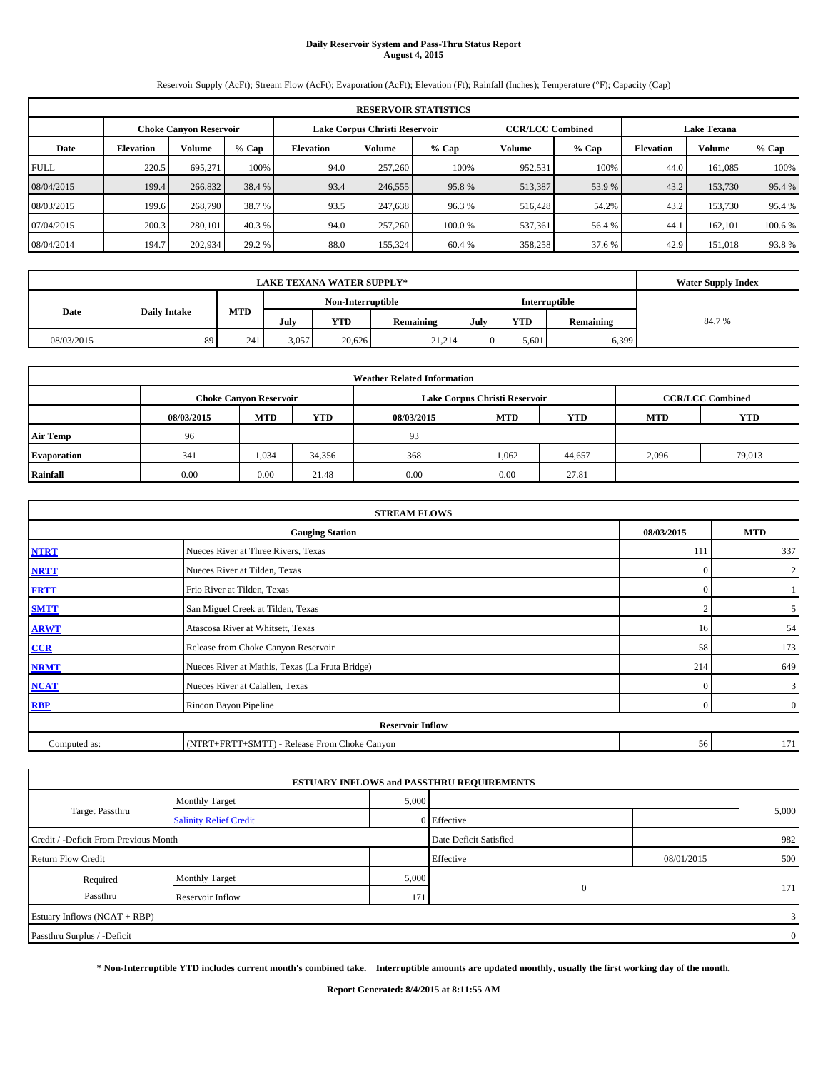# **Daily Reservoir System and Pass-Thru Status Report August 4, 2015**

Reservoir Supply (AcFt); Stream Flow (AcFt); Evaporation (AcFt); Elevation (Ft); Rainfall (Inches); Temperature (°F); Capacity (Cap)

|             | <b>RESERVOIR STATISTICS</b> |                               |         |                  |                               |         |                         |         |                    |         |         |  |
|-------------|-----------------------------|-------------------------------|---------|------------------|-------------------------------|---------|-------------------------|---------|--------------------|---------|---------|--|
|             |                             | <b>Choke Canyon Reservoir</b> |         |                  | Lake Corpus Christi Reservoir |         | <b>CCR/LCC Combined</b> |         | <b>Lake Texana</b> |         |         |  |
| Date        | <b>Elevation</b>            | Volume                        | $%$ Cap | <b>Elevation</b> | Volume                        | $%$ Cap | Volume                  | $%$ Cap | <b>Elevation</b>   | Volume  | % Cap   |  |
| <b>FULL</b> | 220.5                       | 695,271                       | 100%    | 94.0             | 257,260                       | 100%    | 952,531                 | 100%    | 44.0               | 161,085 | 100%    |  |
| 08/04/2015  | 199.4                       | 266,832                       | 38.4 %  | 93.4             | 246,555                       | 95.8%   | 513,387                 | 53.9 %  | 43.2               | 153,730 | 95.4 %  |  |
| 08/03/2015  | 199.6                       | 268,790                       | 38.7 %  | 93.5             | 247,638                       | 96.3%   | 516,428                 | 54.2%   | 43.2               | 153,730 | 95.4 %  |  |
| 07/04/2015  | 200.3                       | 280,101                       | 40.3 %  | 94.0             | 257,260                       | 100.0%  | 537,361                 | 56.4 %  | 44.1               | 162,101 | 100.6 % |  |
| 08/04/2014  | 194.7                       | 202,934                       | 29.2 %  | 88.0             | 155,324                       | 60.4 %  | 358,258                 | 37.6 %  | 42.9               | 151,018 | 93.8%   |  |

|            | <b>Water Supply Index</b> |     |                   |        |           |      |            |               |       |
|------------|---------------------------|-----|-------------------|--------|-----------|------|------------|---------------|-------|
|            |                           |     | Non-Interruptible |        |           |      |            | Interruptible |       |
| Date       | <b>Daily Intake</b>       | MTD | July              | YTD    | Remaining | July | <b>YTD</b> | Remaining     | 84.7% |
| 08/03/2015 | 89                        | 241 | 3,057             | 20.626 | 21,214    |      | 5,601      | 6,399         |       |

| <b>Weather Related Information</b> |            |                               |        |            |                               |                         |            |            |  |  |
|------------------------------------|------------|-------------------------------|--------|------------|-------------------------------|-------------------------|------------|------------|--|--|
|                                    |            | <b>Choke Canvon Reservoir</b> |        |            | Lake Corpus Christi Reservoir | <b>CCR/LCC Combined</b> |            |            |  |  |
|                                    | 08/03/2015 | <b>MTD</b>                    | YTD    | 08/03/2015 | <b>MTD</b>                    | <b>YTD</b>              | <b>MTD</b> | <b>YTD</b> |  |  |
| <b>Air Temp</b>                    | 96         |                               |        | 93         |                               |                         |            |            |  |  |
| <b>Evaporation</b>                 | 341        | 1,034                         | 34,356 | 368        | 1.062                         | 44,657                  | 2,096      | 79,013     |  |  |
| Rainfall                           | 0.00       | 0.00                          | 21.48  | 0.00       | 0.00                          | 27.81                   |            |            |  |  |

| <b>STREAM FLOWS</b> |                                                 |            |                |  |  |  |  |  |  |
|---------------------|-------------------------------------------------|------------|----------------|--|--|--|--|--|--|
|                     | <b>Gauging Station</b>                          | 08/03/2015 | <b>MTD</b>     |  |  |  |  |  |  |
| <b>NTRT</b>         | Nueces River at Three Rivers, Texas             | 111        | 337            |  |  |  |  |  |  |
| <b>NRTT</b>         | Nueces River at Tilden, Texas                   | $\Omega$   | $\overline{2}$ |  |  |  |  |  |  |
| <b>FRTT</b>         | Frio River at Tilden, Texas                     | $\Omega$   |                |  |  |  |  |  |  |
| <b>SMTT</b>         | San Miguel Creek at Tilden, Texas               |            | 5              |  |  |  |  |  |  |
| <b>ARWT</b>         | Atascosa River at Whitsett, Texas               | 16         | 54             |  |  |  |  |  |  |
| CCR                 | Release from Choke Canyon Reservoir             | 58         | 173            |  |  |  |  |  |  |
| <b>NRMT</b>         | Nueces River at Mathis, Texas (La Fruta Bridge) | 214        | 649            |  |  |  |  |  |  |
| <b>NCAT</b>         | Nueces River at Calallen, Texas                 | $\Omega$   | $\mathbf{3}$   |  |  |  |  |  |  |
| <b>RBP</b>          | Rincon Bayou Pipeline                           | $\Omega$   | $\overline{0}$ |  |  |  |  |  |  |
|                     | <b>Reservoir Inflow</b>                         |            |                |  |  |  |  |  |  |
| Computed as:        | (NTRT+FRTT+SMTT) - Release From Choke Canyon    | 56         | 171            |  |  |  |  |  |  |

| 5,000 |                                                                                                                        |                |  |
|-------|------------------------------------------------------------------------------------------------------------------------|----------------|--|
|       |                                                                                                                        | 5,000          |  |
|       |                                                                                                                        | 982            |  |
|       | 08/01/2015                                                                                                             | 500            |  |
| 5,000 |                                                                                                                        |                |  |
| 171   |                                                                                                                        | 171            |  |
|       |                                                                                                                        | 3              |  |
|       |                                                                                                                        | $\overline{0}$ |  |
|       | <b>ESTUARY INFLOWS and PASSTHRU REQUIREMENTS</b><br>0 Effective<br>Date Deficit Satisfied<br>Effective<br>$\mathbf{0}$ |                |  |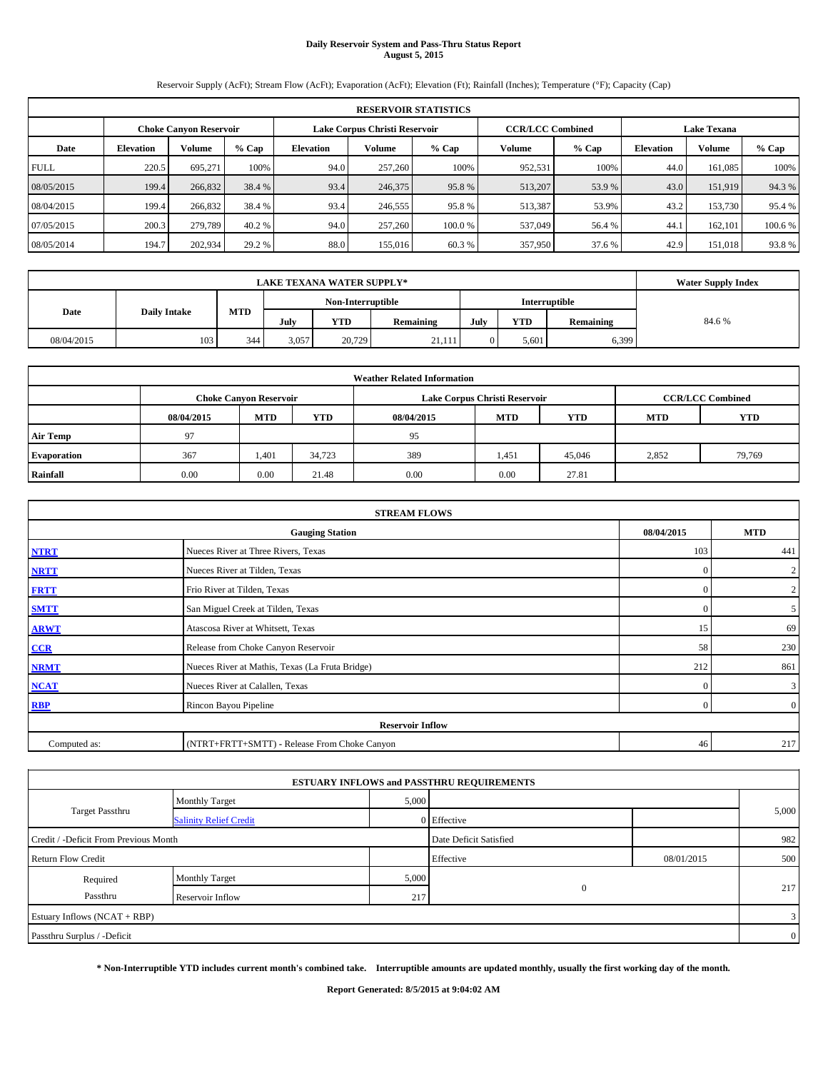## **Daily Reservoir System and Pass-Thru Status Report August 5, 2015**

Reservoir Supply (AcFt); Stream Flow (AcFt); Evaporation (AcFt); Elevation (Ft); Rainfall (Inches); Temperature (°F); Capacity (Cap)

|             | <b>RESERVOIR STATISTICS</b>   |         |         |                  |         |                                                          |         |         |                    |         |         |  |
|-------------|-------------------------------|---------|---------|------------------|---------|----------------------------------------------------------|---------|---------|--------------------|---------|---------|--|
|             | <b>Choke Canyon Reservoir</b> |         |         |                  |         | Lake Corpus Christi Reservoir<br><b>CCR/LCC Combined</b> |         |         | <b>Lake Texana</b> |         |         |  |
| Date        | <b>Elevation</b>              | Volume  | $%$ Cap | <b>Elevation</b> | Volume  | $%$ Cap                                                  | Volume  | $%$ Cap | <b>Elevation</b>   | Volume  | % Cap   |  |
| <b>FULL</b> | 220.5                         | 695,271 | 100%    | 94.0             | 257,260 | 100%                                                     | 952,531 | 100%    | 44.0               | 161,085 | 100%    |  |
| 08/05/2015  | 199.4                         | 266,832 | 38.4 %  | 93.4             | 246,375 | 95.8%                                                    | 513,207 | 53.9 %  | 43.0               | 151,919 | 94.3 %  |  |
| 08/04/2015  | 199.4                         | 266,832 | 38.4 %  | 93.4             | 246,555 | 95.8%                                                    | 513,387 | 53.9%   | 43.2               | 153,730 | 95.4 %  |  |
| 07/05/2015  | 200.3                         | 279,789 | 40.2 %  | 94.0             | 257,260 | 100.0%                                                   | 537,049 | 56.4 %  | 44.1               | 162,101 | 100.6 % |  |
| 08/05/2014  | 194.7                         | 202,934 | 29.2 %  | 88.0             | 155,016 | 60.3%                                                    | 357,950 | 37.6 %  | 42.9               | 151,018 | 93.8%   |  |

|            | <b>Water Supply Index</b> |     |                   |        |           |      |            |               |       |
|------------|---------------------------|-----|-------------------|--------|-----------|------|------------|---------------|-------|
|            |                           |     | Non-Interruptible |        |           |      |            | Interruptible |       |
| Date       | <b>Daily Intake</b>       | MTD | July              | YTD    | Remaining | July | <b>YTD</b> | Remaining     | 84.6% |
| 08/04/2015 | 103                       | 344 | 3,057             | 20,729 | 21.111    |      | 5,601      | 6,399         |       |

| <b>Weather Related Information</b> |            |                               |        |            |                               |                         |            |            |  |  |
|------------------------------------|------------|-------------------------------|--------|------------|-------------------------------|-------------------------|------------|------------|--|--|
|                                    |            | <b>Choke Canyon Reservoir</b> |        |            | Lake Corpus Christi Reservoir | <b>CCR/LCC Combined</b> |            |            |  |  |
|                                    | 08/04/2015 | <b>MTD</b>                    | YTD    | 08/04/2015 | <b>MTD</b>                    | <b>YTD</b>              | <b>MTD</b> | <b>YTD</b> |  |  |
| <b>Air Temp</b>                    | 97         |                               |        | 95         |                               |                         |            |            |  |  |
| <b>Evaporation</b>                 | 367        | 1,401                         | 34,723 | 389        | 1,451                         | 45,046                  | 2,852      | 79,769     |  |  |
| Rainfall                           | 0.00       | 0.00                          | 21.48  | 0.00       | 0.00                          | 27.81                   |            |            |  |  |

| <b>STREAM FLOWS</b> |                                                 |            |                |  |  |  |  |  |  |
|---------------------|-------------------------------------------------|------------|----------------|--|--|--|--|--|--|
|                     | <b>Gauging Station</b>                          | 08/04/2015 | <b>MTD</b>     |  |  |  |  |  |  |
| <b>NTRT</b>         | Nueces River at Three Rivers, Texas             | 103        | 441            |  |  |  |  |  |  |
| <b>NRTT</b>         | Nueces River at Tilden, Texas                   | $\Omega$   | $\overline{2}$ |  |  |  |  |  |  |
| <b>FRTT</b>         | Frio River at Tilden, Texas                     | $\Omega$   | $\overline{2}$ |  |  |  |  |  |  |
| <b>SMTT</b>         | San Miguel Creek at Tilden, Texas               | $\Omega$   | 5 <sup>5</sup> |  |  |  |  |  |  |
| <b>ARWT</b>         | Atascosa River at Whitsett, Texas               | 15         | 69             |  |  |  |  |  |  |
| CCR                 | Release from Choke Canyon Reservoir             | 58         | 230            |  |  |  |  |  |  |
| <b>NRMT</b>         | Nueces River at Mathis, Texas (La Fruta Bridge) | 212        | 861            |  |  |  |  |  |  |
| <b>NCAT</b>         | Nueces River at Calallen, Texas                 | $\Omega$   | $\mathbf{3}$   |  |  |  |  |  |  |
| <b>RBP</b>          | Rincon Bayou Pipeline                           | $\Omega$   | $\overline{0}$ |  |  |  |  |  |  |
|                     | <b>Reservoir Inflow</b>                         |            |                |  |  |  |  |  |  |
| Computed as:        | (NTRT+FRTT+SMTT) - Release From Choke Canyon    | 46         | 217            |  |  |  |  |  |  |

|                                       |                               |       | <b>ESTUARY INFLOWS and PASSTHRU REQUIREMENTS</b> |            |                |
|---------------------------------------|-------------------------------|-------|--------------------------------------------------|------------|----------------|
|                                       | <b>Monthly Target</b>         | 5,000 |                                                  |            |                |
| <b>Target Passthru</b>                | <b>Salinity Relief Credit</b> |       | 0 Effective                                      |            | 5,000          |
| Credit / -Deficit From Previous Month |                               |       | Date Deficit Satisfied                           |            | 982            |
| <b>Return Flow Credit</b>             |                               |       | Effective                                        | 08/01/2015 | 500            |
| Required                              | <b>Monthly Target</b>         | 5,000 |                                                  |            |                |
| Passthru                              | Reservoir Inflow              | 217   | $\mathbf{0}$                                     |            | 217            |
| Estuary Inflows (NCAT + RBP)          |                               |       |                                                  |            | 3              |
| Passthru Surplus / -Deficit           |                               |       |                                                  |            | $\overline{0}$ |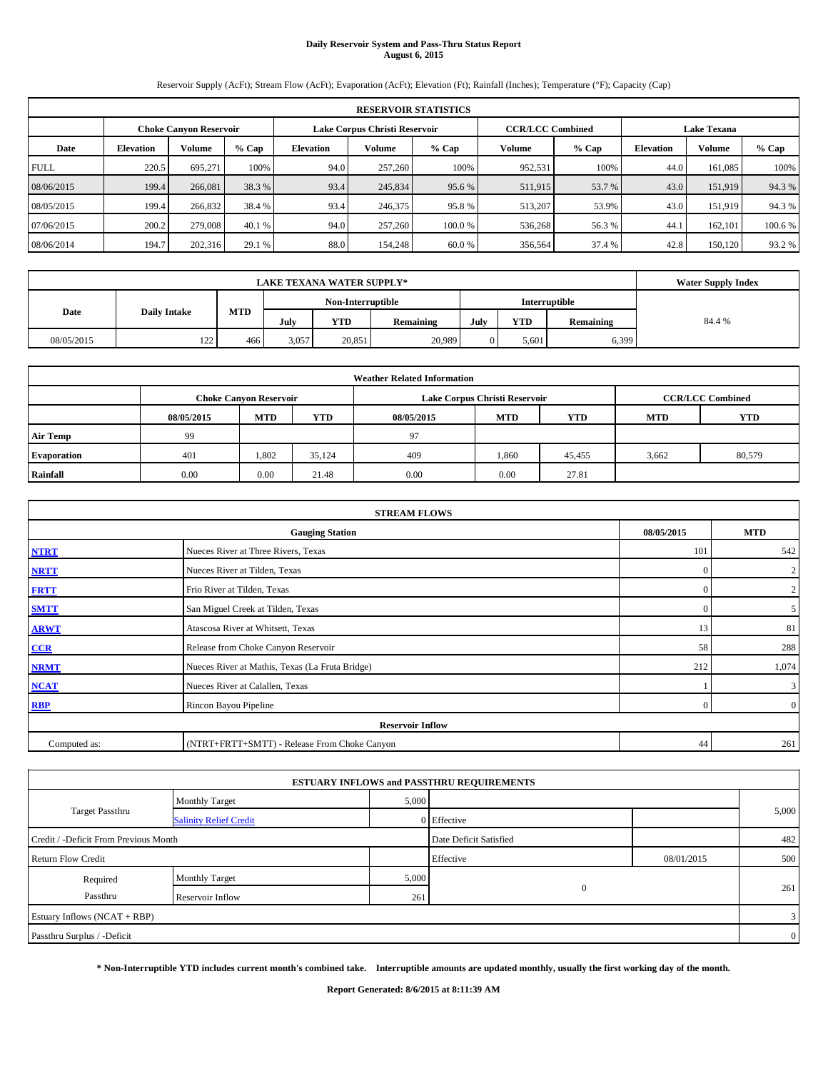# **Daily Reservoir System and Pass-Thru Status Report August 6, 2015**

Reservoir Supply (AcFt); Stream Flow (AcFt); Evaporation (AcFt); Elevation (Ft); Rainfall (Inches); Temperature (°F); Capacity (Cap)

|             | <b>RESERVOIR STATISTICS</b> |                        |         |                  |                               |        |                                               |         |                  |               |         |  |  |
|-------------|-----------------------------|------------------------|---------|------------------|-------------------------------|--------|-----------------------------------------------|---------|------------------|---------------|---------|--|--|
|             |                             | Choke Canvon Reservoir |         |                  | Lake Corpus Christi Reservoir |        | <b>CCR/LCC Combined</b><br><b>Lake Texana</b> |         |                  |               |         |  |  |
| Date        | <b>Elevation</b>            | Volume                 | $%$ Cap | <b>Elevation</b> | Volume                        | % Cap  | <b>Volume</b>                                 | $%$ Cap | <b>Elevation</b> | <b>Volume</b> | % Cap   |  |  |
| <b>FULL</b> | 220.5                       | 695.271                | 100%    | 94.0             | 257,260                       | 100%   | 952,531                                       | 100%    | 44.0             | 161.085       | 100%    |  |  |
| 08/06/2015  | 199.4                       | 266,081                | 38.3 %  | 93.4             | 245,834                       | 95.6 % | 511,915                                       | 53.7 %  | 43.0             | 151.919       | 94.3%   |  |  |
| 08/05/2015  | 199.4                       | 266,832                | 38.4 %  | 93.4             | 246,375                       | 95.8%  | 513.207                                       | 53.9%   | 43.0             | 151.919       | 94.3%   |  |  |
| 07/06/2015  | 200.2                       | 279,008                | 40.1 %  | 94.0             | 257,260                       | 100.0% | 536,268                                       | 56.3 %  | 44.              | 162,101       | 100.6 % |  |  |
| 08/06/2014  | 194.7                       | 202,316                | 29.1 %  | 88.0             | 154,248                       | 60.0%  | 356,564                                       | 37.4 %  | 42.8             | 150.120       | 93.2 %  |  |  |

|            | <b>Water Supply Index</b> |                   |                 |     |               |        |            |           |        |
|------------|---------------------------|-------------------|-----------------|-----|---------------|--------|------------|-----------|--------|
|            |                           | Non-Interruptible |                 |     | Interruptible |        |            |           |        |
| Date       | <b>Daily Intake</b>       | MTD               | July            | YTD | Remaining     | July   | <b>YTD</b> | Remaining | 84.4 % |
| 08/05/2015 | 122                       | 466               | 20,851<br>3,057 |     |               | 20,989 | 5.601      | 6,399     |        |

| <b>Weather Related Information</b> |            |                               |        |            |                               |                         |            |        |  |  |  |
|------------------------------------|------------|-------------------------------|--------|------------|-------------------------------|-------------------------|------------|--------|--|--|--|
|                                    |            | <b>Choke Canyon Reservoir</b> |        |            | Lake Corpus Christi Reservoir | <b>CCR/LCC Combined</b> |            |        |  |  |  |
|                                    | 08/05/2015 | <b>MTD</b>                    | YTD    | 08/05/2015 | <b>MTD</b>                    | <b>MTD</b>              | <b>YTD</b> |        |  |  |  |
| <b>Air Temp</b>                    | 99         |                               |        | 97         |                               |                         |            |        |  |  |  |
| <b>Evaporation</b>                 | 401        | 1.802                         | 35,124 | 409        | 1,860                         | 45,455                  | 3,662      | 80,579 |  |  |  |
| Rainfall                           | 0.00       | 0.00                          | 21.48  | 0.00       | 0.00                          | 27.81                   |            |        |  |  |  |

| <b>STREAM FLOWS</b> |                                                 |          |                |  |  |  |  |  |  |
|---------------------|-------------------------------------------------|----------|----------------|--|--|--|--|--|--|
|                     | <b>Gauging Station</b>                          |          |                |  |  |  |  |  |  |
| <b>NTRT</b>         | Nueces River at Three Rivers, Texas             |          |                |  |  |  |  |  |  |
| <b>NRTT</b>         | Nueces River at Tilden, Texas                   | $\Omega$ | $\overline{2}$ |  |  |  |  |  |  |
| <b>FRTT</b>         | Frio River at Tilden, Texas                     | $\Omega$ | $\overline{2}$ |  |  |  |  |  |  |
| <b>SMTT</b>         | San Miguel Creek at Tilden, Texas               | $\Omega$ | 5 <sup>5</sup> |  |  |  |  |  |  |
| <b>ARWT</b>         | Atascosa River at Whitsett, Texas               | 13       | 81             |  |  |  |  |  |  |
| CCR                 | Release from Choke Canyon Reservoir             | 58       | 288            |  |  |  |  |  |  |
| <b>NRMT</b>         | Nueces River at Mathis, Texas (La Fruta Bridge) | 212      | 1,074          |  |  |  |  |  |  |
| <b>NCAT</b>         | Nueces River at Calallen, Texas                 |          | $\mathbf{3}$   |  |  |  |  |  |  |
| <b>RBP</b>          | Rincon Bayou Pipeline                           | $\Omega$ | $\overline{0}$ |  |  |  |  |  |  |
|                     | <b>Reservoir Inflow</b>                         |          |                |  |  |  |  |  |  |
| Computed as:        | (NTRT+FRTT+SMTT) - Release From Choke Canyon    | 44       | 261            |  |  |  |  |  |  |

|                                       |                               |       | <b>ESTUARY INFLOWS and PASSTHRU REQUIREMENTS</b> |            |                |
|---------------------------------------|-------------------------------|-------|--------------------------------------------------|------------|----------------|
|                                       | <b>Monthly Target</b>         | 5,000 |                                                  |            |                |
| Target Passthru                       | <b>Salinity Relief Credit</b> |       | 0 Effective                                      |            | 5,000          |
| Credit / -Deficit From Previous Month |                               |       | Date Deficit Satisfied                           |            | 482            |
| <b>Return Flow Credit</b>             |                               |       | Effective                                        | 08/01/2015 | 500            |
| Required                              | <b>Monthly Target</b>         | 5,000 |                                                  |            |                |
| Passthru                              | Reservoir Inflow              | 261   | $\mathbf{0}$                                     |            | 261            |
| Estuary Inflows (NCAT + RBP)          |                               |       |                                                  |            | 3              |
| Passthru Surplus / -Deficit           |                               |       |                                                  |            | $\overline{0}$ |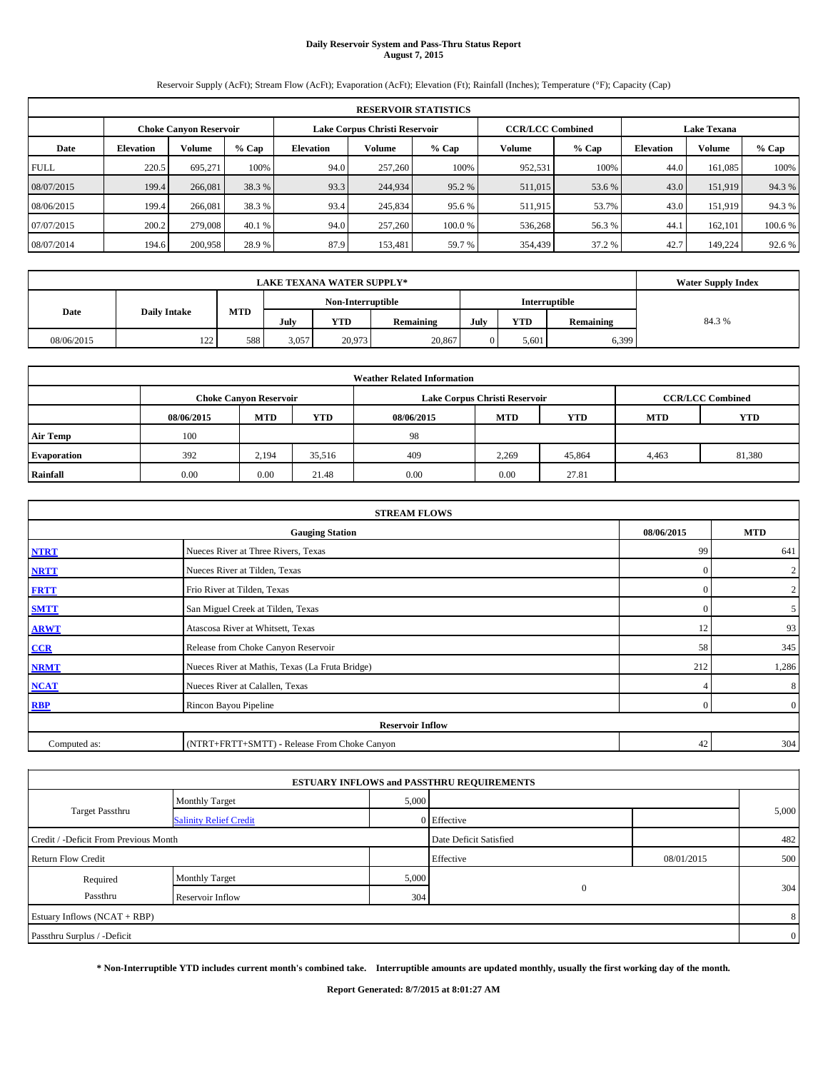### **Daily Reservoir System and Pass-Thru Status Report August 7, 2015**

Reservoir Supply (AcFt); Stream Flow (AcFt); Evaporation (AcFt); Elevation (Ft); Rainfall (Inches); Temperature (°F); Capacity (Cap)

|             | <b>RESERVOIR STATISTICS</b> |                               |         |                  |                               |        |                                               |         |                  |               |         |  |  |
|-------------|-----------------------------|-------------------------------|---------|------------------|-------------------------------|--------|-----------------------------------------------|---------|------------------|---------------|---------|--|--|
|             |                             | <b>Choke Canyon Reservoir</b> |         |                  | Lake Corpus Christi Reservoir |        | <b>CCR/LCC Combined</b><br><b>Lake Texana</b> |         |                  |               |         |  |  |
| Date        | <b>Elevation</b>            | Volume                        | $%$ Cap | <b>Elevation</b> | Volume                        | % Cap  | <b>Volume</b>                                 | $%$ Cap | <b>Elevation</b> | <b>Volume</b> | $%$ Cap |  |  |
| <b>FULL</b> | 220.5                       | 695.271                       | 100%    | 94.0             | 257,260                       | 100%   | 952,531                                       | 100%    | 44.0             | 161.085       | 100%    |  |  |
| 08/07/2015  | 199.4                       | 266,081                       | 38.3 %  | 93.3             | 244,934                       | 95.2 % | 511,015                                       | 53.6 %  | 43.0             | 151,919       | 94.3%   |  |  |
| 08/06/2015  | 199.4                       | 266,081                       | 38.3 %  | 93.4             | 245,834                       | 95.6 % | 511,915                                       | 53.7%   | 43.0             | 151.919       | 94.3%   |  |  |
| 07/07/2015  | 200.2                       | 279,008                       | 40.1 %  | 94.0             | 257,260                       | 100.0% | 536,268                                       | 56.3%   | 44.              | 162,101       | 100.6 % |  |  |
| 08/07/2014  | 194.6                       | 200,958                       | 28.9%   | 87.9             | 153.481                       | 59.7 % | 354,439                                       | 37.2 %  | 42.7             | 149.224       | 92.6 %  |  |  |

|            | <b>Water Supply Index</b> |                   |       |            |               |      |            |           |       |
|------------|---------------------------|-------------------|-------|------------|---------------|------|------------|-----------|-------|
|            |                           | Non-Interruptible |       |            | Interruptible |      |            |           |       |
| Date       | <b>Daily Intake</b>       | <b>MTD</b>        | July  | <b>YTD</b> | Remaining     | July | <b>YTD</b> | Remaining | 84.3% |
| 08/06/2015 | 122<br>144                | 588               | 3,057 | 20,973     | 20,867        |      | 5.601      | 6,399     |       |

|                    | <b>Weather Related Information</b> |                               |        |            |                                        |                         |       |        |  |  |  |  |
|--------------------|------------------------------------|-------------------------------|--------|------------|----------------------------------------|-------------------------|-------|--------|--|--|--|--|
|                    |                                    | <b>Choke Canvon Reservoir</b> |        |            | Lake Corpus Christi Reservoir          | <b>CCR/LCC Combined</b> |       |        |  |  |  |  |
|                    | 08/06/2015                         | <b>MTD</b>                    | YTD    | 08/06/2015 | <b>MTD</b><br><b>YTD</b><br><b>MTD</b> |                         |       |        |  |  |  |  |
| <b>Air Temp</b>    | 100                                |                               |        | 98         |                                        |                         |       |        |  |  |  |  |
| <b>Evaporation</b> | 392                                | 2,194                         | 35,516 | 409        | 2,269                                  | 45,864                  | 4,463 | 81,380 |  |  |  |  |
| Rainfall           | 0.00                               | 0.00                          | 21.48  | 0.00       | 0.00                                   | 27.81                   |       |        |  |  |  |  |

|                                      | <b>STREAM FLOWS</b>                             |          |                |  |  |  |  |  |  |  |
|--------------------------------------|-------------------------------------------------|----------|----------------|--|--|--|--|--|--|--|
| 08/06/2015<br><b>Gauging Station</b> |                                                 |          |                |  |  |  |  |  |  |  |
| <b>NTRT</b>                          | Nueces River at Three Rivers, Texas             | 99       | 641            |  |  |  |  |  |  |  |
| <b>NRTT</b>                          | Nueces River at Tilden, Texas                   | $\Omega$ | $\overline{2}$ |  |  |  |  |  |  |  |
| <b>FRTT</b>                          | Frio River at Tilden, Texas                     | $\Omega$ | $\overline{2}$ |  |  |  |  |  |  |  |
| <b>SMTT</b>                          | San Miguel Creek at Tilden, Texas               | $\Omega$ | 5 <sup>5</sup> |  |  |  |  |  |  |  |
| <b>ARWT</b>                          | Atascosa River at Whitsett, Texas               | 12       | 93             |  |  |  |  |  |  |  |
| CCR                                  | Release from Choke Canyon Reservoir             | 58       | 345            |  |  |  |  |  |  |  |
| <b>NRMT</b>                          | Nueces River at Mathis, Texas (La Fruta Bridge) | 212      | 1,286          |  |  |  |  |  |  |  |
| <b>NCAT</b>                          | Nueces River at Calallen, Texas                 |          | 8              |  |  |  |  |  |  |  |
| <b>RBP</b>                           | Rincon Bayou Pipeline                           | $\Omega$ | $\overline{0}$ |  |  |  |  |  |  |  |
|                                      | <b>Reservoir Inflow</b>                         |          |                |  |  |  |  |  |  |  |
| Computed as:                         | (NTRT+FRTT+SMTT) - Release From Choke Canyon    | 42       | 304            |  |  |  |  |  |  |  |

|                                       |                               |       | <b>ESTUARY INFLOWS and PASSTHRU REQUIREMENTS</b> |            |                |
|---------------------------------------|-------------------------------|-------|--------------------------------------------------|------------|----------------|
|                                       | <b>Monthly Target</b>         | 5,000 |                                                  |            |                |
| Target Passthru                       | <b>Salinity Relief Credit</b> |       | 0 Effective                                      |            | 5,000          |
| Credit / -Deficit From Previous Month |                               |       | Date Deficit Satisfied                           |            | 482            |
| <b>Return Flow Credit</b>             |                               |       | Effective                                        | 08/01/2015 | 500            |
| Required                              | <b>Monthly Target</b>         | 5,000 |                                                  |            |                |
| Passthru                              | Reservoir Inflow              | 304   | $\mathbf{0}$                                     |            | 304            |
| Estuary Inflows (NCAT + RBP)          |                               |       |                                                  |            | 8              |
| Passthru Surplus / -Deficit           |                               |       |                                                  |            | $\overline{0}$ |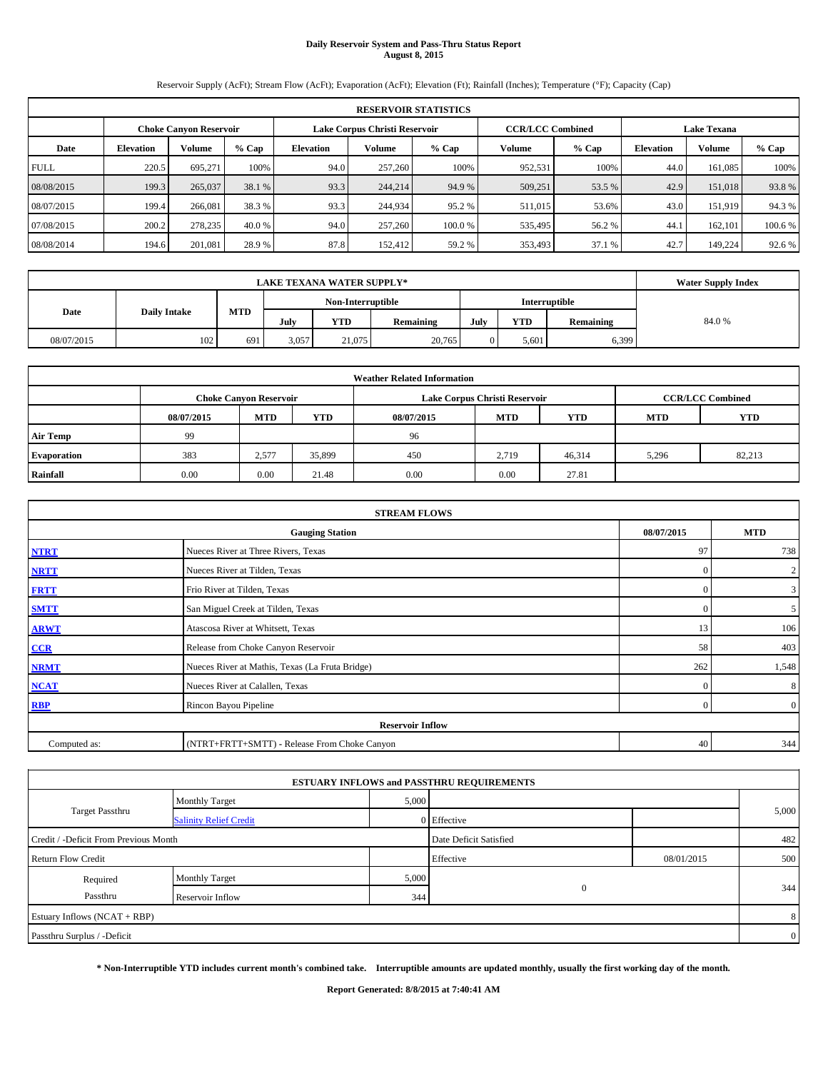# **Daily Reservoir System and Pass-Thru Status Report August 8, 2015**

Reservoir Supply (AcFt); Stream Flow (AcFt); Evaporation (AcFt); Elevation (Ft); Rainfall (Inches); Temperature (°F); Capacity (Cap)

|             | <b>RESERVOIR STATISTICS</b> |                               |         |           |                               |         |                                               |         |                  |               |         |  |  |
|-------------|-----------------------------|-------------------------------|---------|-----------|-------------------------------|---------|-----------------------------------------------|---------|------------------|---------------|---------|--|--|
|             |                             | <b>Choke Canyon Reservoir</b> |         |           | Lake Corpus Christi Reservoir |         | <b>CCR/LCC Combined</b><br><b>Lake Texana</b> |         |                  |               |         |  |  |
| Date        | <b>Elevation</b>            | Volume                        | $%$ Cap | Elevation | % Cap<br>Volume               |         |                                               | $%$ Cap | <b>Elevation</b> | <b>Volume</b> | $%$ Cap |  |  |
| <b>FULL</b> | 220.5                       | 695.271                       | 100%    | 94.0      | 257,260                       | 100%    | 952,531                                       | 100%    | 44.0             | 161.085       | 100%    |  |  |
| 08/08/2015  | 199.3                       | 265,037                       | 38.1 %  | 93.3      | 244,214                       | 94.9 %  | 509,251                                       | 53.5 %  | 42.9             | 151,018       | 93.8%   |  |  |
| 08/07/2015  | 199.4                       | 266,081                       | 38.3 %  | 93.3      | 244,934                       | 95.2 %  | 511.015                                       | 53.6%   | 43.0             | 151.919       | 94.3%   |  |  |
| 07/08/2015  | 200.2                       | 278,235                       | 40.0 %  | 94.0      | 257,260                       | 100.0 % | 535,495                                       | 56.2%   | 44.              | 162,101       | 100.6 % |  |  |
| 08/08/2014  | 194.6                       | 201.081                       | 28.9%   | 87.8      | 152.412                       | 59.2 %  | 353,493                                       | 37.1 %  | 42.7             | 149.224       | 92.6 %  |  |  |

|                             | <b>LAKE TEXANA WATER SUPPLY*</b> |     |       |                                    |           |      |            |           |       |  |  |
|-----------------------------|----------------------------------|-----|-------|------------------------------------|-----------|------|------------|-----------|-------|--|--|
|                             |                                  |     |       | Non-Interruptible<br>Interruptible |           |      |            |           |       |  |  |
| <b>Daily Intake</b><br>Date |                                  | MTD | July  | YTD                                | Remaining | July | <b>YTD</b> | Remaining | 84.0% |  |  |
| 08/07/2015                  | 102                              | 691 | 3,057 | 21.075                             | 20,765    |      | 5,601      | 6,399     |       |  |  |

| <b>Weather Related Information</b> |            |                                                                                           |        |            |            |            |            |            |  |  |  |  |  |
|------------------------------------|------------|-------------------------------------------------------------------------------------------|--------|------------|------------|------------|------------|------------|--|--|--|--|--|
|                                    |            | <b>CCR/LCC Combined</b><br>Lake Corpus Christi Reservoir<br><b>Choke Canyon Reservoir</b> |        |            |            |            |            |            |  |  |  |  |  |
|                                    | 08/07/2015 | <b>MTD</b>                                                                                | YTD    | 08/07/2015 | <b>MTD</b> | <b>YTD</b> | <b>MTD</b> | <b>YTD</b> |  |  |  |  |  |
| <b>Air Temp</b>                    | 99         |                                                                                           |        | 96         |            |            |            |            |  |  |  |  |  |
| Evaporation                        | 383        | 2,577                                                                                     | 35,899 | 450        | 2,719      | 46,314     | 5,296      | 82,213     |  |  |  |  |  |
| Rainfall                           | 0.00       | 0.00                                                                                      | 21.48  | 0.00       | 0.00       | 27.81      |            |            |  |  |  |  |  |

|              | <b>STREAM FLOWS</b>                             |            |                |
|--------------|-------------------------------------------------|------------|----------------|
|              | <b>Gauging Station</b>                          | 08/07/2015 | <b>MTD</b>     |
| <b>NTRT</b>  | Nueces River at Three Rivers, Texas             | 97         | 738            |
| <b>NRTT</b>  | Nueces River at Tilden, Texas                   | $\Omega$   | $\overline{2}$ |
| <b>FRTT</b>  | Frio River at Tilden, Texas                     | $\Omega$   | $\mathbf{3}$   |
| <b>SMTT</b>  | San Miguel Creek at Tilden, Texas               | $\Omega$   | 5 <sup>5</sup> |
| <b>ARWT</b>  | Atascosa River at Whitsett, Texas               | 13         | 106            |
| CCR          | Release from Choke Canyon Reservoir             | 58         | 403            |
| <b>NRMT</b>  | Nueces River at Mathis, Texas (La Fruta Bridge) | 262        | 1,548          |
| <b>NCAT</b>  | Nueces River at Calallen, Texas                 | $\Omega$   | 8              |
| <b>RBP</b>   | Rincon Bayou Pipeline                           | $\Omega$   | $\overline{0}$ |
|              | <b>Reservoir Inflow</b>                         |            |                |
| Computed as: | (NTRT+FRTT+SMTT) - Release From Choke Canyon    | 40         | 344            |

|                                       |                               |       | <b>ESTUARY INFLOWS and PASSTHRU REQUIREMENTS</b> |            |                |
|---------------------------------------|-------------------------------|-------|--------------------------------------------------|------------|----------------|
|                                       | <b>Monthly Target</b>         | 5,000 |                                                  |            |                |
| <b>Target Passthru</b>                | <b>Salinity Relief Credit</b> |       | 0 Effective                                      |            | 5,000          |
| Credit / -Deficit From Previous Month |                               |       | Date Deficit Satisfied                           |            | 482            |
| <b>Return Flow Credit</b>             |                               |       | Effective                                        | 08/01/2015 | 500            |
| Required                              | <b>Monthly Target</b>         | 5,000 |                                                  |            |                |
| Passthru                              | Reservoir Inflow              | 344   | $\mathbf{0}$                                     |            | 344            |
| Estuary Inflows (NCAT + RBP)          |                               |       |                                                  |            | 8              |
| Passthru Surplus / -Deficit           |                               |       |                                                  |            | $\overline{0}$ |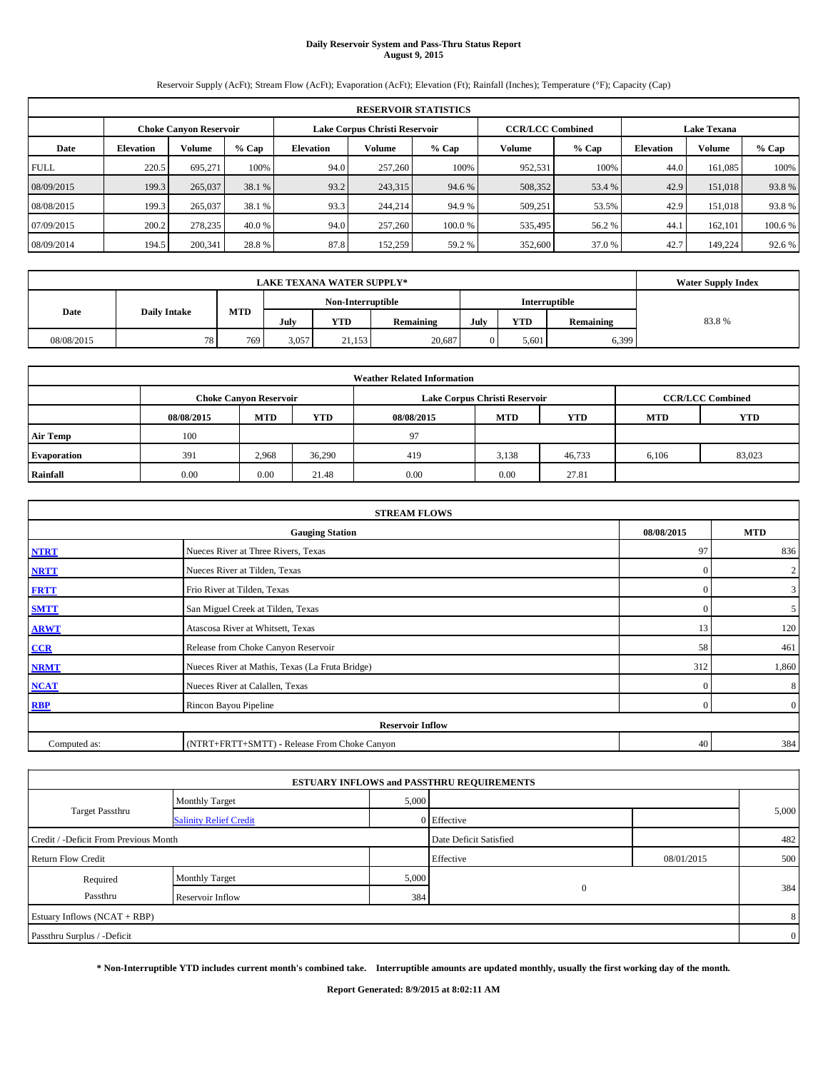# **Daily Reservoir System and Pass-Thru Status Report August 9, 2015**

Reservoir Supply (AcFt); Stream Flow (AcFt); Evaporation (AcFt); Elevation (Ft); Rainfall (Inches); Temperature (°F); Capacity (Cap)

|             | <b>RESERVOIR STATISTICS</b>                                                                                     |         |         |                  |         |         |         |         |                  |               |         |  |  |  |  |
|-------------|-----------------------------------------------------------------------------------------------------------------|---------|---------|------------------|---------|---------|---------|---------|------------------|---------------|---------|--|--|--|--|
|             | <b>CCR/LCC Combined</b><br>Lake Corpus Christi Reservoir<br><b>Lake Texana</b><br><b>Choke Canyon Reservoir</b> |         |         |                  |         |         |         |         |                  |               |         |  |  |  |  |
| Date        | <b>Elevation</b>                                                                                                | Volume  | $%$ Cap | <b>Elevation</b> | Volume  | $%$ Cap | Volume  | $%$ Cap | <b>Elevation</b> | <b>Volume</b> | % Cap   |  |  |  |  |
| <b>FULL</b> | 220.5                                                                                                           | 695.271 | 100%    | 94.0             | 257,260 | 100%    | 952,531 | 100%    | 44.0             | 161,085       | 100%    |  |  |  |  |
| 08/09/2015  | 199.3                                                                                                           | 265,037 | 38.1 %  | 93.2             | 243,315 | 94.6 %  | 508,352 | 53.4 %  | 42.9             | 151,018       | 93.8%   |  |  |  |  |
| 08/08/2015  | 199.3                                                                                                           | 265,037 | 38.1 %  | 93.3             | 244,214 | 94.9 %  | 509,251 | 53.5%   | 42.9             | 151.018       | 93.8%   |  |  |  |  |
| 07/09/2015  | 200.2                                                                                                           | 278,235 | 40.0 %  | 94.0             | 257,260 | 100.0%  | 535,495 | 56.2 %  | 44.1             | 162,101       | 100.6 % |  |  |  |  |
| 08/09/2014  | 194.5                                                                                                           | 200,341 | 28.8%   | 87.8             | 152,259 | 59.2 %  | 352,600 | 37.0 %  | 42.7             | 149.224       | 92.6 %  |  |  |  |  |

|                   | <b>LAKE TEXANA WATER SUPPLY*</b>   |     |       |        |           |      |            |               |       |  |  |
|-------------------|------------------------------------|-----|-------|--------|-----------|------|------------|---------------|-------|--|--|
| Non-Interruptible |                                    |     |       |        |           |      |            | Interruptible |       |  |  |
|                   | MTD<br><b>Daily Intake</b><br>Date |     | July  | YTD    | Remaining | July | <b>YTD</b> | Remaining     | 83.8% |  |  |
| 08/08/2015        | 78.                                | 769 | 3,057 | 21,153 | 20,687    |      | 5.601      | 6,399         |       |  |  |

| <b>Weather Related Information</b> |            |                                                                                           |        |            |            |            |            |            |  |  |  |  |  |
|------------------------------------|------------|-------------------------------------------------------------------------------------------|--------|------------|------------|------------|------------|------------|--|--|--|--|--|
|                                    |            | Lake Corpus Christi Reservoir<br><b>CCR/LCC Combined</b><br><b>Choke Canyon Reservoir</b> |        |            |            |            |            |            |  |  |  |  |  |
|                                    | 08/08/2015 | <b>MTD</b>                                                                                | YTD    | 08/08/2015 | <b>MTD</b> | <b>YTD</b> | <b>MTD</b> | <b>YTD</b> |  |  |  |  |  |
| <b>Air Temp</b>                    | 100        |                                                                                           |        | 97         |            |            |            |            |  |  |  |  |  |
| Evaporation                        | 391        | 2.968                                                                                     | 36,290 | 419        | 3,138      | 46,733     | 6,106      | 83,023     |  |  |  |  |  |
| Rainfall                           | 0.00       | 0.00                                                                                      | 21.48  | 0.00       | 0.00       | 27.81      |            |            |  |  |  |  |  |

|              | <b>STREAM FLOWS</b>                                |          |                |  |  |  |  |  |  |  |
|--------------|----------------------------------------------------|----------|----------------|--|--|--|--|--|--|--|
|              | 08/08/2015<br><b>Gauging Station</b><br><b>MTD</b> |          |                |  |  |  |  |  |  |  |
| <b>NTRT</b>  | Nueces River at Three Rivers, Texas                | 97       | 836            |  |  |  |  |  |  |  |
| <b>NRTT</b>  | Nueces River at Tilden, Texas                      | $\Omega$ | $\overline{2}$ |  |  |  |  |  |  |  |
| <b>FRTT</b>  | Frio River at Tilden, Texas                        | $\Omega$ | $\mathbf{3}$   |  |  |  |  |  |  |  |
| <b>SMTT</b>  | San Miguel Creek at Tilden, Texas                  | $\Omega$ | 5 <sup>5</sup> |  |  |  |  |  |  |  |
| <b>ARWT</b>  | Atascosa River at Whitsett, Texas                  | 13       | 120            |  |  |  |  |  |  |  |
| $CCR$        | Release from Choke Canyon Reservoir                | 58       | 461            |  |  |  |  |  |  |  |
| <b>NRMT</b>  | Nueces River at Mathis, Texas (La Fruta Bridge)    | 312      | 1,860          |  |  |  |  |  |  |  |
| <b>NCAT</b>  | Nueces River at Calallen, Texas                    | $\Omega$ | 8              |  |  |  |  |  |  |  |
| <b>RBP</b>   | Rincon Bayou Pipeline                              | $\Omega$ | $\overline{0}$ |  |  |  |  |  |  |  |
|              | <b>Reservoir Inflow</b>                            |          |                |  |  |  |  |  |  |  |
| Computed as: | (NTRT+FRTT+SMTT) - Release From Choke Canyon       | 40       | 384            |  |  |  |  |  |  |  |

|                                       |                               |       | <b>ESTUARY INFLOWS and PASSTHRU REQUIREMENTS</b> |            |                |
|---------------------------------------|-------------------------------|-------|--------------------------------------------------|------------|----------------|
|                                       | <b>Monthly Target</b>         | 5,000 |                                                  |            |                |
| Target Passthru                       | <b>Salinity Relief Credit</b> |       | 0 Effective                                      |            | 5,000          |
| Credit / -Deficit From Previous Month |                               |       | Date Deficit Satisfied                           |            | 482            |
| <b>Return Flow Credit</b>             |                               |       | Effective                                        | 08/01/2015 | 500            |
| Required                              | <b>Monthly Target</b>         | 5,000 |                                                  |            |                |
| Passthru                              | Reservoir Inflow              | 384   | $\mathbf{0}$                                     |            | 384            |
| Estuary Inflows (NCAT + RBP)          |                               |       |                                                  |            | 8              |
| Passthru Surplus / -Deficit           |                               |       |                                                  |            | $\overline{0}$ |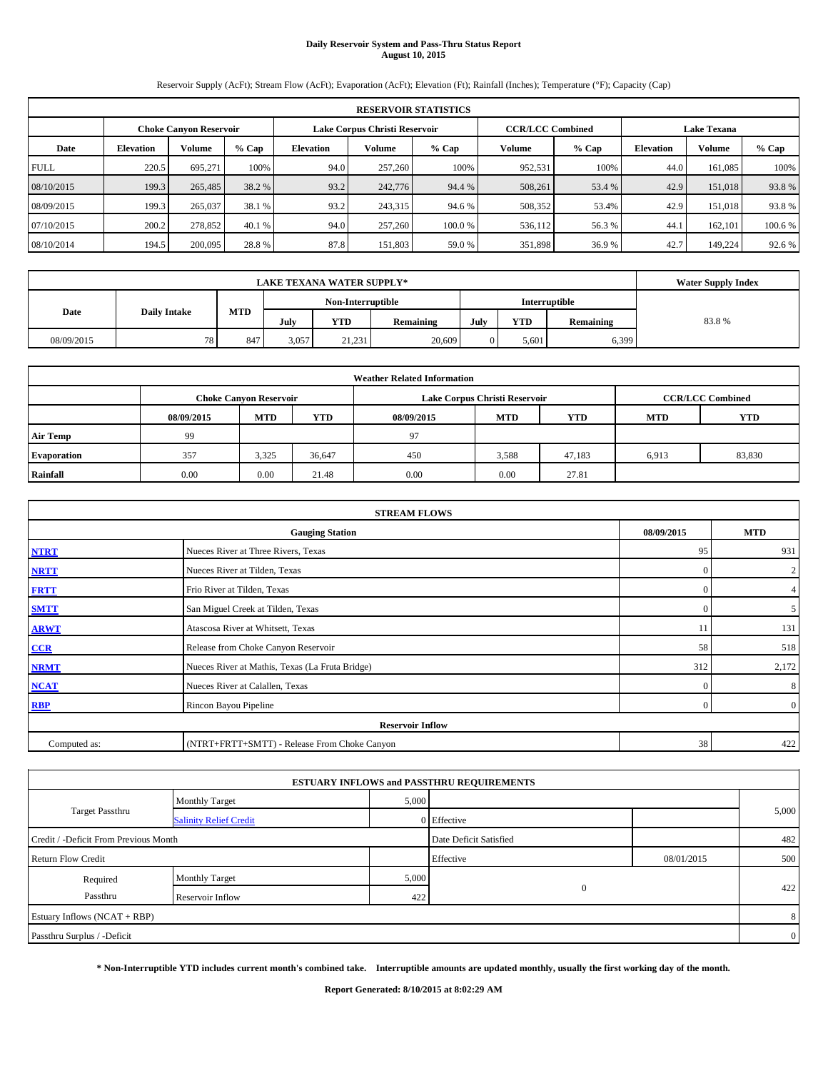# **Daily Reservoir System and Pass-Thru Status Report August 10, 2015**

Reservoir Supply (AcFt); Stream Flow (AcFt); Evaporation (AcFt); Elevation (Ft); Rainfall (Inches); Temperature (°F); Capacity (Cap)

|             | <b>RESERVOIR STATISTICS</b>                                                                              |         |         |                  |         |        |               |         |                  |               |         |  |  |  |  |
|-------------|----------------------------------------------------------------------------------------------------------|---------|---------|------------------|---------|--------|---------------|---------|------------------|---------------|---------|--|--|--|--|
|             | <b>CCR/LCC Combined</b><br>Lake Corpus Christi Reservoir<br><b>Lake Texana</b><br>Choke Canvon Reservoir |         |         |                  |         |        |               |         |                  |               |         |  |  |  |  |
| Date        | <b>Elevation</b>                                                                                         | Volume  | $%$ Cap | <b>Elevation</b> | Volume  | % Cap  | <b>Volume</b> | $%$ Cap | <b>Elevation</b> | <b>Volume</b> | % Cap   |  |  |  |  |
| <b>FULL</b> | 220.5                                                                                                    | 695.271 | 100%    | 94.0             | 257,260 | 100%   | 952,531       | 100%    | 44.0             | 161.085       | 100%    |  |  |  |  |
| 08/10/2015  | 199.3                                                                                                    | 265,485 | 38.2 %  | 93.2             | 242,776 | 94.4 % | 508,261       | 53.4 %  | 42.9             | 151,018       | 93.8%   |  |  |  |  |
| 08/09/2015  | 199.3                                                                                                    | 265,037 | 38.1 %  | 93.2             | 243,315 | 94.6 % | 508,352       | 53.4%   | 42.9             | 151,018       | 93.8%   |  |  |  |  |
| 07/10/2015  | 200.2                                                                                                    | 278,852 | 40.1 %  | 94.0             | 257,260 | 100.0% | 536,112       | 56.3 %  | 44.              | 162,101       | 100.6 % |  |  |  |  |
| 08/10/2014  | 194.5                                                                                                    | 200,095 | 28.8%   | 87.8             | 151.803 | 59.0%  | 351,898       | 36.9%   | 42.7             | 149.224       | 92.6 %  |  |  |  |  |

|                                    | <b>LAKE TEXANA WATER SUPPLY*</b>   |     |       |        |           |      |            |           |       |  |  |
|------------------------------------|------------------------------------|-----|-------|--------|-----------|------|------------|-----------|-------|--|--|
| Non-Interruptible<br>Interruptible |                                    |     |       |        |           |      |            |           |       |  |  |
|                                    | MTD<br><b>Daily Intake</b><br>Date |     | July  | YTD    | Remaining | July | <b>YTD</b> | Remaining | 83.8% |  |  |
| 08/09/2015                         | 78.                                | 847 | 3,057 | 21,231 | 20,609    |      | 5,601      | 6,399     |       |  |  |

| <b>Weather Related Information</b> |            |                                                                                           |        |            |            |            |            |            |  |  |  |  |  |
|------------------------------------|------------|-------------------------------------------------------------------------------------------|--------|------------|------------|------------|------------|------------|--|--|--|--|--|
|                                    |            | Lake Corpus Christi Reservoir<br><b>CCR/LCC Combined</b><br><b>Choke Canyon Reservoir</b> |        |            |            |            |            |            |  |  |  |  |  |
|                                    | 08/09/2015 | <b>MTD</b>                                                                                | YTD    | 08/09/2015 | <b>MTD</b> | <b>YTD</b> | <b>MTD</b> | <b>YTD</b> |  |  |  |  |  |
| <b>Air Temp</b>                    | 99         |                                                                                           |        | 97         |            |            |            |            |  |  |  |  |  |
| Evaporation                        | 357        | 3,325                                                                                     | 36,647 | 450        | 3,588      | 47,183     | 6,913      | 83,830     |  |  |  |  |  |
| Rainfall                           | 0.00       | 0.00                                                                                      | 21.48  | 0.00       | 0.00       | 27.81      |            |            |  |  |  |  |  |

| <b>STREAM FLOWS</b> |                                                 |          |                |  |  |  |  |  |  |
|---------------------|-------------------------------------------------|----------|----------------|--|--|--|--|--|--|
|                     | <b>Gauging Station</b>                          |          |                |  |  |  |  |  |  |
| <b>NTRT</b>         | Nueces River at Three Rivers, Texas             | 95       | 931            |  |  |  |  |  |  |
| <b>NRTT</b>         | Nueces River at Tilden, Texas                   | $\Omega$ | $\overline{2}$ |  |  |  |  |  |  |
| <b>FRTT</b>         | Frio River at Tilden, Texas                     | $\Omega$ | $\overline{4}$ |  |  |  |  |  |  |
| <b>SMTT</b>         | San Miguel Creek at Tilden, Texas               | $\Omega$ | 5 <sup>5</sup> |  |  |  |  |  |  |
| <b>ARWT</b>         | Atascosa River at Whitsett, Texas               | 11       | 131            |  |  |  |  |  |  |
| CCR                 | Release from Choke Canyon Reservoir             | 58       | 518            |  |  |  |  |  |  |
| <b>NRMT</b>         | Nueces River at Mathis, Texas (La Fruta Bridge) | 312      | 2,172          |  |  |  |  |  |  |
| <b>NCAT</b>         | Nueces River at Calallen, Texas                 | $\Omega$ | 8              |  |  |  |  |  |  |
| <b>RBP</b>          | Rincon Bayou Pipeline                           | $\Omega$ | $\overline{0}$ |  |  |  |  |  |  |
|                     | <b>Reservoir Inflow</b>                         |          |                |  |  |  |  |  |  |
| Computed as:        | (NTRT+FRTT+SMTT) - Release From Choke Canyon    |          |                |  |  |  |  |  |  |

| <b>Monthly Target</b>                 |  |           |                                                                                                                                    |                |
|---------------------------------------|--|-----------|------------------------------------------------------------------------------------------------------------------------------------|----------------|
| <b>Salinity Relief Credit</b>         |  |           |                                                                                                                                    | 5,000          |
| Credit / -Deficit From Previous Month |  |           |                                                                                                                                    | 482            |
|                                       |  | Effective | 08/01/2015                                                                                                                         | 500            |
| <b>Monthly Target</b>                 |  |           |                                                                                                                                    |                |
| Reservoir Inflow                      |  |           |                                                                                                                                    | 422            |
|                                       |  |           |                                                                                                                                    | 8              |
|                                       |  |           |                                                                                                                                    | $\overline{0}$ |
|                                       |  |           | <b>ESTUARY INFLOWS and PASSTHRU REQUIREMENTS</b><br>5,000<br>0 Effective<br>Date Deficit Satisfied<br>5,000<br>$\mathbf{0}$<br>422 |                |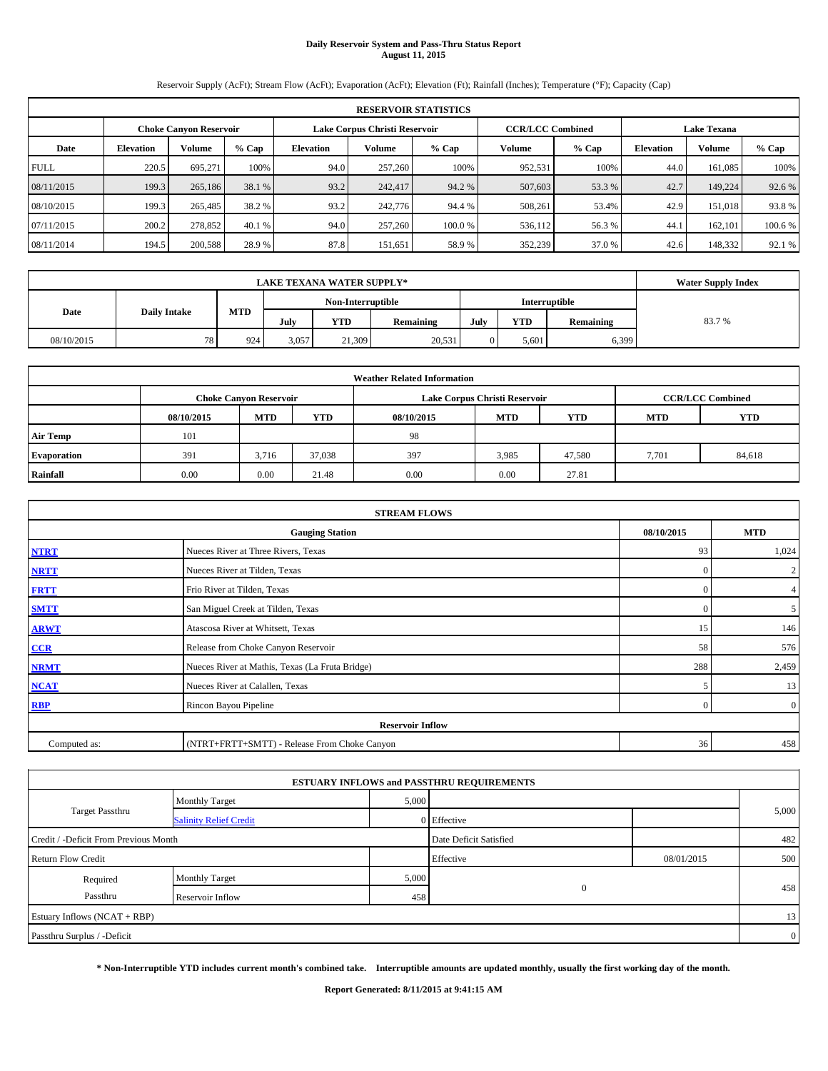# **Daily Reservoir System and Pass-Thru Status Report August 11, 2015**

Reservoir Supply (AcFt); Stream Flow (AcFt); Evaporation (AcFt); Elevation (Ft); Rainfall (Inches); Temperature (°F); Capacity (Cap)

|             | <b>RESERVOIR STATISTICS</b> |                                                                |         |           |                         |         |                    |         |                  |               |         |  |
|-------------|-----------------------------|----------------------------------------------------------------|---------|-----------|-------------------------|---------|--------------------|---------|------------------|---------------|---------|--|
|             |                             | Lake Corpus Christi Reservoir<br><b>Choke Canyon Reservoir</b> |         |           | <b>CCR/LCC Combined</b> |         | <b>Lake Texana</b> |         |                  |               |         |  |
| Date        | <b>Elevation</b>            | Volume                                                         | $%$ Cap | Elevation | Volume                  | % Cap   | Volume             | $%$ Cap | <b>Elevation</b> | <b>Volume</b> | $%$ Cap |  |
| <b>FULL</b> | 220.5                       | 695.271                                                        | 100%    | 94.0      | 257,260                 | 100%    | 952,531            | 100%    | 44.0             | 161.085       | 100%    |  |
| 08/11/2015  | 199.3                       | 265,186                                                        | 38.1 %  | 93.2      | 242,417                 | 94.2 %  | 507,603            | 53.3 %  | 42.7             | 149,224       | 92.6 %  |  |
| 08/10/2015  | 199.3                       | 265,485                                                        | 38.2 %  | 93.2      | 242,776                 | 94.4 %  | 508.261            | 53.4%   | 42.9             | 151,018       | 93.8%   |  |
| 07/11/2015  | 200.2                       | 278,852                                                        | 40.1 %  | 94.0      | 257,260                 | 100.0 % | 536,112            | 56.3 %  | 44.              | 162,101       | 100.6 % |  |
| 08/11/2014  | 194.5                       | 200,588                                                        | 28.9 %  | 87.8      | 151.651                 | 58.9%   | 352,239            | 37.0 %  | 42.6             | 148,332       | 92.1 %  |  |

| <b>LAKE TEXANA WATER SUPPLY*</b> |                     |     |       |                   |           |      |            |               | <b>Water Supply Index</b> |
|----------------------------------|---------------------|-----|-------|-------------------|-----------|------|------------|---------------|---------------------------|
|                                  |                     |     |       | Non-Interruptible |           |      |            | Interruptible |                           |
| Date                             | <b>Daily Intake</b> | MTD | July  | YTD               | Remaining | July | <b>YTD</b> | Remaining     | 83.7%                     |
| 08/10/2015                       | 78.                 | 924 | 3,057 | 21,309            | 20,531    |      | 5.601      | 6,399         |                           |

| <b>Weather Related Information</b> |            |                               |        |            |                               |                         |            |            |  |  |  |
|------------------------------------|------------|-------------------------------|--------|------------|-------------------------------|-------------------------|------------|------------|--|--|--|
|                                    |            | <b>Choke Canvon Reservoir</b> |        |            | Lake Corpus Christi Reservoir | <b>CCR/LCC Combined</b> |            |            |  |  |  |
|                                    | 08/10/2015 | <b>MTD</b>                    | YTD    | 08/10/2015 | <b>MTD</b>                    | <b>YTD</b>              | <b>MTD</b> | <b>YTD</b> |  |  |  |
| <b>Air Temp</b>                    | 101        |                               |        | 98         |                               |                         |            |            |  |  |  |
| Evaporation                        | 391        | 3.716                         | 37,038 | 397        | 3,985                         | 47,580                  | 7,701      | 84,618     |  |  |  |
| Rainfall                           | 0.00       | 0.00                          | 21.48  | 0.00       | 0.00                          | 27.81                   |            |            |  |  |  |

| <b>STREAM FLOWS</b> |                                                 |            |                |  |  |  |  |  |  |
|---------------------|-------------------------------------------------|------------|----------------|--|--|--|--|--|--|
|                     | 08/10/2015                                      | <b>MTD</b> |                |  |  |  |  |  |  |
| <b>NTRT</b>         | Nueces River at Three Rivers, Texas             | 93         | 1,024          |  |  |  |  |  |  |
| <b>NRTT</b>         | Nueces River at Tilden, Texas                   | $\Omega$   | $\overline{2}$ |  |  |  |  |  |  |
| <b>FRTT</b>         | Frio River at Tilden, Texas                     | C          | $\overline{4}$ |  |  |  |  |  |  |
| <b>SMTT</b>         | San Miguel Creek at Tilden, Texas               | $\Omega$   | 5 <sup>5</sup> |  |  |  |  |  |  |
| <b>ARWT</b>         | Atascosa River at Whitsett, Texas               | 15         | 146            |  |  |  |  |  |  |
| CCR                 | Release from Choke Canyon Reservoir             | 58         | 576            |  |  |  |  |  |  |
| <b>NRMT</b>         | Nueces River at Mathis, Texas (La Fruta Bridge) | 288        | 2,459          |  |  |  |  |  |  |
| <b>NCAT</b>         | Nueces River at Calallen, Texas                 |            | 13             |  |  |  |  |  |  |
| <b>RBP</b>          | Rincon Bayou Pipeline                           | $\Omega$   | $\overline{0}$ |  |  |  |  |  |  |
|                     | <b>Reservoir Inflow</b>                         |            |                |  |  |  |  |  |  |
| Computed as:        | (NTRT+FRTT+SMTT) - Release From Choke Canyon    |            |                |  |  |  |  |  |  |

| <b>ESTUARY INFLOWS and PASSTHRU REQUIREMENTS</b> |                                |                        |              |            |                |  |  |  |  |  |  |
|--------------------------------------------------|--------------------------------|------------------------|--------------|------------|----------------|--|--|--|--|--|--|
|                                                  | <b>Monthly Target</b>          | 5,000                  |              |            |                |  |  |  |  |  |  |
| <b>Target Passthru</b>                           | <b>Salinity Relief Credit</b>  |                        | 0 Effective  |            | 5,000          |  |  |  |  |  |  |
| Credit / -Deficit From Previous Month            |                                | Date Deficit Satisfied |              | 482        |                |  |  |  |  |  |  |
| <b>Return Flow Credit</b>                        |                                |                        | Effective    | 08/01/2015 | 500            |  |  |  |  |  |  |
| Required                                         | 5,000<br><b>Monthly Target</b> |                        |              |            |                |  |  |  |  |  |  |
| Passthru                                         | Reservoir Inflow               | 458                    | $\mathbf{0}$ |            | 458            |  |  |  |  |  |  |
| Estuary Inflows (NCAT + RBP)                     |                                |                        |              |            | 13             |  |  |  |  |  |  |
| Passthru Surplus / -Deficit                      |                                |                        |              |            | $\overline{0}$ |  |  |  |  |  |  |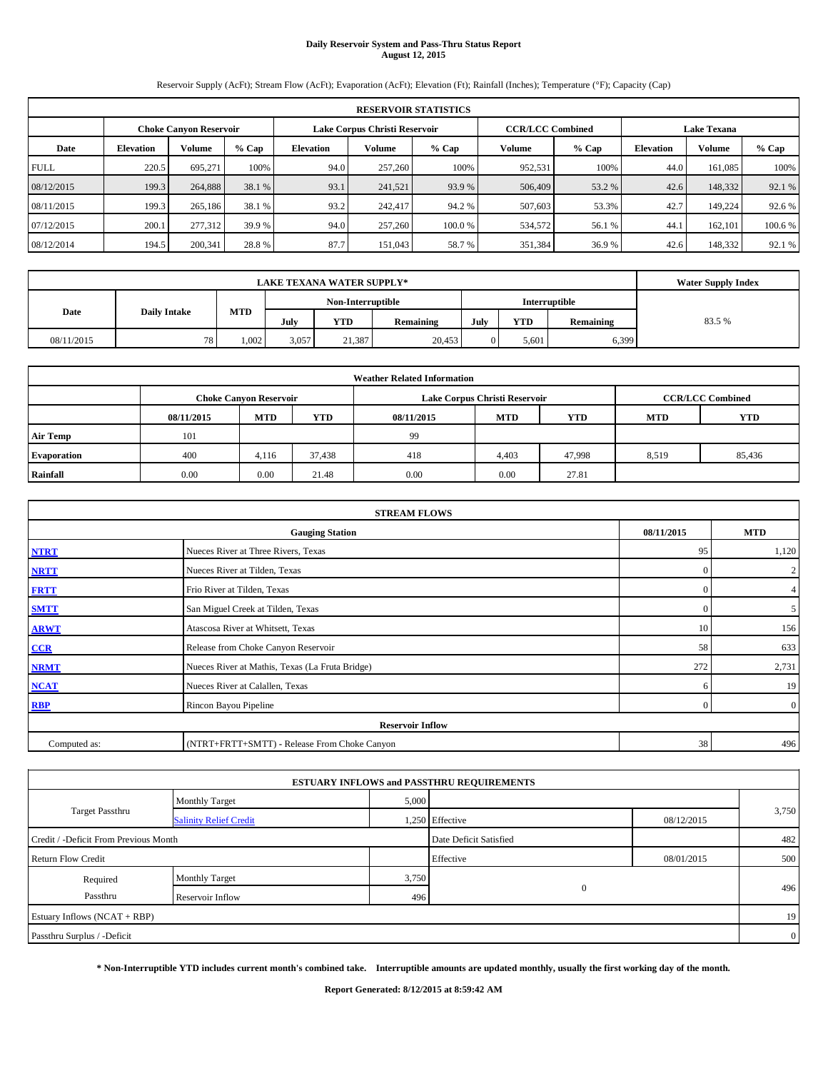# **Daily Reservoir System and Pass-Thru Status Report August 12, 2015**

Reservoir Supply (AcFt); Stream Flow (AcFt); Evaporation (AcFt); Elevation (Ft); Rainfall (Inches); Temperature (°F); Capacity (Cap)

|             | <b>RESERVOIR STATISTICS</b>                                    |         |         |                         |         |                    |               |         |                  |               |         |  |
|-------------|----------------------------------------------------------------|---------|---------|-------------------------|---------|--------------------|---------------|---------|------------------|---------------|---------|--|
|             | Lake Corpus Christi Reservoir<br><b>Choke Canyon Reservoir</b> |         |         | <b>CCR/LCC Combined</b> |         | <b>Lake Texana</b> |               |         |                  |               |         |  |
| Date        | <b>Elevation</b>                                               | Volume  | $%$ Cap | <b>Elevation</b>        | Volume  | % Cap              | <b>Volume</b> | $%$ Cap | <b>Elevation</b> | <b>Volume</b> | $%$ Cap |  |
| <b>FULL</b> | 220.5                                                          | 695.271 | 100%    | 94.0                    | 257,260 | 100%               | 952,531       | 100%    | 44.0             | 161.085       | 100%    |  |
| 08/12/2015  | 199.3                                                          | 264,888 | 38.1 %  | 93.1                    | 241,521 | 93.9 %             | 506,409       | 53.2 %  | 42.6             | 148,332       | 92.1 %  |  |
| 08/11/2015  | 199.3                                                          | 265,186 | 38.1 %  | 93.2                    | 242,417 | 94.2 %             | 507,603       | 53.3%   | 42.7             | 149.224       | 92.6 %  |  |
| 07/12/2015  | 200.1                                                          | 277,312 | 39.9 %  | 94.0                    | 257,260 | 100.0%             | 534,572       | 56.1 %  | 44.              | 162,101       | 100.6 % |  |
| 08/12/2014  | 194.5                                                          | 200,341 | 28.8%   | 87.7                    | 151.043 | 58.7%              | 351,384       | 36.9%   | 42.6             | 148,332       | 92.1 %  |  |

| <b>LAKE TEXANA WATER SUPPLY*</b> |                     |            |       |                   |                  |      |            | <b>Water Supply Index</b> |       |
|----------------------------------|---------------------|------------|-------|-------------------|------------------|------|------------|---------------------------|-------|
|                                  |                     |            |       | Non-Interruptible |                  |      |            | Interruptible             |       |
| Date                             | <b>Daily Intake</b> | <b>MTD</b> | July  | YTD               | <b>Remaining</b> | July | <b>YTD</b> | Remaining                 | 83.5% |
| 08/11/2015                       | 78                  | 1.002      | 3,057 | 21.387            | 20.453           |      | 5.601      | 6,399                     |       |

| <b>Weather Related Information</b> |            |                               |        |            |                               |                         |            |            |  |  |  |
|------------------------------------|------------|-------------------------------|--------|------------|-------------------------------|-------------------------|------------|------------|--|--|--|
|                                    |            | <b>Choke Canvon Reservoir</b> |        |            | Lake Corpus Christi Reservoir | <b>CCR/LCC Combined</b> |            |            |  |  |  |
|                                    | 08/11/2015 | <b>MTD</b>                    | YTD    | 08/11/2015 | <b>MTD</b>                    | <b>YTD</b>              | <b>MTD</b> | <b>YTD</b> |  |  |  |
| <b>Air Temp</b>                    | 101        |                               |        | 99         |                               |                         |            |            |  |  |  |
| Evaporation                        | 400        | 4,116                         | 37,438 | 418        | 4,403                         | 47,998                  | 8,519      | 85,436     |  |  |  |
| Rainfall                           | 0.00       | 0.00                          | 21.48  | 0.00       | 0.00                          | 27.81                   |            |            |  |  |  |

| <b>STREAM FLOWS</b> |                                                 |            |                |  |  |  |  |  |  |
|---------------------|-------------------------------------------------|------------|----------------|--|--|--|--|--|--|
|                     | 08/11/2015                                      | <b>MTD</b> |                |  |  |  |  |  |  |
| <b>NTRT</b>         | Nueces River at Three Rivers, Texas             | 95         | 1,120          |  |  |  |  |  |  |
| <b>NRTT</b>         | Nueces River at Tilden, Texas                   | $\Omega$   | $\overline{2}$ |  |  |  |  |  |  |
| <b>FRTT</b>         | Frio River at Tilden, Texas                     | $\Omega$   | $\overline{4}$ |  |  |  |  |  |  |
| <b>SMTT</b>         | San Miguel Creek at Tilden, Texas               | $\Omega$   | 5 <sup>5</sup> |  |  |  |  |  |  |
| <b>ARWT</b>         | Atascosa River at Whitsett, Texas               | 10         | 156            |  |  |  |  |  |  |
| CCR                 | Release from Choke Canyon Reservoir             | 58         | 633            |  |  |  |  |  |  |
| <b>NRMT</b>         | Nueces River at Mathis, Texas (La Fruta Bridge) | 272        | 2,731          |  |  |  |  |  |  |
| <b>NCAT</b>         | Nueces River at Calallen, Texas                 | 6          | 19             |  |  |  |  |  |  |
| RBP                 | Rincon Bayou Pipeline                           | $\Omega$   | $\overline{0}$ |  |  |  |  |  |  |
|                     | <b>Reservoir Inflow</b>                         |            |                |  |  |  |  |  |  |
| Computed as:        | (NTRT+FRTT+SMTT) - Release From Choke Canyon    |            |                |  |  |  |  |  |  |

|                                       |                               |       | <b>ESTUARY INFLOWS and PASSTHRU REQUIREMENTS</b> |            |                |
|---------------------------------------|-------------------------------|-------|--------------------------------------------------|------------|----------------|
|                                       | <b>Monthly Target</b>         | 5,000 |                                                  |            |                |
| <b>Target Passthru</b>                | <b>Salinity Relief Credit</b> |       | 1,250 Effective                                  | 08/12/2015 | 3,750          |
| Credit / -Deficit From Previous Month |                               |       | Date Deficit Satisfied                           |            | 482            |
| <b>Return Flow Credit</b>             |                               |       | Effective                                        | 08/01/2015 | 500            |
| Required                              | <b>Monthly Target</b>         | 3,750 |                                                  |            |                |
| Passthru                              | Reservoir Inflow              | 496   | $\mathbf{0}$                                     |            | 496            |
| Estuary Inflows (NCAT + RBP)          |                               |       |                                                  |            | 19             |
| Passthru Surplus / -Deficit           |                               |       |                                                  |            | $\overline{0}$ |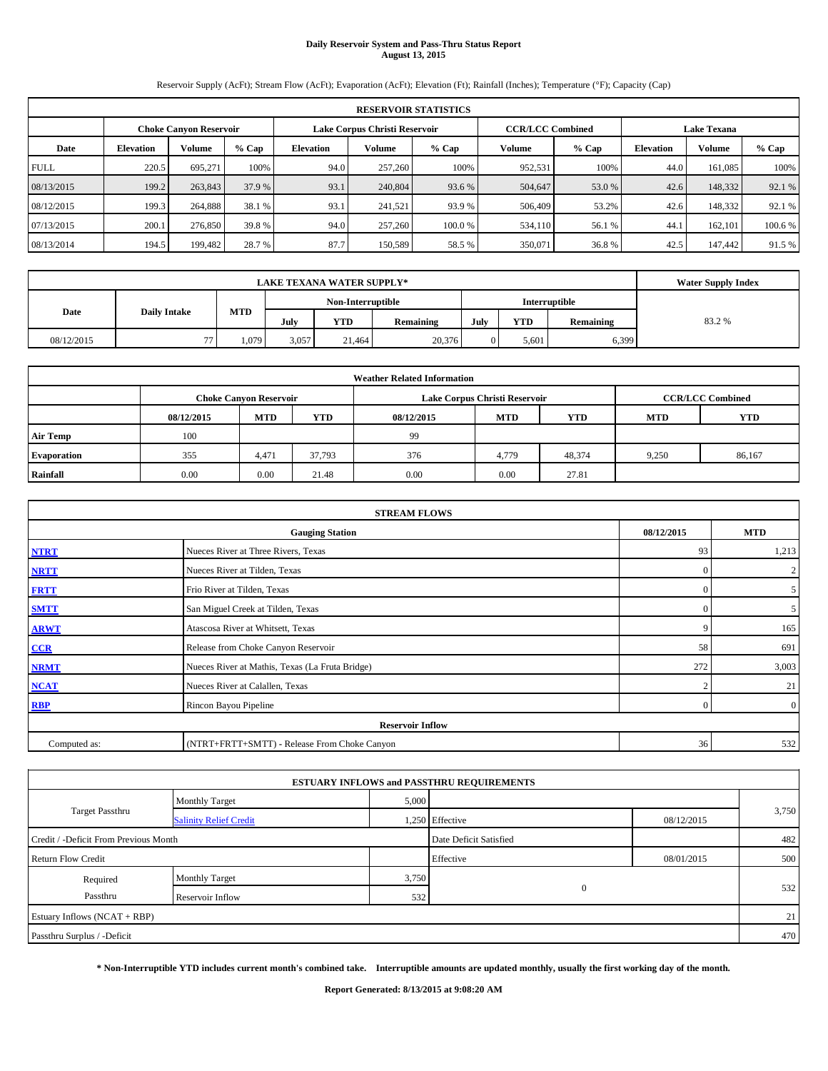# **Daily Reservoir System and Pass-Thru Status Report August 13, 2015**

Reservoir Supply (AcFt); Stream Flow (AcFt); Evaporation (AcFt); Elevation (Ft); Rainfall (Inches); Temperature (°F); Capacity (Cap)

|             | <b>RESERVOIR STATISTICS</b>                                                                                     |         |         |                  |         |         |                  |        |       |         |         |  |  |  |
|-------------|-----------------------------------------------------------------------------------------------------------------|---------|---------|------------------|---------|---------|------------------|--------|-------|---------|---------|--|--|--|
|             | Lake Corpus Christi Reservoir<br><b>CCR/LCC Combined</b><br><b>Lake Texana</b><br><b>Choke Canyon Reservoir</b> |         |         |                  |         |         |                  |        |       |         |         |  |  |  |
| Date        | <b>Elevation</b>                                                                                                | Volume  | $%$ Cap | <b>Elevation</b> | Volume  | $%$ Cap | <b>Elevation</b> | Volume | % Cap |         |         |  |  |  |
| <b>FULL</b> | 220.5                                                                                                           | 695,271 | 100%    | 94.0             | 257,260 | 100%    | 952,531          | 100%   | 44.0  | 161,085 | 100%    |  |  |  |
| 08/13/2015  | 199.2                                                                                                           | 263,843 | 37.9 %  | 93.1             | 240,804 | 93.6 %  | 504,647          | 53.0 % | 42.6  | 148,332 | 92.1 %  |  |  |  |
| 08/12/2015  | 199.3                                                                                                           | 264,888 | 38.1 %  | 93.1             | 241,521 | 93.9 %  | 506,409          | 53.2%  | 42.6  | 148,332 | 92.1 %  |  |  |  |
| 07/13/2015  | 200.1                                                                                                           | 276,850 | 39.8%   | 94.0             | 257,260 | 100.0%  | 534,110          | 56.1 % | 44.1  | 162,101 | 100.6 % |  |  |  |
| 08/13/2014  | 194.5                                                                                                           | 199,482 | 28.7 %  | 87.7             | 150,589 | 58.5 %  | 350,071          | 36.8%  | 42.5  | 147,442 | 91.5 %  |  |  |  |

|            | <b>Water Supply Index</b> |            |                   |        |           |      |            |           |       |
|------------|---------------------------|------------|-------------------|--------|-----------|------|------------|-----------|-------|
|            |                           |            | Non-Interruptible |        |           |      |            |           |       |
| Date       | <b>Daily Intake</b>       | <b>MTD</b> | July              | YTD    | Remaining | July | <b>YTD</b> | Remaining | 83.2% |
| 08/12/2015 | $\overline{a}$            | 1.079      | 3,057             | 21.464 | 20,376    |      | 5.601      | 6,399     |       |

| <b>Weather Related Information</b> |            |                               |            |                                                      |                               |                         |       |        |  |  |  |
|------------------------------------|------------|-------------------------------|------------|------------------------------------------------------|-------------------------------|-------------------------|-------|--------|--|--|--|
|                                    |            | <b>Choke Canvon Reservoir</b> |            |                                                      | Lake Corpus Christi Reservoir | <b>CCR/LCC Combined</b> |       |        |  |  |  |
|                                    | 08/12/2015 | <b>MTD</b>                    | <b>YTD</b> | <b>MTD</b><br><b>YTD</b><br>08/12/2015<br><b>MTD</b> |                               |                         |       |        |  |  |  |
| <b>Air Temp</b>                    | 100        |                               |            | 99                                                   |                               |                         |       |        |  |  |  |
| Evaporation                        | 355        | 4,471                         | 37,793     | 376                                                  | 4,779                         | 48,374                  | 9,250 | 86,167 |  |  |  |
| Rainfall                           | 0.00       | 0.00                          | 21.48      | 0.00                                                 | 0.00                          | 27.81                   |       |        |  |  |  |

| <b>STREAM FLOWS</b> |                                                    |          |                |  |  |  |  |  |  |
|---------------------|----------------------------------------------------|----------|----------------|--|--|--|--|--|--|
|                     | 08/12/2015<br><b>MTD</b><br><b>Gauging Station</b> |          |                |  |  |  |  |  |  |
| <b>NTRT</b>         | Nueces River at Three Rivers, Texas                | 93       | 1,213          |  |  |  |  |  |  |
| <b>NRTT</b>         | Nueces River at Tilden, Texas                      | $\Omega$ | $\overline{2}$ |  |  |  |  |  |  |
| <b>FRTT</b>         | Frio River at Tilden, Texas                        | $\Omega$ | 5              |  |  |  |  |  |  |
| <b>SMTT</b>         | San Miguel Creek at Tilden, Texas                  | $\Omega$ | 5 <sup>5</sup> |  |  |  |  |  |  |
| <b>ARWT</b>         | Atascosa River at Whitsett, Texas                  | 9        | 165            |  |  |  |  |  |  |
| CCR                 | Release from Choke Canyon Reservoir                | 58       | 691            |  |  |  |  |  |  |
| <b>NRMT</b>         | Nueces River at Mathis, Texas (La Fruta Bridge)    | 272      | 3,003          |  |  |  |  |  |  |
| <b>NCAT</b>         | Nueces River at Calallen, Texas                    | $\sim$   | 21             |  |  |  |  |  |  |
| <b>RBP</b>          | Rincon Bayou Pipeline                              | $\Omega$ | $\overline{0}$ |  |  |  |  |  |  |
|                     | <b>Reservoir Inflow</b>                            |          |                |  |  |  |  |  |  |
| Computed as:        | (NTRT+FRTT+SMTT) - Release From Choke Canyon       | 36       | 532            |  |  |  |  |  |  |

|                                       |                               |       | <b>ESTUARY INFLOWS and PASSTHRU REQUIREMENTS</b> |            |       |  |
|---------------------------------------|-------------------------------|-------|--------------------------------------------------|------------|-------|--|
|                                       | <b>Monthly Target</b>         | 5,000 |                                                  |            |       |  |
| Target Passthru                       | <b>Salinity Relief Credit</b> |       | 1,250 Effective                                  | 08/12/2015 | 3,750 |  |
| Credit / -Deficit From Previous Month |                               |       | Date Deficit Satisfied                           |            | 482   |  |
| <b>Return Flow Credit</b>             |                               |       | Effective                                        | 08/01/2015 | 500   |  |
| Required                              | <b>Monthly Target</b>         | 3,750 |                                                  |            |       |  |
| Passthru                              | Reservoir Inflow              | 532   | $\mathbf{0}$                                     |            | 532   |  |
| Estuary Inflows (NCAT + RBP)          |                               |       |                                                  |            | 21    |  |
| Passthru Surplus / -Deficit           |                               |       |                                                  |            | 470   |  |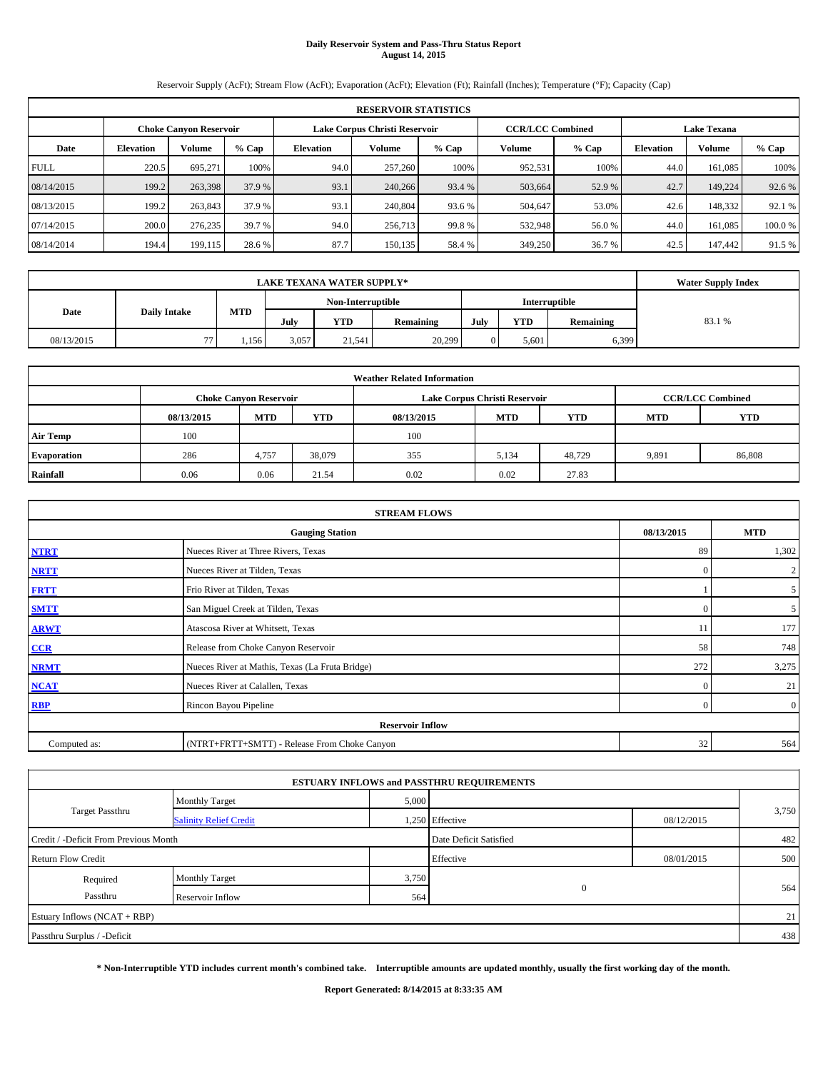# **Daily Reservoir System and Pass-Thru Status Report August 14, 2015**

Reservoir Supply (AcFt); Stream Flow (AcFt); Evaporation (AcFt); Elevation (Ft); Rainfall (Inches); Temperature (°F); Capacity (Cap)

|             | <b>RESERVOIR STATISTICS</b>                                                                                     |               |         |                  |         |         |         |                  |               |         |        |  |  |
|-------------|-----------------------------------------------------------------------------------------------------------------|---------------|---------|------------------|---------|---------|---------|------------------|---------------|---------|--------|--|--|
|             | Lake Corpus Christi Reservoir<br><b>CCR/LCC Combined</b><br><b>Lake Texana</b><br><b>Choke Canyon Reservoir</b> |               |         |                  |         |         |         |                  |               |         |        |  |  |
| Date        | <b>Elevation</b>                                                                                                | <b>Volume</b> | $%$ Cap | <b>Elevation</b> | Volume  | $%$ Cap | $%$ Cap | <b>Elevation</b> | <b>Volume</b> | % Cap   |        |  |  |
| <b>FULL</b> | 220.5                                                                                                           | 695.271       | 100%    | 94.0             | 257,260 | 100%    | 952,531 | 100%             | 44.0          | 161,085 | 100%   |  |  |
| 08/14/2015  | 199.2                                                                                                           | 263,398       | 37.9 %  | 93.1             | 240,266 | 93.4 %  | 503,664 | 52.9 %           | 42.7          | 149,224 | 92.6 % |  |  |
| 08/13/2015  | 199.2                                                                                                           | 263,843       | 37.9 %  | 93.1             | 240,804 | 93.6 %  | 504,647 | 53.0%            | 42.6          | 148,332 | 92.1 % |  |  |
| 07/14/2015  | 200.0                                                                                                           | 276,235       | 39.7 %  | 94.0             | 256,713 | 99.8%   | 532,948 | 56.0%            | 44.0          | 161,085 | 100.0% |  |  |
| 08/14/2014  | 194.4                                                                                                           | 199,115       | 28.6 %  | 87.7             | 150,135 | 58.4%   | 349,250 | 36.7 %           | 42.5          | 147,442 | 91.5 % |  |  |

|            | <b>Water Supply Index</b> |                                           |       |        |           |      |            |           |        |
|------------|---------------------------|-------------------------------------------|-------|--------|-----------|------|------------|-----------|--------|
|            |                           | <b>Interruptible</b><br>Non-Interruptible |       |        |           |      |            |           |        |
| Date       | <b>Daily Intake</b>       | <b>MTD</b>                                | July  | YTD    | Remaining | July | <b>YTD</b> | Remaining | 83.1 % |
| 08/13/2015 | $\overline{a}$            | 1,156                                     | 3,057 | 21.541 | 20,299    |      | 5.601      | 6,399     |        |

| <b>Weather Related Information</b> |                                                                                         |                               |        |      |                               |                         |       |        |  |  |  |
|------------------------------------|-----------------------------------------------------------------------------------------|-------------------------------|--------|------|-------------------------------|-------------------------|-------|--------|--|--|--|
|                                    |                                                                                         | <b>Choke Canvon Reservoir</b> |        |      | Lake Corpus Christi Reservoir | <b>CCR/LCC Combined</b> |       |        |  |  |  |
|                                    | YTD<br><b>MTD</b><br><b>MTD</b><br><b>YTD</b><br>08/13/2015<br>08/13/2015<br><b>MTD</b> |                               |        |      |                               |                         |       |        |  |  |  |
| <b>Air Temp</b>                    | 100                                                                                     |                               |        | 100  |                               |                         |       |        |  |  |  |
| <b>Evaporation</b>                 | 286                                                                                     | 4.757                         | 38,079 | 355  | 5,134                         | 48,729                  | 9,891 | 86,808 |  |  |  |
| Rainfall                           | 0.06                                                                                    | 0.06                          | 21.54  | 0.02 | 0.02                          | 27.83                   |       |        |  |  |  |

| <b>STREAM FLOWS</b> |                                                 |            |                |  |  |  |  |  |  |
|---------------------|-------------------------------------------------|------------|----------------|--|--|--|--|--|--|
|                     | <b>Gauging Station</b>                          | 08/13/2015 | <b>MTD</b>     |  |  |  |  |  |  |
| <b>NTRT</b>         | Nueces River at Three Rivers, Texas             | 89         | 1,302          |  |  |  |  |  |  |
| <b>NRTT</b>         | Nueces River at Tilden, Texas                   | $\Omega$   | $\overline{2}$ |  |  |  |  |  |  |
| <b>FRTT</b>         | Frio River at Tilden, Texas                     |            | 5 <sup>5</sup> |  |  |  |  |  |  |
| <b>SMTT</b>         | San Miguel Creek at Tilden, Texas               | $\Omega$   | 5 <sup>5</sup> |  |  |  |  |  |  |
| <b>ARWT</b>         | Atascosa River at Whitsett, Texas               | 11         | 177            |  |  |  |  |  |  |
| CCR                 | Release from Choke Canyon Reservoir             | 58         | 748            |  |  |  |  |  |  |
| <b>NRMT</b>         | Nueces River at Mathis, Texas (La Fruta Bridge) | 272        | 3,275          |  |  |  |  |  |  |
| <b>NCAT</b>         | Nueces River at Calallen, Texas                 | $\Omega$   | 21             |  |  |  |  |  |  |
| RBP                 | Rincon Bayou Pipeline                           | $\Omega$   | $\overline{0}$ |  |  |  |  |  |  |
|                     | <b>Reservoir Inflow</b>                         |            |                |  |  |  |  |  |  |
| Computed as:        | (NTRT+FRTT+SMTT) - Release From Choke Canyon    | 32         | 564            |  |  |  |  |  |  |

|                                       |                               |       | <b>ESTUARY INFLOWS and PASSTHRU REQUIREMENTS</b> |            |       |  |
|---------------------------------------|-------------------------------|-------|--------------------------------------------------|------------|-------|--|
|                                       | <b>Monthly Target</b>         | 5,000 |                                                  |            |       |  |
| <b>Target Passthru</b>                | <b>Salinity Relief Credit</b> |       | 1,250 Effective                                  | 08/12/2015 | 3,750 |  |
| Credit / -Deficit From Previous Month |                               |       | Date Deficit Satisfied                           |            | 482   |  |
| <b>Return Flow Credit</b>             |                               |       | Effective                                        | 08/01/2015 | 500   |  |
| Required                              | <b>Monthly Target</b>         | 3,750 |                                                  |            |       |  |
| Passthru                              | Reservoir Inflow              | 564   | $\mathbf{0}$                                     |            | 564   |  |
| Estuary Inflows (NCAT + RBP)          |                               |       |                                                  |            | 21    |  |
| Passthru Surplus / -Deficit           |                               |       |                                                  |            | 438   |  |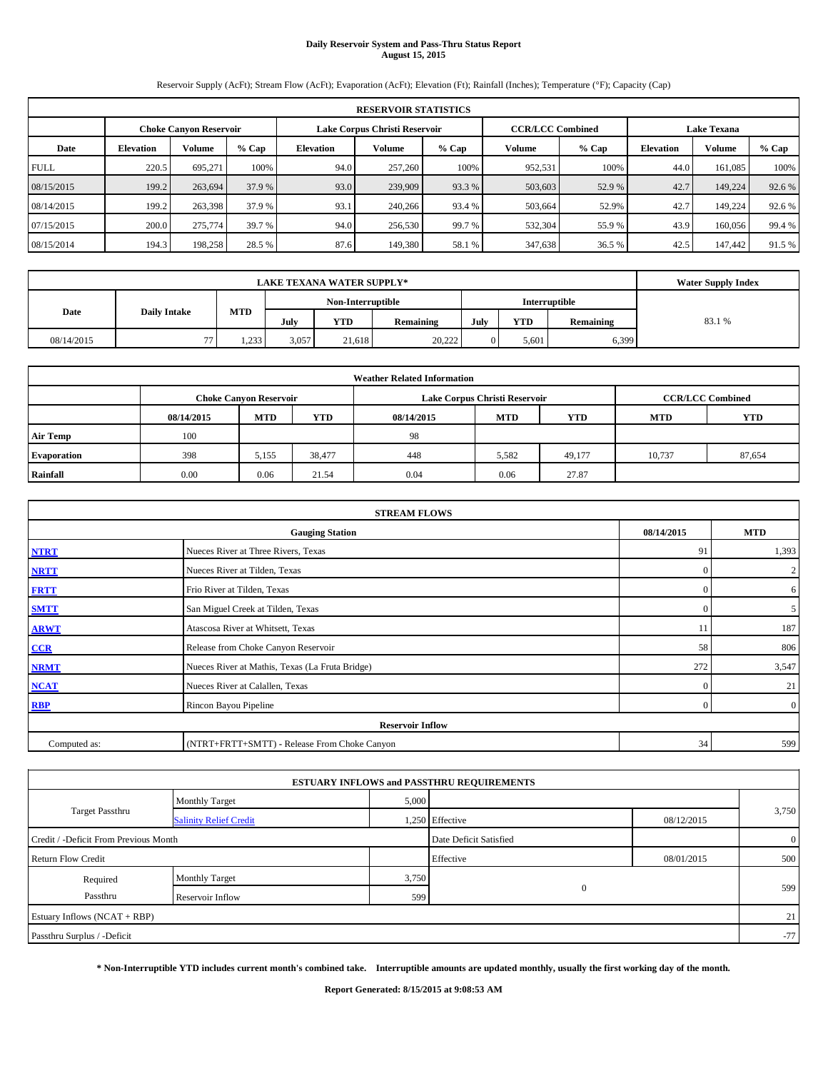# **Daily Reservoir System and Pass-Thru Status Report August 15, 2015**

Reservoir Supply (AcFt); Stream Flow (AcFt); Evaporation (AcFt); Elevation (Ft); Rainfall (Inches); Temperature (°F); Capacity (Cap)

|             | <b>RESERVOIR STATISTICS</b>                                                                                     |         |        |                  |         |         |         |         |                  |         |         |  |  |
|-------------|-----------------------------------------------------------------------------------------------------------------|---------|--------|------------------|---------|---------|---------|---------|------------------|---------|---------|--|--|
|             | Lake Corpus Christi Reservoir<br><b>CCR/LCC Combined</b><br><b>Lake Texana</b><br><b>Choke Canvon Reservoir</b> |         |        |                  |         |         |         |         |                  |         |         |  |  |
| Date        | <b>Elevation</b>                                                                                                | Volume  | % Cap  | <b>Elevation</b> | Volume  | $%$ Cap | Volume  | $%$ Cap | <b>Elevation</b> | Volume  | $%$ Cap |  |  |
| <b>FULL</b> | 220.5                                                                                                           | 695.271 | 100%   | 94.0             | 257,260 | 100%    | 952.531 | 100%    | 44.0             | 161.085 | 100%    |  |  |
| 08/15/2015  | 199.2                                                                                                           | 263,694 | 37.9 % | 93.0             | 239,909 | 93.3 %  | 503,603 | 52.9 %  | 42.7             | 149,224 | 92.6 %  |  |  |
| 08/14/2015  | 199.2                                                                                                           | 263,398 | 37.9 % | 93.1             | 240,266 | 93.4 %  | 503,664 | 52.9%   | 42.7             | 149.224 | 92.6 %  |  |  |
| 07/15/2015  | 200.0                                                                                                           | 275,774 | 39.7 % | 94.0             | 256,530 | 99.7 %  | 532,304 | 55.9%   | 43.9             | 160,056 | 99.4 %  |  |  |
| 08/15/2014  | 194.3                                                                                                           | 198,258 | 28.5 % | 87.6             | 149.380 | 58.1 %  | 347,638 | 36.5 %  | 42.5             | 147,442 | 91.5 %  |  |  |

|            | <b>Water Supply Index</b> |            |                   |        |           |      |            |           |        |
|------------|---------------------------|------------|-------------------|--------|-----------|------|------------|-----------|--------|
|            |                           |            | Non-Interruptible |        |           |      |            |           |        |
| Date       | <b>Daily Intake</b>       | <b>MTD</b> | July              | YTD    | Remaining | July | <b>YTD</b> | Remaining | 83.1 % |
| 08/14/2015 | $\overline{a}$            | 1,233      | 3,057             | 21.618 | 20.222    |      | 5.601      | 6,399     |        |

| <b>Weather Related Information</b> |            |                               |        |            |                               |                         |            |            |  |  |
|------------------------------------|------------|-------------------------------|--------|------------|-------------------------------|-------------------------|------------|------------|--|--|
|                                    |            | <b>Choke Canyon Reservoir</b> |        |            | Lake Corpus Christi Reservoir | <b>CCR/LCC Combined</b> |            |            |  |  |
|                                    | 08/14/2015 | <b>MTD</b>                    | YTD    | 08/14/2015 | <b>MTD</b>                    | <b>YTD</b>              | <b>MTD</b> | <b>YTD</b> |  |  |
| <b>Air Temp</b>                    | 100        |                               |        | 98         |                               |                         |            |            |  |  |
| Evaporation                        | 398        | 5,155                         | 38,477 | 448        | 5,582                         | 49,177                  | 10,737     | 87,654     |  |  |
| Rainfall                           | 0.00       | 0.06                          | 21.54  | 0.04       | 0.06                          | 27.87                   |            |            |  |  |

| <b>STREAM FLOWS</b> |                                                 |            |                |  |  |  |  |  |  |  |
|---------------------|-------------------------------------------------|------------|----------------|--|--|--|--|--|--|--|
|                     | <b>Gauging Station</b>                          | 08/14/2015 | <b>MTD</b>     |  |  |  |  |  |  |  |
| <b>NTRT</b>         | Nueces River at Three Rivers, Texas             | 91         | 1,393          |  |  |  |  |  |  |  |
| <b>NRTT</b>         | Nueces River at Tilden, Texas                   | $\Omega$   | $\overline{2}$ |  |  |  |  |  |  |  |
| <b>FRTT</b>         | Frio River at Tilden, Texas                     | $\Omega$   | 6              |  |  |  |  |  |  |  |
| <b>SMTT</b>         | San Miguel Creek at Tilden, Texas               | $\Omega$   | 5              |  |  |  |  |  |  |  |
| <b>ARWT</b>         | Atascosa River at Whitsett, Texas               | 11         | 187            |  |  |  |  |  |  |  |
| CCR                 | Release from Choke Canyon Reservoir             | 58         | 806            |  |  |  |  |  |  |  |
| <b>NRMT</b>         | Nueces River at Mathis, Texas (La Fruta Bridge) | 272        | 3,547          |  |  |  |  |  |  |  |
| <b>NCAT</b>         | Nueces River at Calallen, Texas                 | $\Omega$   | 21             |  |  |  |  |  |  |  |
| <b>RBP</b>          | Rincon Bayou Pipeline                           | $\Omega$   | $\overline{0}$ |  |  |  |  |  |  |  |
|                     | <b>Reservoir Inflow</b>                         |            |                |  |  |  |  |  |  |  |
| Computed as:        | (NTRT+FRTT+SMTT) - Release From Choke Canyon    | 34         | 599            |  |  |  |  |  |  |  |

|                                       |                               |       | <b>ESTUARY INFLOWS and PASSTHRU REQUIREMENTS</b> |            |                |
|---------------------------------------|-------------------------------|-------|--------------------------------------------------|------------|----------------|
|                                       | <b>Monthly Target</b>         | 5,000 |                                                  |            |                |
| <b>Target Passthru</b>                | <b>Salinity Relief Credit</b> |       | 1,250 Effective                                  | 08/12/2015 | 3,750          |
| Credit / -Deficit From Previous Month |                               |       | Date Deficit Satisfied                           |            | $\overline{0}$ |
| <b>Return Flow Credit</b>             |                               |       | Effective                                        | 08/01/2015 | 500            |
| Required                              | <b>Monthly Target</b>         | 3,750 |                                                  |            |                |
| Passthru                              | Reservoir Inflow              | 599   | $\mathbf{0}$                                     |            | 599            |
| Estuary Inflows (NCAT + RBP)          |                               |       |                                                  |            | 21             |
| Passthru Surplus / -Deficit           |                               |       |                                                  |            | $-77$          |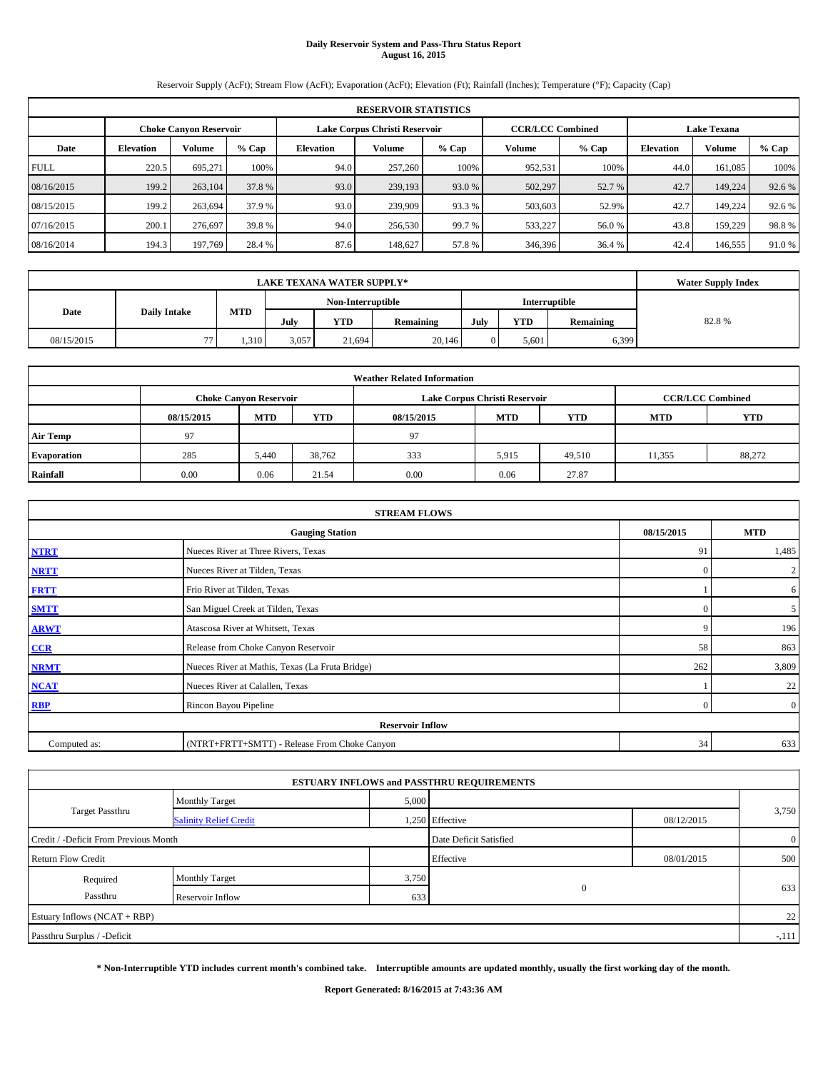# **Daily Reservoir System and Pass-Thru Status Report August 16, 2015**

Reservoir Supply (AcFt); Stream Flow (AcFt); Evaporation (AcFt); Elevation (Ft); Rainfall (Inches); Temperature (°F); Capacity (Cap)

| <b>RESERVOIR STATISTICS</b> |                  |                               |        |                  |                               |         |                         |         |                    |         |         |
|-----------------------------|------------------|-------------------------------|--------|------------------|-------------------------------|---------|-------------------------|---------|--------------------|---------|---------|
|                             |                  | <b>Choke Canvon Reservoir</b> |        |                  | Lake Corpus Christi Reservoir |         | <b>CCR/LCC Combined</b> |         | <b>Lake Texana</b> |         |         |
| Date                        | <b>Elevation</b> | Volume                        | % Cap  | <b>Elevation</b> | Volume                        | $%$ Cap | Volume                  | $%$ Cap | <b>Elevation</b>   | Volume  | $%$ Cap |
| <b>FULL</b>                 | 220.5            | 695.271                       | 100%   | 94.0             | 257,260                       | 100%    | 952.531                 | 100%    | 44.0               | 161.085 | 100%    |
| 08/16/2015                  | 199.2            | 263,104                       | 37.8%  | 93.0             | 239,193                       | 93.0 %  | 502,297                 | 52.7 %  | 42.7               | 149,224 | 92.6 %  |
| 08/15/2015                  | 199.2            | 263,694                       | 37.9 % | 93.0             | 239,909                       | 93.3 %  | 503,603                 | 52.9%   | 42.7               | 149.224 | 92.6 %  |
| 07/16/2015                  | 200.1            | 276,697                       | 39.8%  | 94.0             | 256,530                       | 99.7 %  | 533,227                 | 56.0%   | 43.8               | 159,229 | 98.8%   |
| 08/16/2014                  | 194.3            | 197,769                       | 28.4 % | 87.6             | 148,627                       | 57.8%   | 346,396                 | 36.4 %  | 42.4               | 146,555 | 91.0%   |

|            | <b>Water Supply Index</b> |            |                                           |            |           |      |            |           |       |
|------------|---------------------------|------------|-------------------------------------------|------------|-----------|------|------------|-----------|-------|
|            |                           |            | Non-Interruptible<br><b>Interruptible</b> |            |           |      |            |           |       |
| Date       | <b>Daily Intake</b>       | <b>MTD</b> | July                                      | <b>YTD</b> | Remaining | July | <b>YTD</b> | Remaining | 82.8% |
| 08/15/2015 | 77                        | 1,310      | 3,057                                     | 21.694     | 20.146    |      | 5.601      | 6,399     |       |

| <b>Weather Related Information</b> |            |                               |            |            |                               |                         |            |            |  |  |
|------------------------------------|------------|-------------------------------|------------|------------|-------------------------------|-------------------------|------------|------------|--|--|
|                                    |            | <b>Choke Canyon Reservoir</b> |            |            | Lake Corpus Christi Reservoir | <b>CCR/LCC Combined</b> |            |            |  |  |
|                                    | 08/15/2015 | <b>MTD</b>                    | <b>YTD</b> | 08/15/2015 | <b>MTD</b>                    | <b>YTD</b>              | <b>MTD</b> | <b>YTD</b> |  |  |
| <b>Air Temp</b>                    | 97         |                               |            | 97         |                               |                         |            |            |  |  |
| <b>Evaporation</b>                 | 285        | 5.440                         | 38,762     | 333        | 5,915                         | 49,510                  | 11,355     | 88,272     |  |  |
| Rainfall                           | 0.00       | 0.06                          | 21.54      | 0.00       | 0.06                          | 27.87                   |            |            |  |  |

| <b>STREAM FLOWS</b> |                                                 |            |                |  |  |  |  |  |  |
|---------------------|-------------------------------------------------|------------|----------------|--|--|--|--|--|--|
|                     | <b>Gauging Station</b>                          | 08/15/2015 | <b>MTD</b>     |  |  |  |  |  |  |
| <b>NTRT</b>         | Nueces River at Three Rivers, Texas             | 91         | 1,485          |  |  |  |  |  |  |
| <b>NRTT</b>         | Nueces River at Tilden, Texas                   | $\Omega$   | $\overline{2}$ |  |  |  |  |  |  |
| <b>FRTT</b>         | Frio River at Tilden, Texas                     |            | 6              |  |  |  |  |  |  |
| <b>SMTT</b>         | San Miguel Creek at Tilden, Texas               | $\Omega$   | 5 <sup>5</sup> |  |  |  |  |  |  |
| <b>ARWT</b>         | Atascosa River at Whitsett, Texas               | c          | 196            |  |  |  |  |  |  |
| CCR                 | Release from Choke Canyon Reservoir             | 58         | 863            |  |  |  |  |  |  |
| <b>NRMT</b>         | Nueces River at Mathis, Texas (La Fruta Bridge) | 262        | 3,809          |  |  |  |  |  |  |
| <b>NCAT</b>         | Nueces River at Calallen, Texas                 |            | 22             |  |  |  |  |  |  |
| <b>RBP</b>          | Rincon Bayou Pipeline                           | $\Omega$   | $\overline{0}$ |  |  |  |  |  |  |
|                     | <b>Reservoir Inflow</b>                         |            |                |  |  |  |  |  |  |
| Computed as:        | (NTRT+FRTT+SMTT) - Release From Choke Canyon    | 34         | 633            |  |  |  |  |  |  |

|                                       |                               |       | <b>ESTUARY INFLOWS and PASSTHRU REQUIREMENTS</b> |            |                |
|---------------------------------------|-------------------------------|-------|--------------------------------------------------|------------|----------------|
|                                       | <b>Monthly Target</b>         | 5,000 |                                                  |            |                |
| <b>Target Passthru</b>                | <b>Salinity Relief Credit</b> |       | 1,250 Effective                                  | 08/12/2015 | 3,750          |
| Credit / -Deficit From Previous Month |                               |       | Date Deficit Satisfied                           |            | $\overline{0}$ |
| <b>Return Flow Credit</b>             |                               |       | Effective                                        | 08/01/2015 | 500            |
| Required                              | <b>Monthly Target</b>         | 3,750 |                                                  |            |                |
| Passthru                              | Reservoir Inflow              | 633   | $\mathbf{0}$                                     |            | 633            |
| Estuary Inflows (NCAT + RBP)          |                               |       |                                                  |            | 22             |
| Passthru Surplus / -Deficit           |                               |       |                                                  |            | $-.111$        |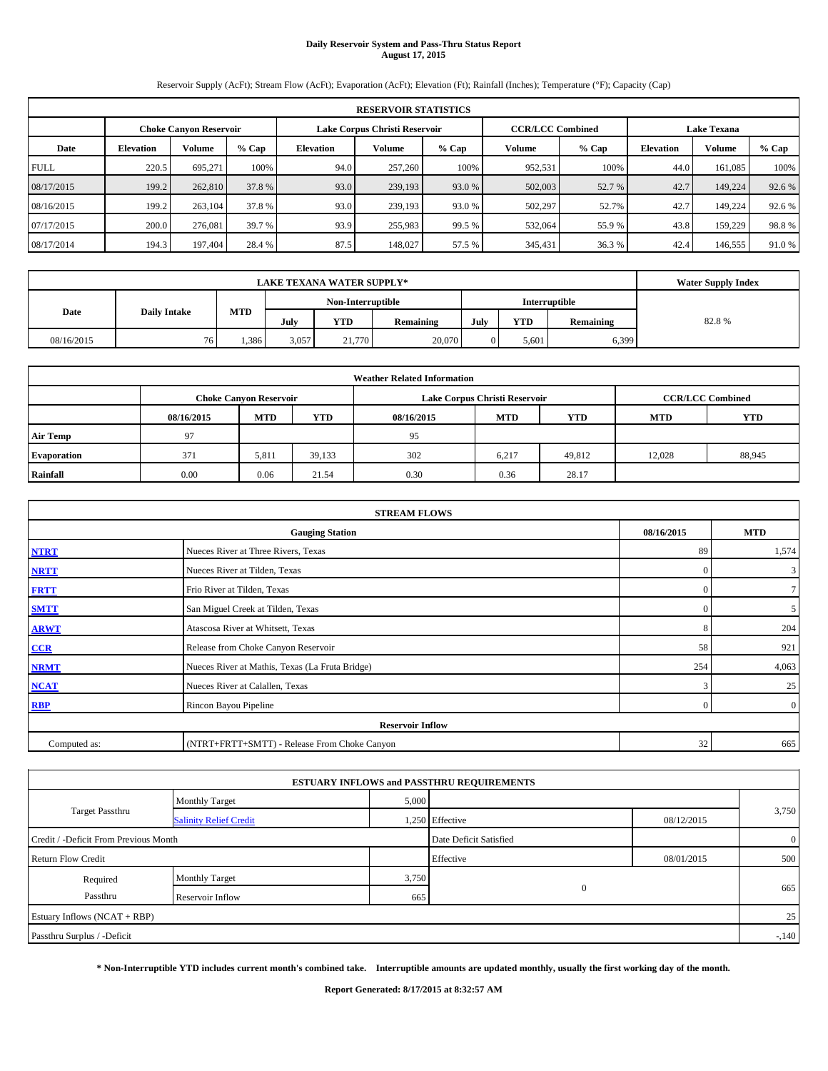# **Daily Reservoir System and Pass-Thru Status Report August 17, 2015**

Reservoir Supply (AcFt); Stream Flow (AcFt); Evaporation (AcFt); Elevation (Ft); Rainfall (Inches); Temperature (°F); Capacity (Cap)

| <b>RESERVOIR STATISTICS</b> |                  |                               |        |                  |                               |         |                         |         |                    |         |         |
|-----------------------------|------------------|-------------------------------|--------|------------------|-------------------------------|---------|-------------------------|---------|--------------------|---------|---------|
|                             |                  | <b>Choke Canvon Reservoir</b> |        |                  | Lake Corpus Christi Reservoir |         | <b>CCR/LCC Combined</b> |         | <b>Lake Texana</b> |         |         |
| Date                        | <b>Elevation</b> | Volume                        | % Cap  | <b>Elevation</b> | Volume                        | $%$ Cap | Volume                  | $%$ Cap | <b>Elevation</b>   | Volume  | $%$ Cap |
| <b>FULL</b>                 | 220.5            | 695.271                       | 100%   | 94.0             | 257,260                       | 100%    | 952,531                 | 100%    | 44.0               | 161.085 | 100%    |
| 08/17/2015                  | 199.2            | 262,810                       | 37.8%  | 93.0             | 239,193                       | 93.0 %  | 502,003                 | 52.7 %  | 42.7               | 149,224 | 92.6 %  |
| 08/16/2015                  | 199.2            | 263,104                       | 37.8 % | 93.0             | 239.193                       | 93.0 %  | 502,297                 | 52.7%   | 42.7               | 149.224 | 92.6 %  |
| 07/17/2015                  | 200.0            | 276.081                       | 39.7 % | 93.9             | 255,983                       | 99.5 %  | 532,064                 | 55.9%   | 43.8               | 159,229 | 98.8%   |
| 08/17/2014                  | 194.3            | 197,404                       | 28.4 % | 87.5             | 148,027                       | 57.5 %  | 345,431                 | 36.3 %  | 42.4               | 146,555 | 91.0 %  |

|            | <b>Water Supply Index</b> |            |                                           |        |           |      |            |           |       |
|------------|---------------------------|------------|-------------------------------------------|--------|-----------|------|------------|-----------|-------|
|            |                           |            | <b>Interruptible</b><br>Non-Interruptible |        |           |      |            |           |       |
| Date       | <b>Daily Intake</b>       | <b>MTD</b> | July                                      | YTD    | Remaining | July | <b>YTD</b> | Remaining | 82.8% |
| 08/16/2015 | 76.                       | 1,386      | 3,057                                     | 21,770 | 20,070    |      | 5.601      | 6,399     |       |

| <b>Weather Related Information</b> |            |                               |            |            |                               |                         |            |            |  |  |
|------------------------------------|------------|-------------------------------|------------|------------|-------------------------------|-------------------------|------------|------------|--|--|
|                                    |            | <b>Choke Canyon Reservoir</b> |            |            | Lake Corpus Christi Reservoir | <b>CCR/LCC Combined</b> |            |            |  |  |
|                                    | 08/16/2015 | <b>MTD</b>                    | <b>YTD</b> | 08/16/2015 | <b>MTD</b>                    | <b>YTD</b>              | <b>MTD</b> | <b>YTD</b> |  |  |
| <b>Air Temp</b>                    | 97         |                               |            | 95         |                               |                         |            |            |  |  |
| <b>Evaporation</b>                 | 371        | 5,811                         | 39,133     | 302        | 6,217                         | 49,812                  | 12,028     | 88,945     |  |  |
| Rainfall                           | 0.00       | 0.06                          | 21.54      | 0.30       | 0.36                          | 28.17                   |            |            |  |  |

| <b>STREAM FLOWS</b> |                                                 |            |                |  |  |  |  |  |  |
|---------------------|-------------------------------------------------|------------|----------------|--|--|--|--|--|--|
|                     | <b>Gauging Station</b>                          | 08/16/2015 | <b>MTD</b>     |  |  |  |  |  |  |
| <b>NTRT</b>         | Nueces River at Three Rivers, Texas             | 89         | 1,574          |  |  |  |  |  |  |
| <b>NRTT</b>         | Nueces River at Tilden, Texas                   | $\Omega$   | $\mathbf{3}$   |  |  |  |  |  |  |
| <b>FRTT</b>         | Frio River at Tilden, Texas                     | $\Omega$   | $7\phantom{.}$ |  |  |  |  |  |  |
| <b>SMTT</b>         | San Miguel Creek at Tilden, Texas               | $\Omega$   | 5 <sup>5</sup> |  |  |  |  |  |  |
| <b>ARWT</b>         | Atascosa River at Whitsett, Texas               | 8          | 204            |  |  |  |  |  |  |
| CCR                 | Release from Choke Canyon Reservoir             | 58         | 921            |  |  |  |  |  |  |
| <b>NRMT</b>         | Nueces River at Mathis, Texas (La Fruta Bridge) | 254        | 4,063          |  |  |  |  |  |  |
| <b>NCAT</b>         | Nueces River at Calallen, Texas                 | 3          | 25             |  |  |  |  |  |  |
| <b>RBP</b>          | Rincon Bayou Pipeline                           | $\Omega$   | $\overline{0}$ |  |  |  |  |  |  |
|                     | <b>Reservoir Inflow</b>                         |            |                |  |  |  |  |  |  |
| Computed as:        | (NTRT+FRTT+SMTT) - Release From Choke Canyon    | 32         | 665            |  |  |  |  |  |  |

|                                       |                               |       | <b>ESTUARY INFLOWS and PASSTHRU REQUIREMENTS</b> |            |                |
|---------------------------------------|-------------------------------|-------|--------------------------------------------------|------------|----------------|
|                                       | <b>Monthly Target</b>         | 5,000 |                                                  |            |                |
| <b>Target Passthru</b>                | <b>Salinity Relief Credit</b> |       | 1,250 Effective                                  | 08/12/2015 | 3,750          |
| Credit / -Deficit From Previous Month |                               |       | Date Deficit Satisfied                           |            | $\overline{0}$ |
| <b>Return Flow Credit</b>             |                               |       | Effective                                        | 08/01/2015 | 500            |
| Required                              | <b>Monthly Target</b>         | 3,750 |                                                  |            |                |
| Passthru                              | Reservoir Inflow              | 665   | $\mathbf{0}$                                     |            | 665            |
| Estuary Inflows (NCAT + RBP)          |                               |       |                                                  |            | 25             |
| Passthru Surplus / -Deficit           |                               |       |                                                  |            | $-140$         |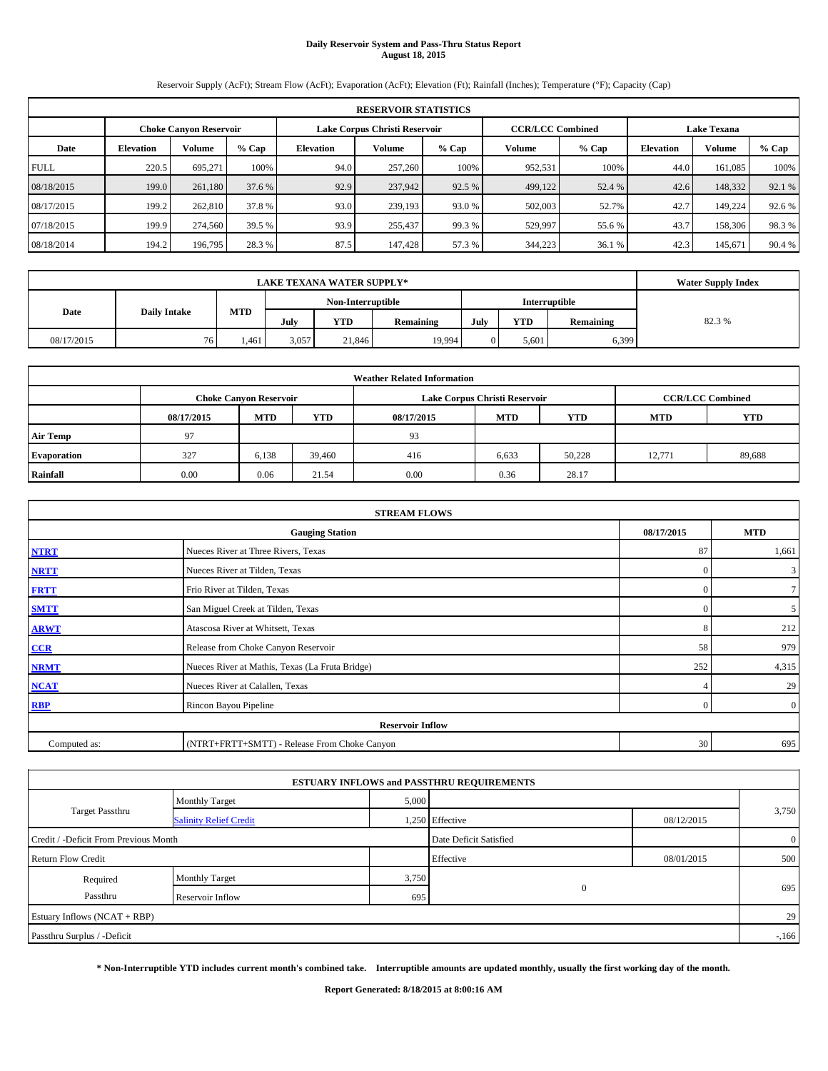# **Daily Reservoir System and Pass-Thru Status Report August 18, 2015**

Reservoir Supply (AcFt); Stream Flow (AcFt); Evaporation (AcFt); Elevation (Ft); Rainfall (Inches); Temperature (°F); Capacity (Cap)

|             | <b>RESERVOIR STATISTICS</b> |                               |        |                  |                               |         |                         |         |                    |         |         |  |  |
|-------------|-----------------------------|-------------------------------|--------|------------------|-------------------------------|---------|-------------------------|---------|--------------------|---------|---------|--|--|
|             |                             | <b>Choke Canvon Reservoir</b> |        |                  | Lake Corpus Christi Reservoir |         | <b>CCR/LCC Combined</b> |         | <b>Lake Texana</b> |         |         |  |  |
| Date        | <b>Elevation</b>            | Volume                        | % Cap  | <b>Elevation</b> | Volume                        | $%$ Cap | Volume                  | $%$ Cap | <b>Elevation</b>   | Volume  | $%$ Cap |  |  |
| <b>FULL</b> | 220.5                       | 695.271                       | 100%   | 94.0             | 257,260                       | 100%    | 952,531                 | 100%    | 44.0               | 161.085 | 100%    |  |  |
| 08/18/2015  | 199.0                       | 261.180                       | 37.6 % | 92.9             | 237,942                       | 92.5 %  | 499,122                 | 52.4 %  | 42.6               | 148,332 | 92.1 %  |  |  |
| 08/17/2015  | 199.2                       | 262,810                       | 37.8%  | 93.0             | 239.193                       | 93.0 %  | 502,003                 | 52.7%   | 42.7               | 149.224 | 92.6 %  |  |  |
| 07/18/2015  | 199.9                       | 274,560                       | 39.5 % | 93.9             | 255,437                       | 99.3 %  | 529,997                 | 55.6 %  | 43.7               | 158,306 | 98.3%   |  |  |
| 08/18/2014  | 194.2                       | 196,795                       | 28.3%  | 87.5             | 147.428                       | 57.3 %  | 344,223                 | 36.1 %  | 42.3               | 145,671 | 90.4 %  |  |  |

|            | <b>Water Supply Index</b>       |            |        |                   |           |       |            |                      |       |
|------------|---------------------------------|------------|--------|-------------------|-----------|-------|------------|----------------------|-------|
|            |                                 |            |        | Non-Interruptible |           |       |            | <b>Interruptible</b> |       |
| Date       | <b>Daily Intake</b>             | <b>MTD</b> | July   | YTD               | Remaining | July  | <b>YTD</b> | Remaining            | 82.3% |
| 08/17/2015 | 3,057<br>21,846<br>76.<br>1,461 |            | 19,994 |                   | 5.601     | 6,399 |            |                      |       |

|                    |            |                               |            | <b>Weather Related Information</b> |                               |                         |            |            |
|--------------------|------------|-------------------------------|------------|------------------------------------|-------------------------------|-------------------------|------------|------------|
|                    |            | <b>Choke Canyon Reservoir</b> |            |                                    | Lake Corpus Christi Reservoir | <b>CCR/LCC Combined</b> |            |            |
|                    | 08/17/2015 | <b>MTD</b>                    | <b>YTD</b> | 08/17/2015                         | <b>MTD</b>                    | <b>YTD</b>              | <b>MTD</b> | <b>YTD</b> |
| <b>Air Temp</b>    | 97         |                               |            | 93                                 |                               |                         |            |            |
| <b>Evaporation</b> | 327        | 6,138                         | 39,460     | 416                                | 6,633                         | 50.228                  | 12,771     | 89,688     |
| Rainfall           | 0.00       | 0.06                          | 21.54      | 0.00                               | 0.36                          | 28.17                   |            |            |

|              | <b>STREAM FLOWS</b>                             |            |                |  |  |  |  |  |  |  |
|--------------|-------------------------------------------------|------------|----------------|--|--|--|--|--|--|--|
|              | 08/17/2015                                      | <b>MTD</b> |                |  |  |  |  |  |  |  |
| <b>NTRT</b>  | Nueces River at Three Rivers, Texas             |            |                |  |  |  |  |  |  |  |
| <b>NRTT</b>  | Nueces River at Tilden, Texas                   | $\Omega$   | $\mathbf{3}$   |  |  |  |  |  |  |  |
| <b>FRTT</b>  | Frio River at Tilden, Texas                     | $\Omega$   | $7\phantom{.}$ |  |  |  |  |  |  |  |
| <b>SMTT</b>  | San Miguel Creek at Tilden, Texas               | $\Omega$   | 5 <sub>5</sub> |  |  |  |  |  |  |  |
| <b>ARWT</b>  | Atascosa River at Whitsett, Texas               | 8          | 212            |  |  |  |  |  |  |  |
| CCR          | Release from Choke Canyon Reservoir             | 58         | 979            |  |  |  |  |  |  |  |
| <b>NRMT</b>  | Nueces River at Mathis, Texas (La Fruta Bridge) | 252        | 4,315          |  |  |  |  |  |  |  |
| <b>NCAT</b>  | Nueces River at Calallen, Texas                 |            | 29             |  |  |  |  |  |  |  |
| <b>RBP</b>   | Rincon Bayou Pipeline                           | $\Omega$   | $\overline{0}$ |  |  |  |  |  |  |  |
|              | <b>Reservoir Inflow</b>                         |            |                |  |  |  |  |  |  |  |
| Computed as: | (NTRT+FRTT+SMTT) - Release From Choke Canyon    | 30         | 695            |  |  |  |  |  |  |  |

|                                       |                               |       | <b>ESTUARY INFLOWS and PASSTHRU REQUIREMENTS</b> |            |                |
|---------------------------------------|-------------------------------|-------|--------------------------------------------------|------------|----------------|
|                                       | <b>Monthly Target</b>         | 5,000 |                                                  |            |                |
| <b>Target Passthru</b>                | <b>Salinity Relief Credit</b> |       | 1,250 Effective                                  | 08/12/2015 | 3,750          |
| Credit / -Deficit From Previous Month |                               |       | Date Deficit Satisfied                           |            | $\overline{0}$ |
| <b>Return Flow Credit</b>             |                               |       | Effective                                        | 08/01/2015 | 500            |
| Required                              | <b>Monthly Target</b>         | 3,750 |                                                  |            |                |
| Passthru                              | Reservoir Inflow              | 695   | $\mathbf{0}$                                     |            | 695            |
| Estuary Inflows (NCAT + RBP)          |                               |       |                                                  |            | 29             |
| Passthru Surplus / -Deficit           |                               |       |                                                  |            | $-166$         |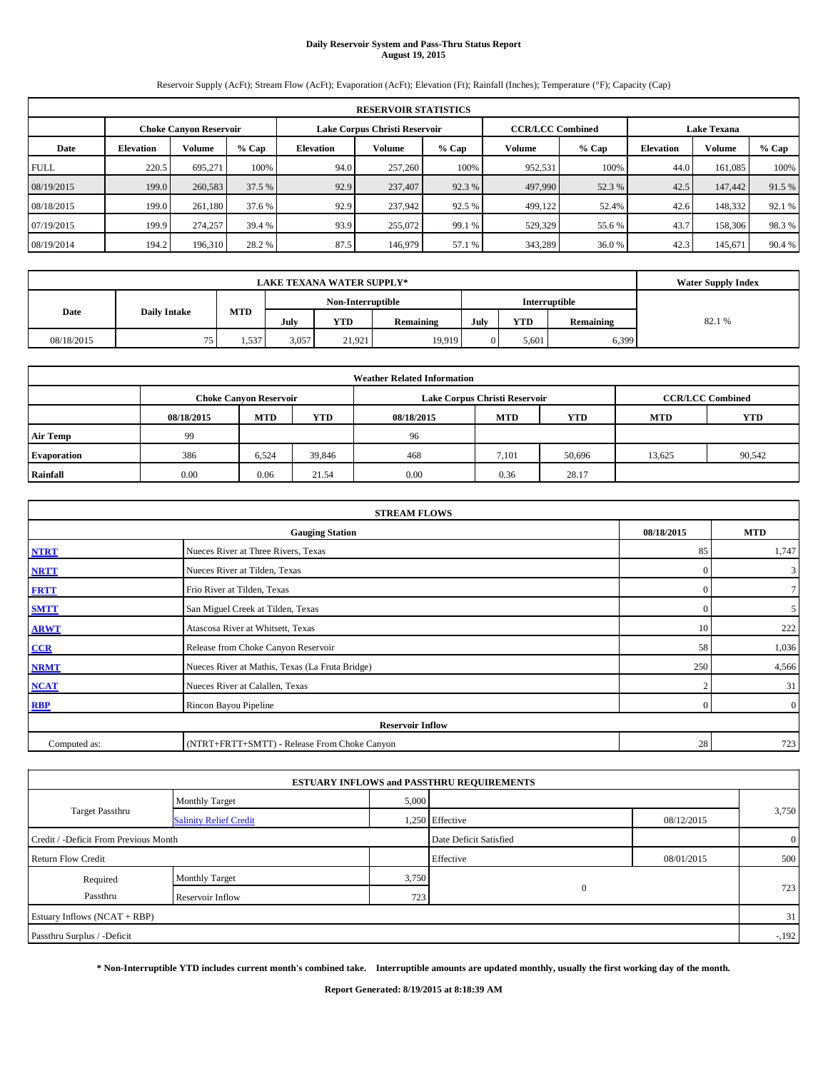# **Daily Reservoir System and Pass-Thru Status Report August 19, 2015**

Reservoir Supply (AcFt); Stream Flow (AcFt); Evaporation (AcFt); Elevation (Ft); Rainfall (Inches); Temperature (°F); Capacity (Cap)

|             | <b>RESERVOIR STATISTICS</b> |                               |         |           |                               |        |                                               |        |                  |         |         |  |  |
|-------------|-----------------------------|-------------------------------|---------|-----------|-------------------------------|--------|-----------------------------------------------|--------|------------------|---------|---------|--|--|
|             |                             | <b>Choke Canvon Reservoir</b> |         |           | Lake Corpus Christi Reservoir |        | <b>CCR/LCC Combined</b><br><b>Lake Texana</b> |        |                  |         |         |  |  |
| Date        | <b>Elevation</b>            | <b>Volume</b>                 | $%$ Cap | Elevation | Volume                        | % Cap  | Volume                                        | % Cap  | <b>Elevation</b> | Volume  | $%$ Cap |  |  |
| <b>FULL</b> | 220.5                       | 695.271                       | 100%    | 94.0      | 257,260                       | 100%   | 952,531                                       | 100%   | 44.0             | 161.085 | 100%    |  |  |
| 08/19/2015  | 199.0                       | 260,583                       | 37.5 %  | 92.9      | 237,407                       | 92.3 % | 497,990                                       | 52.3 % | 42.5             | 147,442 | 91.5 %  |  |  |
| 08/18/2015  | 199.0                       | 261,180                       | 37.6 %  | 92.9      | 237,942                       | 92.5 % | 499,122                                       | 52.4%  | 42.6             | 148.332 | 92.1 %  |  |  |
| 07/19/2015  | 199.9                       | 274,257                       | 39.4 %  | 93.9      | 255,072                       | 99.1 % | 529,329                                       | 55.6 % | 43.7             | 158,306 | 98.3%   |  |  |
| 08/19/2014  | 194.2                       | 196,310                       | 28.2 %  | 87.5      | 146,979                       | 57.1 % | 343,289                                       | 36.0%  | 42.3             | 145,671 | 90.4 %  |  |  |

|            | <b>Water Supply Index</b> |                          |                                           |        |           |       |            |           |        |
|------------|---------------------------|--------------------------|-------------------------------------------|--------|-----------|-------|------------|-----------|--------|
|            |                           |                          | <b>Interruptible</b><br>Non-Interruptible |        |           |       |            |           |        |
| Date       | <b>Daily Intake</b>       | <b>MTD</b>               | July                                      | YTD    | Remaining | July  | <b>YTD</b> | Remaining | 82.1 % |
| 08/18/2015 | 75                        | 3,057<br>21.921<br>1,537 |                                           | 19,919 |           | 5.601 | 6,399      |           |        |

| <b>Weather Related Information</b> |            |                               |            |            |                               |                         |                          |        |  |  |  |
|------------------------------------|------------|-------------------------------|------------|------------|-------------------------------|-------------------------|--------------------------|--------|--|--|--|
|                                    |            | <b>Choke Canyon Reservoir</b> |            |            | Lake Corpus Christi Reservoir | <b>CCR/LCC Combined</b> |                          |        |  |  |  |
|                                    | 08/18/2015 | <b>MTD</b>                    | <b>YTD</b> | 08/18/2015 | <b>MTD</b>                    | <b>YTD</b>              | <b>MTD</b><br><b>YTD</b> |        |  |  |  |
| <b>Air Temp</b>                    | 99         |                               |            | 96         |                               |                         |                          |        |  |  |  |
| <b>Evaporation</b>                 | 386        | 6,524                         | 39,846     | 468        | 7,101                         | 50,696                  | 13,625                   | 90,542 |  |  |  |
| Rainfall                           | 0.00       | 0.06                          | 21.54      | 0.00       | 0.36                          | 28.17                   |                          |        |  |  |  |

|              | <b>STREAM FLOWS</b>                             |            |                |  |  |  |  |  |  |  |
|--------------|-------------------------------------------------|------------|----------------|--|--|--|--|--|--|--|
|              | 08/18/2015                                      | <b>MTD</b> |                |  |  |  |  |  |  |  |
| <b>NTRT</b>  | Nueces River at Three Rivers, Texas             | 85         | 1,747          |  |  |  |  |  |  |  |
| <b>NRTT</b>  | Nueces River at Tilden, Texas                   | $\Omega$   | $\mathbf{3}$   |  |  |  |  |  |  |  |
| <b>FRTT</b>  | Frio River at Tilden, Texas                     | $\Omega$   | $7\phantom{.}$ |  |  |  |  |  |  |  |
| <b>SMTT</b>  | San Miguel Creek at Tilden, Texas               | $\Omega$   | 5              |  |  |  |  |  |  |  |
| <b>ARWT</b>  | Atascosa River at Whitsett, Texas               | 10         | 222            |  |  |  |  |  |  |  |
| CCR          | Release from Choke Canyon Reservoir             | 58         | 1,036          |  |  |  |  |  |  |  |
| <b>NRMT</b>  | Nueces River at Mathis, Texas (La Fruta Bridge) | 250        | 4,566          |  |  |  |  |  |  |  |
| <b>NCAT</b>  | Nueces River at Calallen, Texas                 | $\sim$     | 31             |  |  |  |  |  |  |  |
| <b>RBP</b>   | Rincon Bayou Pipeline                           | $\Omega$   | $\overline{0}$ |  |  |  |  |  |  |  |
|              | <b>Reservoir Inflow</b>                         |            |                |  |  |  |  |  |  |  |
| Computed as: | (NTRT+FRTT+SMTT) - Release From Choke Canyon    |            |                |  |  |  |  |  |  |  |

|                                       |                               |       | <b>ESTUARY INFLOWS and PASSTHRU REQUIREMENTS</b> |            |                |
|---------------------------------------|-------------------------------|-------|--------------------------------------------------|------------|----------------|
|                                       | <b>Monthly Target</b>         | 5,000 |                                                  |            |                |
| <b>Target Passthru</b>                | <b>Salinity Relief Credit</b> |       | 1,250 Effective                                  | 08/12/2015 | 3,750          |
| Credit / -Deficit From Previous Month |                               |       | Date Deficit Satisfied                           |            | $\overline{0}$ |
| <b>Return Flow Credit</b>             |                               |       | Effective                                        | 08/01/2015 | 500            |
| Required                              | <b>Monthly Target</b>         | 3,750 |                                                  |            |                |
| Passthru                              | Reservoir Inflow              | 723   | $\mathbf{0}$                                     |            | 723            |
| Estuary Inflows (NCAT + RBP)          |                               |       |                                                  |            | 31             |
| Passthru Surplus / -Deficit           |                               |       |                                                  |            | $-192$         |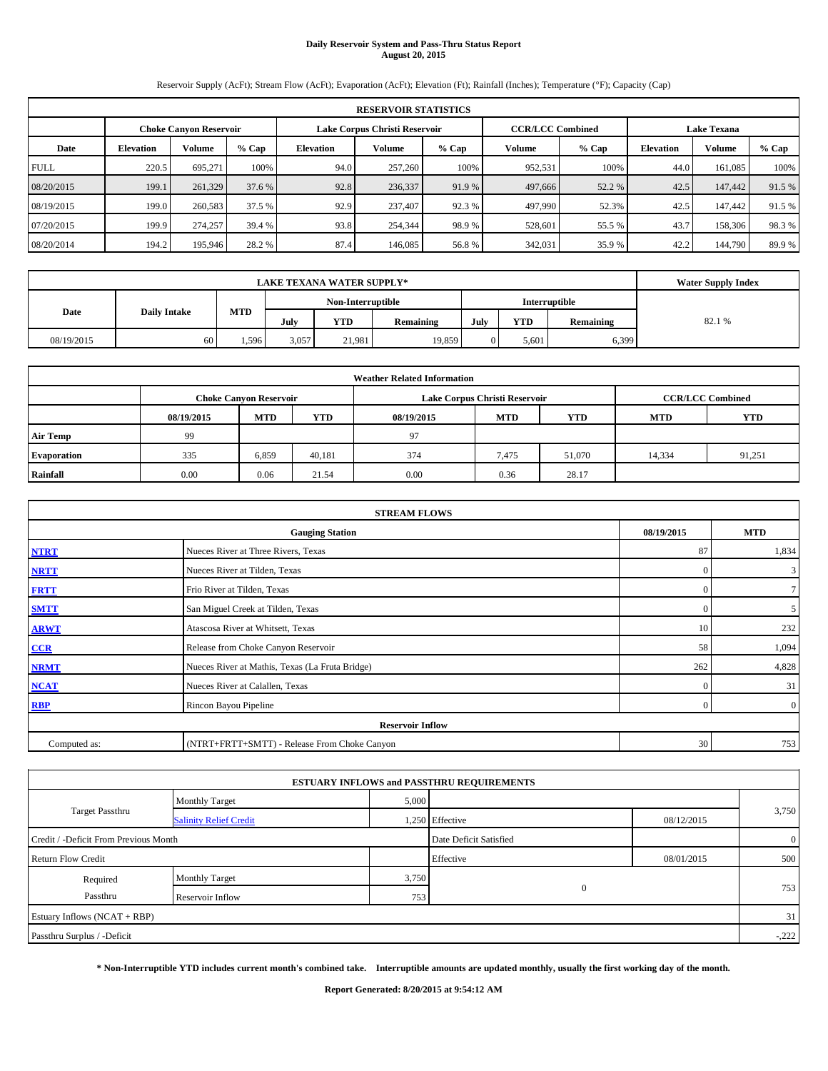# **Daily Reservoir System and Pass-Thru Status Report August 20, 2015**

Reservoir Supply (AcFt); Stream Flow (AcFt); Evaporation (AcFt); Elevation (Ft); Rainfall (Inches); Temperature (°F); Capacity (Cap)

|             | <b>RESERVOIR STATISTICS</b> |                               |        |                  |                               |        |                                               |        |                  |         |        |  |  |
|-------------|-----------------------------|-------------------------------|--------|------------------|-------------------------------|--------|-----------------------------------------------|--------|------------------|---------|--------|--|--|
|             |                             | <b>Choke Canvon Reservoir</b> |        |                  | Lake Corpus Christi Reservoir |        | <b>CCR/LCC Combined</b><br><b>Lake Texana</b> |        |                  |         |        |  |  |
| Date        | <b>Elevation</b>            | Volume                        | % Cap  | <b>Elevation</b> | $%$ Cap<br>Volume             |        | Volume                                        | % Cap  | <b>Elevation</b> | Volume  | % Cap  |  |  |
| <b>FULL</b> | 220.5                       | 695.271                       | 100%   | 94.0             | 257,260                       | 100%   | 952,531                                       | 100%   | 44.0             | 161.085 | 100%   |  |  |
| 08/20/2015  | 199.1                       | 261,329                       | 37.6 % | 92.8             | 236,337                       | 91.9 % | 497,666                                       | 52.2 % | 42.5             | 147,442 | 91.5 % |  |  |
| 08/19/2015  | 199.0                       | 260,583                       | 37.5 % | 92.9             | 237,407                       | 92.3 % | 497,990                                       | 52.3%  | 42.5             | 147,442 | 91.5 % |  |  |
| 07/20/2015  | 199.9                       | 274,257                       | 39.4 % | 93.8             | 254,344                       | 98.9%  | 528,601                                       | 55.5 % | 43.7             | 158,306 | 98.3%  |  |  |
| 08/20/2014  | 194.2                       | 195,946                       | 28.2 % | 87.4             | 146,085                       | 56.8%  | 342,031                                       | 35.9%  | 42.2             | 144,790 | 89.9%  |  |  |

|            | <b>Water Supply Index</b> |            |       |                   |                  |      |            |               |        |
|------------|---------------------------|------------|-------|-------------------|------------------|------|------------|---------------|--------|
|            |                           |            |       | Non-Interruptible |                  |      |            | Interruptible |        |
| Date       | <b>Daily Intake</b>       | <b>MTD</b> | July  | YTD               | <b>Remaining</b> | July | <b>YTD</b> | Remaining     | 82.1 % |
| 08/19/2015 | 60                        | . 596      | 3,057 | 21,981            | 19,859           |      | 5.601      | 6,399         |        |

| <b>Weather Related Information</b> |            |                               |            |            |                               |                         |            |            |  |  |  |  |  |
|------------------------------------|------------|-------------------------------|------------|------------|-------------------------------|-------------------------|------------|------------|--|--|--|--|--|
|                                    |            | <b>Choke Canyon Reservoir</b> |            |            | Lake Corpus Christi Reservoir | <b>CCR/LCC Combined</b> |            |            |  |  |  |  |  |
|                                    | 08/19/2015 | <b>MTD</b>                    | <b>YTD</b> | 08/19/2015 | <b>MTD</b>                    | <b>YTD</b>              | <b>MTD</b> | <b>YTD</b> |  |  |  |  |  |
| <b>Air Temp</b>                    | 99         |                               |            | 97         |                               |                         |            |            |  |  |  |  |  |
| <b>Evaporation</b>                 | 335        | 6,859                         | 40,181     | 374        | 7,475                         | 51,070                  | 14,334     | 91,251     |  |  |  |  |  |
| Rainfall                           | 0.00       | 0.06                          | 21.54      | 0.00       | 0.36                          | 28.17                   |            |            |  |  |  |  |  |

| <b>STREAM FLOWS</b> |                                                 |            |                |  |  |  |  |  |  |
|---------------------|-------------------------------------------------|------------|----------------|--|--|--|--|--|--|
|                     | 08/19/2015                                      | <b>MTD</b> |                |  |  |  |  |  |  |
| <b>NTRT</b>         | Nueces River at Three Rivers, Texas             | 87         | 1,834          |  |  |  |  |  |  |
| <b>NRTT</b>         | Nueces River at Tilden, Texas                   | $\Omega$   | $\mathbf{3}$   |  |  |  |  |  |  |
| <b>FRTT</b>         | Frio River at Tilden, Texas                     | $\Omega$   | $7\phantom{.}$ |  |  |  |  |  |  |
| <b>SMTT</b>         | San Miguel Creek at Tilden, Texas               | $\Omega$   | 5 <sup>5</sup> |  |  |  |  |  |  |
| <b>ARWT</b>         | Atascosa River at Whitsett, Texas               | 10         | 232            |  |  |  |  |  |  |
| CCR                 | Release from Choke Canyon Reservoir             | 58         | 1,094          |  |  |  |  |  |  |
| <b>NRMT</b>         | Nueces River at Mathis, Texas (La Fruta Bridge) | 262        | 4,828          |  |  |  |  |  |  |
| <b>NCAT</b>         | Nueces River at Calallen, Texas                 | $\Omega$   | 31             |  |  |  |  |  |  |
| <b>RBP</b>          | Rincon Bayou Pipeline                           | $\Omega$   | $\overline{0}$ |  |  |  |  |  |  |
|                     | <b>Reservoir Inflow</b>                         |            |                |  |  |  |  |  |  |
| Computed as:        | (NTRT+FRTT+SMTT) - Release From Choke Canyon    | 30         | 753            |  |  |  |  |  |  |

|                                       |                               |       | <b>ESTUARY INFLOWS and PASSTHRU REQUIREMENTS</b> |            |                |
|---------------------------------------|-------------------------------|-------|--------------------------------------------------|------------|----------------|
|                                       | <b>Monthly Target</b>         | 5,000 |                                                  |            |                |
| <b>Target Passthru</b>                | <b>Salinity Relief Credit</b> |       | 1,250 Effective                                  | 08/12/2015 | 3,750          |
| Credit / -Deficit From Previous Month |                               |       | Date Deficit Satisfied                           |            | $\overline{0}$ |
| <b>Return Flow Credit</b>             |                               |       | Effective                                        | 08/01/2015 | 500            |
| Required                              | <b>Monthly Target</b>         | 3,750 |                                                  |            |                |
| Passthru                              | Reservoir Inflow              | 753   | $\mathbf{0}$                                     |            | 753            |
| Estuary Inflows (NCAT + RBP)          |                               |       |                                                  |            | 31             |
| Passthru Surplus / -Deficit           |                               |       |                                                  |            | $-.222$        |
|                                       |                               |       |                                                  |            |                |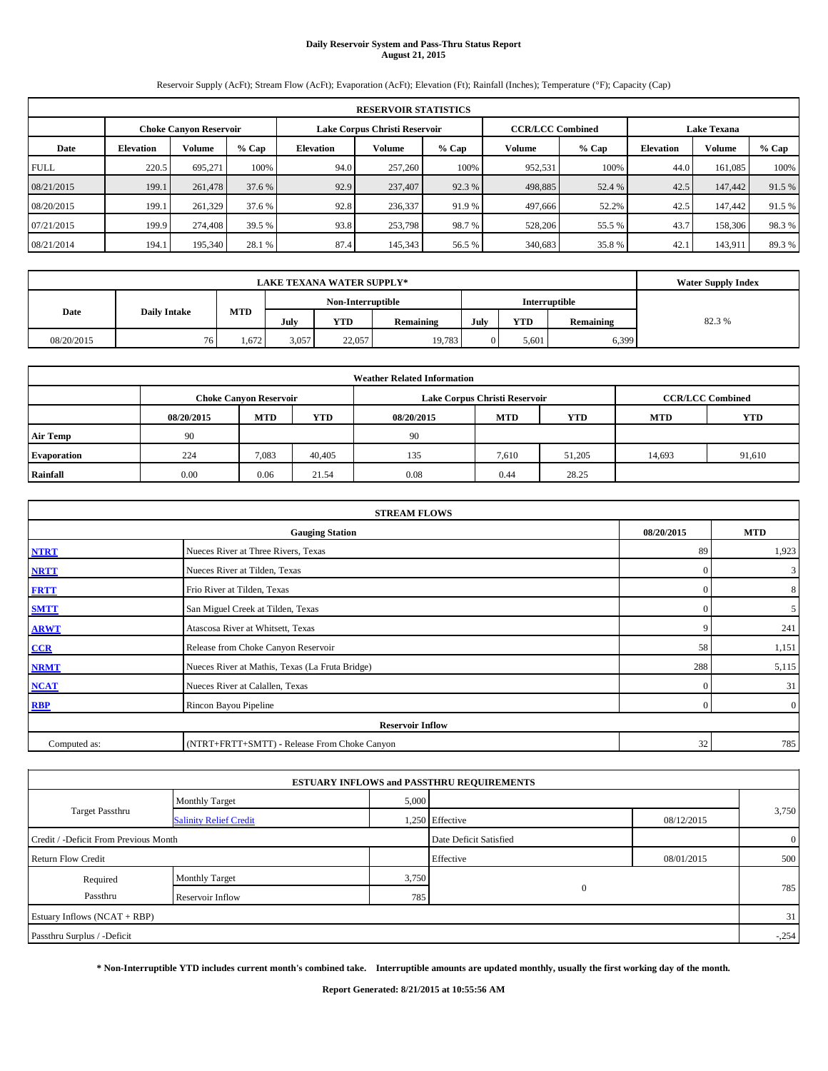# **Daily Reservoir System and Pass-Thru Status Report August 21, 2015**

Reservoir Supply (AcFt); Stream Flow (AcFt); Evaporation (AcFt); Elevation (Ft); Rainfall (Inches); Temperature (°F); Capacity (Cap)

|             | <b>RESERVOIR STATISTICS</b> |                               |         |                  |                               |         |         |                         |                    |         |        |  |  |  |  |
|-------------|-----------------------------|-------------------------------|---------|------------------|-------------------------------|---------|---------|-------------------------|--------------------|---------|--------|--|--|--|--|
|             |                             | <b>Choke Canvon Reservoir</b> |         |                  | Lake Corpus Christi Reservoir |         |         | <b>CCR/LCC Combined</b> | <b>Lake Texana</b> |         |        |  |  |  |  |
| Date        | <b>Elevation</b>            | Volume                        | $%$ Cap | <b>Elevation</b> | Volume                        | $%$ Cap | Volume  | $%$ Cap                 | <b>Elevation</b>   | Volume  | % Cap  |  |  |  |  |
| <b>FULL</b> | 220.5                       | 695.271                       | 100%    | 94.0             | 257,260                       | 100%    | 952,531 | 100%                    | 44.0               | 161.085 | 100%   |  |  |  |  |
| 08/21/2015  | 199.1                       | 261,478                       | 37.6 %  | 92.9             | 237,407                       | 92.3 %  | 498,885 | 52.4 %                  | 42.5               | 147,442 | 91.5 % |  |  |  |  |
| 08/20/2015  | 199.1                       | 261,329                       | 37.6 %  | 92.8             | 236.337                       | 91.9 %  | 497,666 | 52.2%                   | 42.5               | 147,442 | 91.5 % |  |  |  |  |
| 07/21/2015  | 199.9                       | 274,408                       | 39.5 %  | 93.8             | 253,798                       | 98.7 %  | 528,206 | 55.5 %                  | 43.7               | 158,306 | 98.3%  |  |  |  |  |
| 08/21/2014  | 194.1                       | 195,340                       | 28.1 %  | 87.4             | 145,343                       | 56.5 %  | 340,683 | 35.8%                   | 42.1               | 143,911 | 89.3 % |  |  |  |  |

|            | <b>Water Supply Index</b> |            |                                    |            |           |      |            |           |       |
|------------|---------------------------|------------|------------------------------------|------------|-----------|------|------------|-----------|-------|
|            |                           |            | Non-Interruptible<br>Interruptible |            |           |      |            |           |       |
| Date       | <b>Daily Intake</b>       | <b>MTD</b> | July                               | <b>YTD</b> | Remaining | July | <b>YTD</b> | Remaining | 82.3% |
| 08/20/2015 | 76.                       | 1,672      | 3,057                              | 22,057     | 19,783    |      | 5.601      | 6,399     |       |

| <b>Weather Related Information</b> |            |                               |            |            |                               |                         |            |            |  |  |  |  |  |
|------------------------------------|------------|-------------------------------|------------|------------|-------------------------------|-------------------------|------------|------------|--|--|--|--|--|
|                                    |            | <b>Choke Canyon Reservoir</b> |            |            | Lake Corpus Christi Reservoir | <b>CCR/LCC Combined</b> |            |            |  |  |  |  |  |
|                                    | 08/20/2015 | <b>MTD</b>                    | <b>YTD</b> | 08/20/2015 | <b>MTD</b>                    | <b>YTD</b>              | <b>MTD</b> | <b>YTD</b> |  |  |  |  |  |
| <b>Air Temp</b>                    | 90         |                               |            | 90         |                               |                         |            |            |  |  |  |  |  |
| Evaporation                        | 224        | 7,083                         | 40.405     | 135        | 7,610                         | 51,205                  | 14,693     | 91,610     |  |  |  |  |  |
| Rainfall                           | 0.00       | 0.06                          | 21.54      | 0.08       | 0.44                          | 28.25                   |            |            |  |  |  |  |  |

| <b>STREAM FLOWS</b> |                                                 |            |                |  |  |  |  |  |  |
|---------------------|-------------------------------------------------|------------|----------------|--|--|--|--|--|--|
|                     | 08/20/2015                                      | <b>MTD</b> |                |  |  |  |  |  |  |
| <b>NTRT</b>         | Nueces River at Three Rivers, Texas             | 89         | 1,923          |  |  |  |  |  |  |
| <b>NRTT</b>         | Nueces River at Tilden, Texas                   | $\Omega$   | $\mathbf{3}$   |  |  |  |  |  |  |
| <b>FRTT</b>         | Frio River at Tilden, Texas                     | $\Omega$   | 8              |  |  |  |  |  |  |
| <b>SMTT</b>         | San Miguel Creek at Tilden, Texas               | $\Omega$   | 5 <sup>5</sup> |  |  |  |  |  |  |
| <b>ARWT</b>         | Atascosa River at Whitsett, Texas               | c          | 241            |  |  |  |  |  |  |
| CCR                 | Release from Choke Canyon Reservoir             | 58         | 1,151          |  |  |  |  |  |  |
| <b>NRMT</b>         | Nueces River at Mathis, Texas (La Fruta Bridge) | 288        | 5,115          |  |  |  |  |  |  |
| <b>NCAT</b>         | Nueces River at Calallen, Texas                 | $\Omega$   | 31             |  |  |  |  |  |  |
| <b>RBP</b>          | Rincon Bayou Pipeline                           | $\Omega$   | $\overline{0}$ |  |  |  |  |  |  |
|                     | <b>Reservoir Inflow</b>                         |            |                |  |  |  |  |  |  |
| Computed as:        | (NTRT+FRTT+SMTT) - Release From Choke Canyon    | 32         | 785            |  |  |  |  |  |  |

| 5,000<br><b>Monthly Target</b><br><b>Target Passthru</b><br>1,250 Effective<br>08/12/2015<br><b>Salinity Relief Credit</b> |                |
|----------------------------------------------------------------------------------------------------------------------------|----------------|
|                                                                                                                            |                |
|                                                                                                                            | 3,750          |
| Date Deficit Satisfied<br>Credit / -Deficit From Previous Month                                                            | $\overline{0}$ |
| Effective<br><b>Return Flow Credit</b><br>08/01/2015                                                                       | 500            |
| 3,750<br><b>Monthly Target</b><br>Required                                                                                 |                |
| $\mathbf{0}$<br>Passthru<br>785<br>Reservoir Inflow                                                                        | 785            |
| Estuary Inflows (NCAT + RBP)                                                                                               | 31             |
| Passthru Surplus / -Deficit                                                                                                | $-.254$        |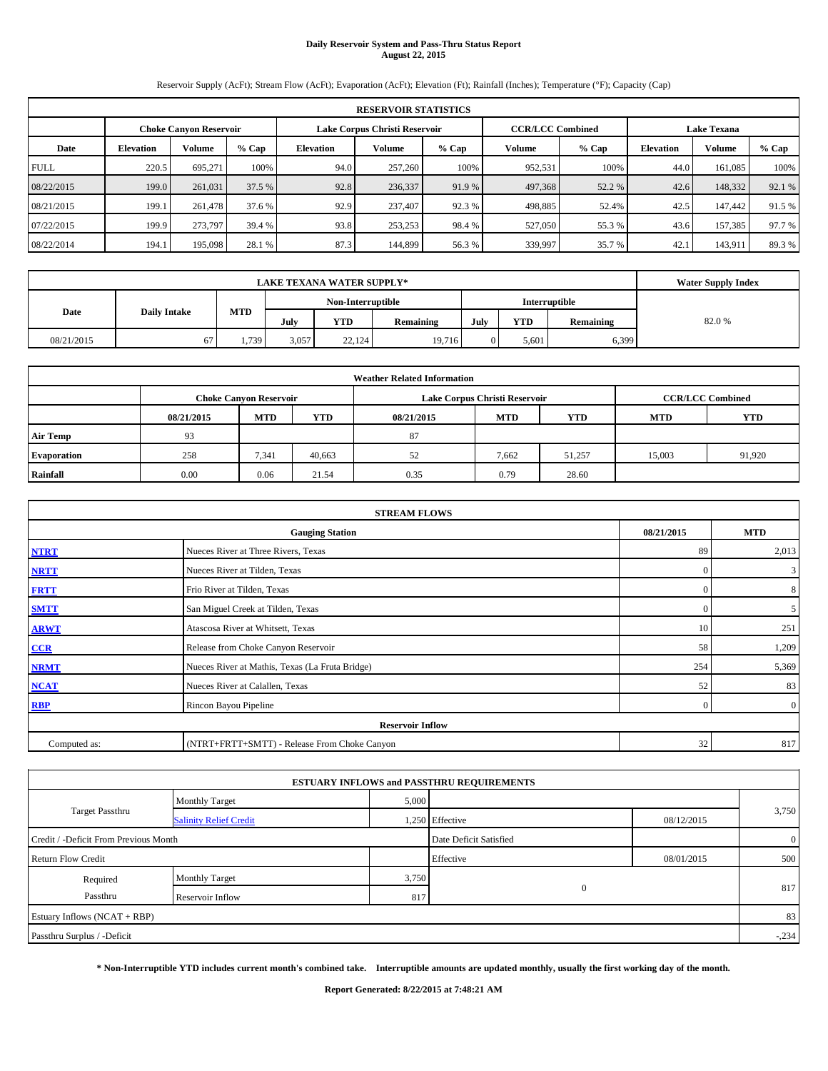# **Daily Reservoir System and Pass-Thru Status Report August 22, 2015**

Reservoir Supply (AcFt); Stream Flow (AcFt); Evaporation (AcFt); Elevation (Ft); Rainfall (Inches); Temperature (°F); Capacity (Cap)

|             | <b>RESERVOIR STATISTICS</b> |                               |        |           |                               |         |                         |         |                    |         |        |  |  |  |  |
|-------------|-----------------------------|-------------------------------|--------|-----------|-------------------------------|---------|-------------------------|---------|--------------------|---------|--------|--|--|--|--|
|             |                             | <b>Choke Canvon Reservoir</b> |        |           | Lake Corpus Christi Reservoir |         | <b>CCR/LCC Combined</b> |         | <b>Lake Texana</b> |         |        |  |  |  |  |
| Date        | <b>Elevation</b>            | Volume                        | % Cap  | Elevation | Volume                        | $%$ Cap | Volume                  | $%$ Cap | <b>Elevation</b>   | Volume  | % Cap  |  |  |  |  |
| <b>FULL</b> | 220.5                       | 695.271                       | 100%   | 94.0      | 257,260                       | 100%    | 952,531                 | 100%    | 44.0               | 161.085 | 100%   |  |  |  |  |
| 08/22/2015  | 199.0                       | 261,031                       | 37.5 % | 92.8      | 236,337                       | 91.9 %  | 497,368                 | 52.2 %  | 42.6               | 148,332 | 92.1 % |  |  |  |  |
| 08/21/2015  | 199.1                       | 261.478                       | 37.6 % | 92.9      | 237,407                       | 92.3 %  | 498,885                 | 52.4%   | 42.5               | 147,442 | 91.5 % |  |  |  |  |
| 07/22/2015  | 199.9                       | 273,797                       | 39.4 % | 93.8      | 253,253                       | 98.4 %  | 527,050                 | 55.3 %  | 43.6               | 157,385 | 97.7%  |  |  |  |  |
| 08/22/2014  | 194.1                       | 195,098                       | 28.1 % | 87.3      | 144,899                       | 56.3%   | 339,997                 | 35.7 %  | 42.1               | 143,911 | 89.3 % |  |  |  |  |

|            | <b>Water Supply Index</b> |            |                   |            |           |      |            |               |       |
|------------|---------------------------|------------|-------------------|------------|-----------|------|------------|---------------|-------|
|            |                           |            | Non-Interruptible |            |           |      |            | Interruptible |       |
| Date       | <b>Daily Intake</b>       | <b>MTD</b> | July              | <b>YTD</b> | Remaining | July | <b>YTD</b> | Remaining     | 82.0% |
| 08/21/2015 | 07                        | 1,739      | 3,057             | 22,124     | 19,716    |      | 5.601      | 6,399         |       |

| <b>Weather Related Information</b> |            |                               |            |            |                               |                         |            |            |  |  |  |  |  |
|------------------------------------|------------|-------------------------------|------------|------------|-------------------------------|-------------------------|------------|------------|--|--|--|--|--|
|                                    |            | <b>Choke Canyon Reservoir</b> |            |            | Lake Corpus Christi Reservoir | <b>CCR/LCC Combined</b> |            |            |  |  |  |  |  |
|                                    | 08/21/2015 | <b>MTD</b>                    | <b>YTD</b> | 08/21/2015 | <b>MTD</b>                    | <b>YTD</b>              | <b>MTD</b> | <b>YTD</b> |  |  |  |  |  |
| <b>Air Temp</b>                    | 93         |                               |            | 87         |                               |                         |            |            |  |  |  |  |  |
| Evaporation                        | 258        | 7,341                         | 40,663     | 52         | 7,662                         | 51,257                  | 15,003     | 91,920     |  |  |  |  |  |
| Rainfall                           | 0.00       | 0.06                          | 21.54      | 0.35       | 0.79                          | 28.60                   |            |            |  |  |  |  |  |

|              | <b>STREAM FLOWS</b>                             |            |                |  |  |  |  |  |  |  |
|--------------|-------------------------------------------------|------------|----------------|--|--|--|--|--|--|--|
|              | <b>Gauging Station</b>                          | 08/21/2015 | <b>MTD</b>     |  |  |  |  |  |  |  |
| <b>NTRT</b>  | Nueces River at Three Rivers, Texas             | 89         | 2,013          |  |  |  |  |  |  |  |
| <b>NRTT</b>  | Nueces River at Tilden, Texas                   | $\Omega$   | $\mathbf{3}$   |  |  |  |  |  |  |  |
| <b>FRTT</b>  | Frio River at Tilden, Texas                     | $\Omega$   | 8              |  |  |  |  |  |  |  |
| <b>SMTT</b>  | San Miguel Creek at Tilden, Texas               | $\Omega$   | 5 <sup>5</sup> |  |  |  |  |  |  |  |
| <b>ARWT</b>  | Atascosa River at Whitsett, Texas               | 10         | 251            |  |  |  |  |  |  |  |
| CCR          | Release from Choke Canyon Reservoir             | 58         | 1,209          |  |  |  |  |  |  |  |
| <b>NRMT</b>  | Nueces River at Mathis, Texas (La Fruta Bridge) | 254        | 5,369          |  |  |  |  |  |  |  |
| <b>NCAT</b>  | Nueces River at Calallen, Texas                 | 52         | 83             |  |  |  |  |  |  |  |
| <b>RBP</b>   | Rincon Bayou Pipeline                           | $\Omega$   | $\overline{0}$ |  |  |  |  |  |  |  |
|              | <b>Reservoir Inflow</b>                         |            |                |  |  |  |  |  |  |  |
| Computed as: | (NTRT+FRTT+SMTT) - Release From Choke Canyon    | 32         | 817            |  |  |  |  |  |  |  |

| 5,000<br><b>Monthly Target</b><br><b>Target Passthru</b><br>1,250 Effective<br>08/12/2015<br><b>Salinity Relief Credit</b><br>Date Deficit Satisfied<br>Credit / -Deficit From Previous Month |                |  |
|-----------------------------------------------------------------------------------------------------------------------------------------------------------------------------------------------|----------------|--|
|                                                                                                                                                                                               |                |  |
|                                                                                                                                                                                               | 3,750          |  |
|                                                                                                                                                                                               | $\overline{0}$ |  |
| Effective<br><b>Return Flow Credit</b><br>08/01/2015                                                                                                                                          | 500            |  |
| 3,750<br><b>Monthly Target</b><br>Required                                                                                                                                                    | 817            |  |
| $\mathbf{0}$<br>Passthru<br>817<br>Reservoir Inflow                                                                                                                                           |                |  |
| Estuary Inflows (NCAT + RBP)                                                                                                                                                                  | 83             |  |
| Passthru Surplus / -Deficit                                                                                                                                                                   | $-.234$        |  |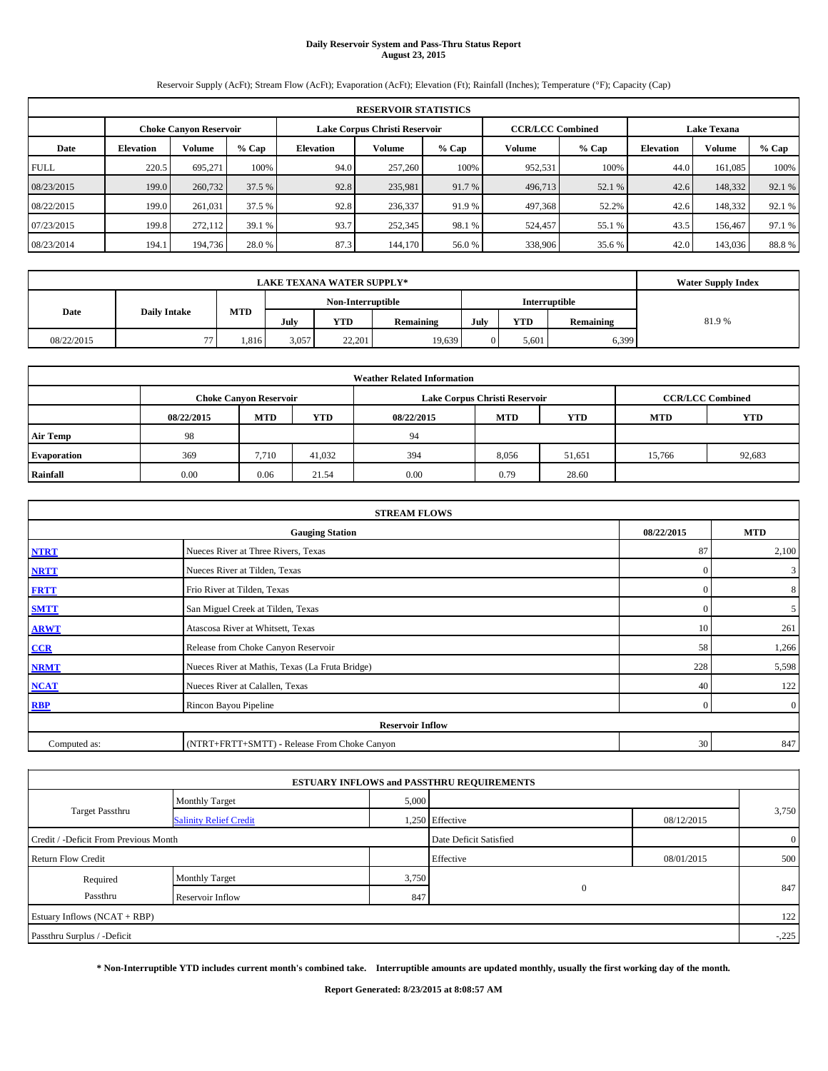# **Daily Reservoir System and Pass-Thru Status Report August 23, 2015**

Reservoir Supply (AcFt); Stream Flow (AcFt); Evaporation (AcFt); Elevation (Ft); Rainfall (Inches); Temperature (°F); Capacity (Cap)

|             | <b>RESERVOIR STATISTICS</b>   |               |         |                               |         |        |                         |        |                    |         |         |  |
|-------------|-------------------------------|---------------|---------|-------------------------------|---------|--------|-------------------------|--------|--------------------|---------|---------|--|
|             | <b>Choke Canvon Reservoir</b> |               |         | Lake Corpus Christi Reservoir |         |        | <b>CCR/LCC Combined</b> |        | <b>Lake Texana</b> |         |         |  |
| Date        | <b>Elevation</b>              | <b>Volume</b> | $%$ Cap | Elevation                     | Volume  | % Cap  | Volume                  | % Cap  | <b>Elevation</b>   | Volume  | $%$ Cap |  |
| <b>FULL</b> | 220.5                         | 695.271       | 100%    | 94.0                          | 257,260 | 100%   | 952,531                 | 100%   | 44.0               | 161.085 | 100%    |  |
| 08/23/2015  | 199.0                         | 260,732       | 37.5 %  | 92.8                          | 235,981 | 91.7 % | 496,713                 | 52.1 % | 42.6               | 148,332 | 92.1 %  |  |
| 08/22/2015  | 199.0                         | 261.031       | 37.5 %  | 92.8                          | 236,337 | 91.9 % | 497,368                 | 52.2%  | 42.6               | 148.332 | 92.1 %  |  |
| 07/23/2015  | 199.8                         | 272,112       | 39.1%   | 93.7                          | 252,345 | 98.1 % | 524,457                 | 55.1 % | 43.5               | 156,467 | 97.1 %  |  |
| 08/23/2014  | 194.1                         | 194,736       | 28.0 %  | 87.3                          | 144,170 | 56.0%  | 338,906                 | 35.6 % | 42.0               | 143,036 | 88.8%   |  |

| <b>LAKE TEXANA WATER SUPPLY*</b> |                     |            |       |                      |           |      |            |           | <b>Water Supply Index</b> |
|----------------------------------|---------------------|------------|-------|----------------------|-----------|------|------------|-----------|---------------------------|
|                                  | Non-Interruptible   |            |       | <b>Interruptible</b> |           |      |            |           |                           |
| Date                             | <b>Daily Intake</b> | <b>MTD</b> | July  | YTD                  | Remaining | July | <b>YTD</b> | Remaining | 81.9%                     |
| 08/22/2015                       | $\overline{a}$      | .816       | 3,057 | 22.201               | 19,639    |      | 5.601      | 6,399     |                           |

|                    | <b>Weather Related Information</b> |                               |            |            |                               |                         |            |            |  |  |  |
|--------------------|------------------------------------|-------------------------------|------------|------------|-------------------------------|-------------------------|------------|------------|--|--|--|
|                    |                                    | <b>Choke Canyon Reservoir</b> |            |            | Lake Corpus Christi Reservoir | <b>CCR/LCC Combined</b> |            |            |  |  |  |
|                    | 08/22/2015                         | <b>MTD</b>                    | <b>YTD</b> | 08/22/2015 | <b>MTD</b>                    | <b>YTD</b>              | <b>MTD</b> | <b>YTD</b> |  |  |  |
| <b>Air Temp</b>    | 98                                 |                               |            | 94         |                               |                         |            |            |  |  |  |
| <b>Evaporation</b> | 369                                | 7.710                         | 41,032     | 394        | 8,056                         | 51,651                  | 15,766     | 92,683     |  |  |  |
| Rainfall           | 0.00                               | 0.06                          | 21.54      | 0.00       | 0.79                          | 28.60                   |            |            |  |  |  |

|              | <b>STREAM FLOWS</b>                             |            |                |  |  |  |  |  |  |  |
|--------------|-------------------------------------------------|------------|----------------|--|--|--|--|--|--|--|
|              | <b>Gauging Station</b>                          | 08/22/2015 | <b>MTD</b>     |  |  |  |  |  |  |  |
| <b>NTRT</b>  | Nueces River at Three Rivers, Texas             | 87         | 2,100          |  |  |  |  |  |  |  |
| <b>NRTT</b>  | Nueces River at Tilden, Texas                   | $\Omega$   | $\mathbf{3}$   |  |  |  |  |  |  |  |
| <b>FRTT</b>  | Frio River at Tilden, Texas                     | $\Omega$   | 8              |  |  |  |  |  |  |  |
| <b>SMTT</b>  | San Miguel Creek at Tilden, Texas               | $\Omega$   | 5 <sup>5</sup> |  |  |  |  |  |  |  |
| <b>ARWT</b>  | Atascosa River at Whitsett, Texas               | 10         | 261            |  |  |  |  |  |  |  |
| CCR          | Release from Choke Canyon Reservoir             | 58         | 1,266          |  |  |  |  |  |  |  |
| <b>NRMT</b>  | Nueces River at Mathis, Texas (La Fruta Bridge) | 228        | 5,598          |  |  |  |  |  |  |  |
| <b>NCAT</b>  | Nueces River at Calallen, Texas                 | 40         | 122            |  |  |  |  |  |  |  |
| <b>RBP</b>   | Rincon Bayou Pipeline                           | $\Omega$   | $\overline{0}$ |  |  |  |  |  |  |  |
|              | <b>Reservoir Inflow</b>                         |            |                |  |  |  |  |  |  |  |
| Computed as: | (NTRT+FRTT+SMTT) - Release From Choke Canyon    | 30         | 847            |  |  |  |  |  |  |  |

|                                       |                               |       | <b>ESTUARY INFLOWS and PASSTHRU REQUIREMENTS</b> |            |                |
|---------------------------------------|-------------------------------|-------|--------------------------------------------------|------------|----------------|
|                                       | <b>Monthly Target</b>         | 5,000 |                                                  |            |                |
| <b>Target Passthru</b>                | <b>Salinity Relief Credit</b> |       | 1,250 Effective                                  | 08/12/2015 | 3,750          |
| Credit / -Deficit From Previous Month |                               |       | Date Deficit Satisfied                           |            | $\overline{0}$ |
| <b>Return Flow Credit</b>             |                               |       | Effective                                        | 08/01/2015 | 500            |
| Required                              | <b>Monthly Target</b>         | 3,750 |                                                  |            |                |
| Passthru                              | Reservoir Inflow              | 847   | $\mathbf{0}$                                     |            | 847            |
| Estuary Inflows (NCAT + RBP)          |                               |       |                                                  |            | 122            |
| Passthru Surplus / -Deficit           |                               |       |                                                  |            | $-.225$        |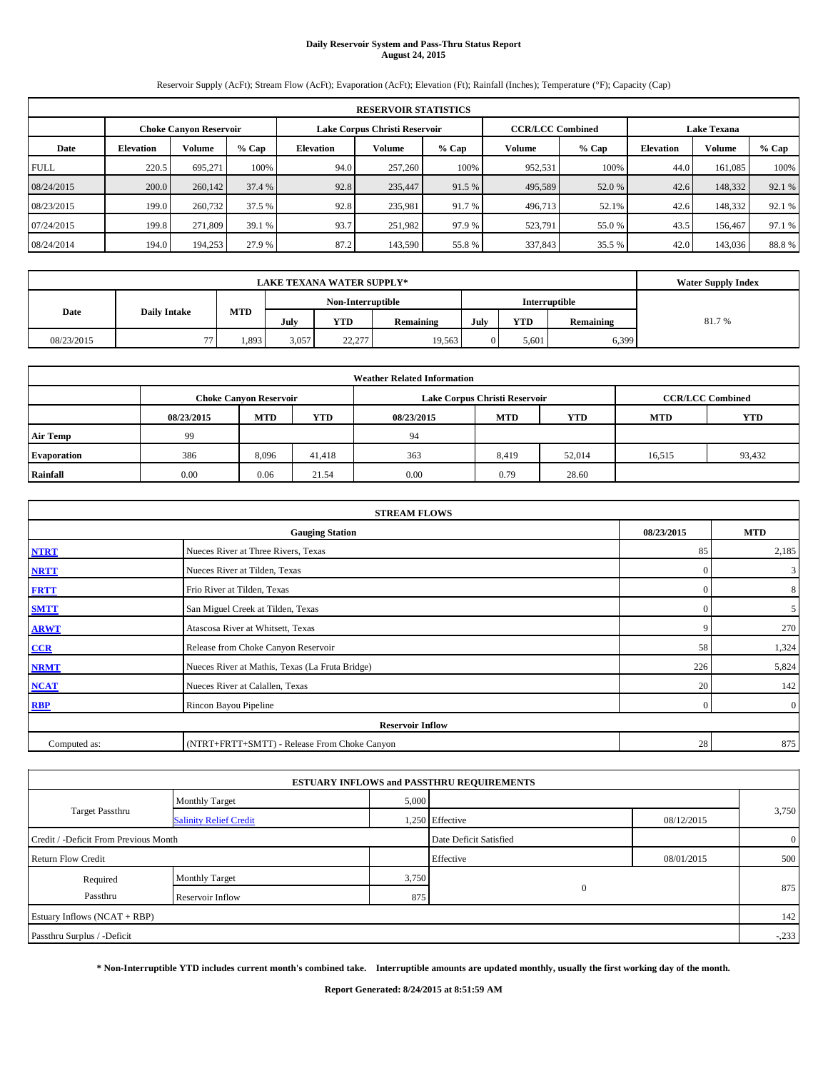# **Daily Reservoir System and Pass-Thru Status Report August 24, 2015**

Reservoir Supply (AcFt); Stream Flow (AcFt); Evaporation (AcFt); Elevation (Ft); Rainfall (Inches); Temperature (°F); Capacity (Cap)

|             | <b>RESERVOIR STATISTICS</b>   |               |         |                               |         |        |                         |        |                    |         |         |  |
|-------------|-------------------------------|---------------|---------|-------------------------------|---------|--------|-------------------------|--------|--------------------|---------|---------|--|
|             | <b>Choke Canvon Reservoir</b> |               |         | Lake Corpus Christi Reservoir |         |        | <b>CCR/LCC Combined</b> |        | <b>Lake Texana</b> |         |         |  |
| Date        | <b>Elevation</b>              | <b>Volume</b> | $%$ Cap | Elevation                     | Volume  | % Cap  | Volume                  | % Cap  | <b>Elevation</b>   | Volume  | $%$ Cap |  |
| <b>FULL</b> | 220.5                         | 695.271       | 100%    | 94.0                          | 257,260 | 100%   | 952,531                 | 100%   | 44.0               | 161.085 | 100%    |  |
| 08/24/2015  | 200.0                         | 260,142       | 37.4 %  | 92.8                          | 235,447 | 91.5 % | 495,589                 | 52.0 % | 42.6               | 148,332 | 92.1 %  |  |
| 08/23/2015  | 199.0                         | 260,732       | 37.5 %  | 92.8                          | 235,981 | 91.7 % | 496,713                 | 52.1%  | 42.6               | 148.332 | 92.1 %  |  |
| 07/24/2015  | 199.8                         | 271.809       | 39.1%   | 93.7                          | 251,982 | 97.9 % | 523,791                 | 55.0 % | 43.5               | 156,467 | 97.1 %  |  |
| 08/24/2014  | 194.0                         | 194,253       | 27.9 %  | 87.2                          | 143,590 | 55.8%  | 337,843                 | 35.5 % | 42.0               | 143,036 | 88.8%   |  |

| <b>LAKE TEXANA WATER SUPPLY*</b> |                     |                                           |       |        |           |      |            |           | <b>Water Supply Index</b> |
|----------------------------------|---------------------|-------------------------------------------|-------|--------|-----------|------|------------|-----------|---------------------------|
|                                  |                     | Non-Interruptible<br><b>Interruptible</b> |       |        |           |      |            |           |                           |
| Date                             | <b>Daily Intake</b> | <b>MTD</b>                                | July  | YTD    | Remaining | July | <b>YTD</b> | Remaining | 81.7%                     |
| 08/23/2015                       | $\overline{a}$      | .,893                                     | 3,057 | 22,277 | 19,563    |      | 5.601      | 6,399     |                           |

|                 | <b>Weather Related Information</b> |                               |        |            |                               |                         |            |            |  |  |  |  |
|-----------------|------------------------------------|-------------------------------|--------|------------|-------------------------------|-------------------------|------------|------------|--|--|--|--|
|                 |                                    | <b>Choke Canyon Reservoir</b> |        |            | Lake Corpus Christi Reservoir | <b>CCR/LCC Combined</b> |            |            |  |  |  |  |
|                 | 08/23/2015                         | <b>MTD</b>                    | YTD    | 08/23/2015 | <b>MTD</b>                    | <b>YTD</b>              | <b>MTD</b> | <b>YTD</b> |  |  |  |  |
| <b>Air Temp</b> | 99                                 |                               |        | 94         |                               |                         |            |            |  |  |  |  |
| Evaporation     | 386                                | 8,096                         | 41,418 | 363        | 8,419                         | 52,014                  | 16,515     | 93,432     |  |  |  |  |
| Rainfall        | 0.00                               | 0.06                          | 21.54  | 0.00       | 0.79                          | 28.60                   |            |            |  |  |  |  |

| <b>STREAM FLOWS</b> |                                                 |            |                |  |  |  |  |  |  |
|---------------------|-------------------------------------------------|------------|----------------|--|--|--|--|--|--|
|                     | <b>Gauging Station</b>                          | 08/23/2015 | <b>MTD</b>     |  |  |  |  |  |  |
| <b>NTRT</b>         | Nueces River at Three Rivers, Texas             | 85         | 2,185          |  |  |  |  |  |  |
| <b>NRTT</b>         | Nueces River at Tilden, Texas                   | $\Omega$   | $\mathbf{3}$   |  |  |  |  |  |  |
| <b>FRTT</b>         | Frio River at Tilden, Texas                     | $\Omega$   | 8              |  |  |  |  |  |  |
| <b>SMTT</b>         | San Miguel Creek at Tilden, Texas               | $\Omega$   | 5 <sup>5</sup> |  |  |  |  |  |  |
| <b>ARWT</b>         | Atascosa River at Whitsett, Texas               | q          | 270            |  |  |  |  |  |  |
| CCR                 | Release from Choke Canyon Reservoir             | 58         | 1,324          |  |  |  |  |  |  |
| <b>NRMT</b>         | Nueces River at Mathis, Texas (La Fruta Bridge) | 226        | 5,824          |  |  |  |  |  |  |
| <b>NCAT</b>         | Nueces River at Calallen, Texas                 | 20         | 142            |  |  |  |  |  |  |
| <b>RBP</b>          | Rincon Bayou Pipeline                           | $\Omega$   | $\overline{0}$ |  |  |  |  |  |  |
|                     | <b>Reservoir Inflow</b>                         |            |                |  |  |  |  |  |  |
| Computed as:        | (NTRT+FRTT+SMTT) - Release From Choke Canyon    | 28         | 875            |  |  |  |  |  |  |

|                                       |                               |       | <b>ESTUARY INFLOWS and PASSTHRU REQUIREMENTS</b> |            |                |
|---------------------------------------|-------------------------------|-------|--------------------------------------------------|------------|----------------|
|                                       | <b>Monthly Target</b>         | 5,000 |                                                  |            |                |
| <b>Target Passthru</b>                | <b>Salinity Relief Credit</b> |       | 1,250 Effective                                  | 08/12/2015 | 3,750          |
| Credit / -Deficit From Previous Month |                               |       | Date Deficit Satisfied                           |            | $\overline{0}$ |
| <b>Return Flow Credit</b>             |                               |       | Effective                                        | 08/01/2015 | 500            |
| Required                              | <b>Monthly Target</b>         | 3,750 |                                                  |            | 875            |
| Passthru                              | Reservoir Inflow              | 875   | $\mathbf{0}$                                     |            |                |
| Estuary Inflows (NCAT + RBP)          |                               |       |                                                  |            | 142            |
| Passthru Surplus / -Deficit           |                               |       |                                                  |            | $-.233$        |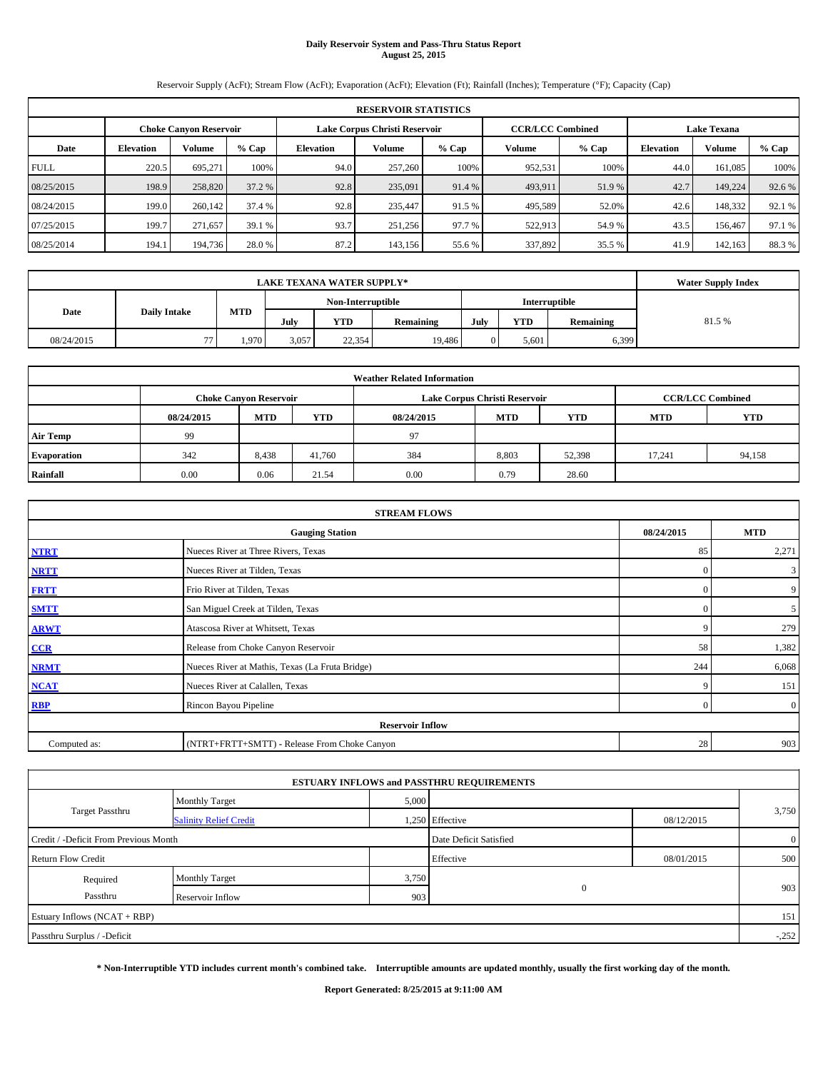# **Daily Reservoir System and Pass-Thru Status Report August 25, 2015**

Reservoir Supply (AcFt); Stream Flow (AcFt); Evaporation (AcFt); Elevation (Ft); Rainfall (Inches); Temperature (°F); Capacity (Cap)

|             | <b>RESERVOIR STATISTICS</b> |                               |         |                               |         |         |                         |         |                    |         |        |  |  |  |
|-------------|-----------------------------|-------------------------------|---------|-------------------------------|---------|---------|-------------------------|---------|--------------------|---------|--------|--|--|--|
|             |                             | <b>Choke Canvon Reservoir</b> |         | Lake Corpus Christi Reservoir |         |         | <b>CCR/LCC Combined</b> |         | <b>Lake Texana</b> |         |        |  |  |  |
| Date        | <b>Elevation</b>            | <b>Volume</b>                 | $%$ Cap | Elevation                     | Volume  | $%$ Cap | Volume                  | $%$ Cap | <b>Elevation</b>   | Volume  | % Cap  |  |  |  |
| <b>FULL</b> | 220.5                       | 695.271                       | 100%    | 94.0                          | 257,260 | 100%    | 952,531                 | 100%    | 44.0               | 161.085 | 100%   |  |  |  |
| 08/25/2015  | 198.9                       | 258,820                       | 37.2 %  | 92.8                          | 235,091 | 91.4 %  | 493,911                 | 51.9 %  | 42.7               | 149,224 | 92.6 % |  |  |  |
| 08/24/2015  | 199.0                       | 260,142                       | 37.4 %  | 92.8                          | 235,447 | 91.5 %  | 495,589                 | 52.0%   | 42.6               | 148,332 | 92.1 % |  |  |  |
| 07/25/2015  | 199.7                       | 271.657                       | 39.1 %  | 93.7                          | 251,256 | 97.7 %  | 522,913                 | 54.9 %  | 43.5               | 156,467 | 97.1 % |  |  |  |
| 08/25/2014  | 194.1                       | 194,736                       | 28.0 %  | 87.2                          | 143,156 | 55.6%   | 337,892                 | 35.5 %  | 41.9               | 142.163 | 88.3%  |  |  |  |

|            | <b>Water Supply Index</b> |            |                   |        |           |                      |            |           |       |
|------------|---------------------------|------------|-------------------|--------|-----------|----------------------|------------|-----------|-------|
|            |                           |            | Non-Interruptible |        |           | <b>Interruptible</b> |            |           |       |
| Date       | <b>Daily Intake</b>       | <b>MTD</b> | July              | YTD    | Remaining | July                 | <b>YTD</b> | Remaining | 81.5% |
| 08/24/2015 | $\overline{a}$            | 1,970      | 3,057             | 22,354 | 19.486    |                      | 5.601      | 6,399     |       |

| <b>Weather Related Information</b> |            |                               |            |            |                               |                         |            |            |  |  |  |  |
|------------------------------------|------------|-------------------------------|------------|------------|-------------------------------|-------------------------|------------|------------|--|--|--|--|
|                                    |            | <b>Choke Canyon Reservoir</b> |            |            | Lake Corpus Christi Reservoir | <b>CCR/LCC Combined</b> |            |            |  |  |  |  |
|                                    | 08/24/2015 | <b>MTD</b>                    | <b>YTD</b> | 08/24/2015 | <b>MTD</b>                    | <b>YTD</b>              | <b>MTD</b> | <b>YTD</b> |  |  |  |  |
| <b>Air Temp</b>                    | 99         |                               |            | 97         |                               |                         |            |            |  |  |  |  |
| <b>Evaporation</b>                 | 342        | 8,438                         | 41.760     | 384        | 8,803                         | 52,398                  | 17.241     | 94,158     |  |  |  |  |
| Rainfall                           | 0.00       | 0.06                          | 21.54      | 0.00       | 0.79                          | 28.60                   |            |            |  |  |  |  |

|              | <b>STREAM FLOWS</b>                             |                |                |  |  |  |  |  |  |
|--------------|-------------------------------------------------|----------------|----------------|--|--|--|--|--|--|
|              | 08/24/2015                                      | <b>MTD</b>     |                |  |  |  |  |  |  |
| <b>NTRT</b>  | Nueces River at Three Rivers, Texas             | 85             | 2,271          |  |  |  |  |  |  |
| <b>NRTT</b>  | Nueces River at Tilden, Texas                   | $\mathbf{0}$   | 3              |  |  |  |  |  |  |
| <b>FRTT</b>  | Frio River at Tilden, Texas                     | $\mathbf{0}$   | 9              |  |  |  |  |  |  |
| <b>SMTT</b>  | San Miguel Creek at Tilden, Texas               | $\Omega$       | 5              |  |  |  |  |  |  |
| <b>ARWT</b>  | Atascosa River at Whitsett, Texas               | 9              | 279            |  |  |  |  |  |  |
| CCR          | Release from Choke Canyon Reservoir             | 58             | 1,382          |  |  |  |  |  |  |
| <b>NRMT</b>  | Nueces River at Mathis, Texas (La Fruta Bridge) | 244            | 6,068          |  |  |  |  |  |  |
| <b>NCAT</b>  | Nueces River at Calallen, Texas                 | 9              | 151            |  |  |  |  |  |  |
| <b>RBP</b>   | Rincon Bayou Pipeline                           | $\overline{0}$ | $\overline{0}$ |  |  |  |  |  |  |
|              | <b>Reservoir Inflow</b>                         |                |                |  |  |  |  |  |  |
| Computed as: | (NTRT+FRTT+SMTT) - Release From Choke Canyon    |                |                |  |  |  |  |  |  |

|                                       |                               |       | <b>ESTUARY INFLOWS and PASSTHRU REQUIREMENTS</b> |            |                |
|---------------------------------------|-------------------------------|-------|--------------------------------------------------|------------|----------------|
|                                       | <b>Monthly Target</b>         | 5,000 |                                                  |            |                |
| <b>Target Passthru</b>                | <b>Salinity Relief Credit</b> |       | 1,250 Effective                                  | 08/12/2015 | 3,750          |
| Credit / -Deficit From Previous Month |                               |       | Date Deficit Satisfied                           |            | $\overline{0}$ |
| <b>Return Flow Credit</b>             |                               |       | Effective                                        | 08/01/2015 | 500            |
| Required                              | <b>Monthly Target</b>         | 3,750 |                                                  |            |                |
| Passthru                              | Reservoir Inflow              | 903   | $\mathbf{0}$                                     |            | 903            |
| Estuary Inflows (NCAT + RBP)          |                               |       |                                                  |            | 151            |
| Passthru Surplus / -Deficit           |                               |       |                                                  |            | $-.252$        |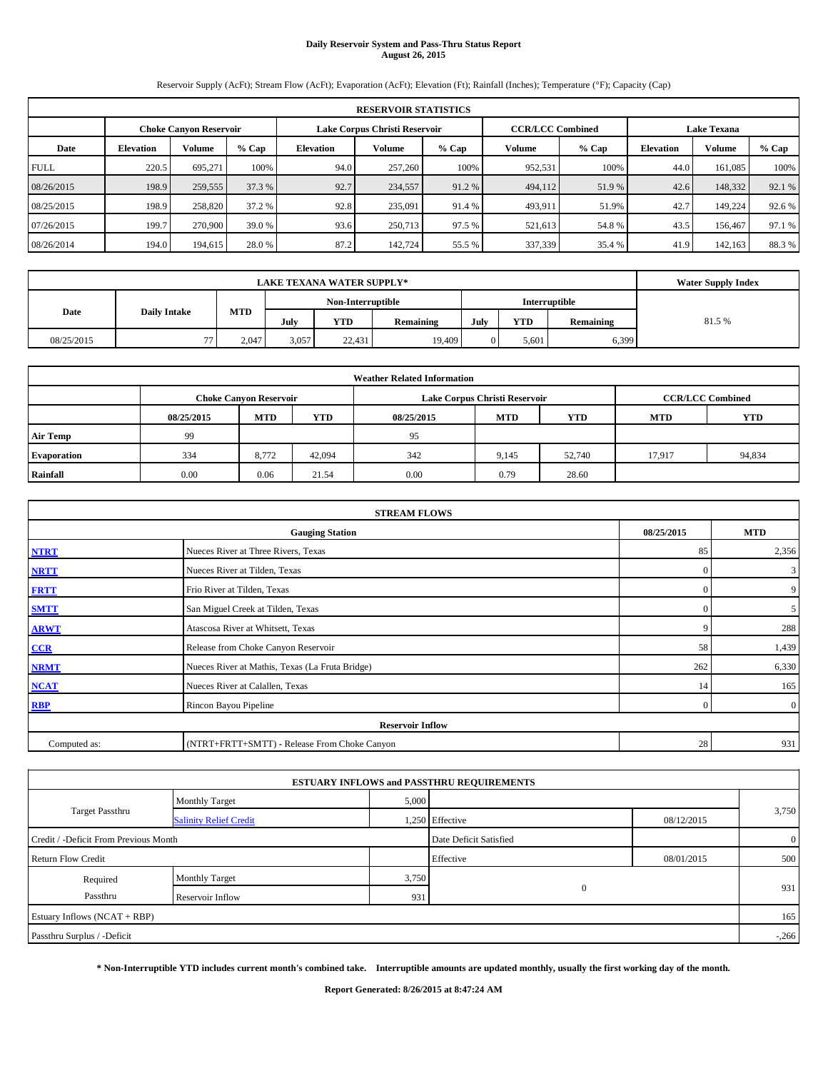# **Daily Reservoir System and Pass-Thru Status Report August 26, 2015**

Reservoir Supply (AcFt); Stream Flow (AcFt); Evaporation (AcFt); Elevation (Ft); Rainfall (Inches); Temperature (°F); Capacity (Cap)

|             | <b>RESERVOIR STATISTICS</b> |                               |        |                               |         |         |                         |         |                    |         |        |  |  |  |
|-------------|-----------------------------|-------------------------------|--------|-------------------------------|---------|---------|-------------------------|---------|--------------------|---------|--------|--|--|--|
|             |                             | <b>Choke Canvon Reservoir</b> |        | Lake Corpus Christi Reservoir |         |         | <b>CCR/LCC Combined</b> |         | <b>Lake Texana</b> |         |        |  |  |  |
| Date        | <b>Elevation</b>            | <b>Volume</b>                 | % Cap  | Elevation                     | Volume  | $%$ Cap | Volume                  | $%$ Cap | <b>Elevation</b>   | Volume  | % Cap  |  |  |  |
| <b>FULL</b> | 220.5                       | 695.271                       | 100%   | 94.0                          | 257,260 | 100%    | 952,531                 | 100%    | 44.0               | 161.085 | 100%   |  |  |  |
| 08/26/2015  | 198.9                       | 259,555                       | 37.3 % | 92.7                          | 234,557 | 91.2 %  | 494,112                 | 51.9 %  | 42.6               | 148,332 | 92.1 % |  |  |  |
| 08/25/2015  | 198.9                       | 258,820                       | 37.2 % | 92.8                          | 235,091 | 91.4 %  | 493,911                 | 51.9%   | 42.7               | 149.224 | 92.6 % |  |  |  |
| 07/26/2015  | 199.7                       | 270,900                       | 39.0 % | 93.6                          | 250,713 | 97.5 %  | 521,613                 | 54.8%   | 43.5               | 156,467 | 97.1 % |  |  |  |
| 08/26/2014  | 194.0                       | 194,615                       | 28.0 % | 87.2                          | 142,724 | 55.5 %  | 337,339                 | 35.4 %  | 41.9               | 142,163 | 88.3%  |  |  |  |

|            | <b>Water Supply Index</b> |            |                                    |            |                  |      |            |           |       |
|------------|---------------------------|------------|------------------------------------|------------|------------------|------|------------|-----------|-------|
|            |                           |            | Non-Interruptible<br>Interruptible |            |                  |      |            |           |       |
| Date       | <b>Daily Intake</b>       | <b>MTD</b> | July                               | <b>YTD</b> | <b>Remaining</b> | July | <b>YTD</b> | Remaining | 81.5% |
| 08/25/2015 | $\overline{a}$            | 2.047      | 3,057                              | 22.431     | 19,409           |      | 5.601      | 6,399     |       |

| <b>Weather Related Information</b> |            |                               |            |            |                               |                         |            |        |  |  |  |  |
|------------------------------------|------------|-------------------------------|------------|------------|-------------------------------|-------------------------|------------|--------|--|--|--|--|
|                                    |            | <b>Choke Canyon Reservoir</b> |            |            | Lake Corpus Christi Reservoir | <b>CCR/LCC Combined</b> |            |        |  |  |  |  |
|                                    | 08/25/2015 | <b>MTD</b>                    | <b>YTD</b> | 08/25/2015 | <b>MTD</b>                    | <b>MTD</b>              | <b>YTD</b> |        |  |  |  |  |
| <b>Air Temp</b>                    | 99         |                               |            | 95         |                               |                         |            |        |  |  |  |  |
| <b>Evaporation</b>                 | 334        | 8,772                         | 42,094     | 342        | 9,145                         | 52,740                  | 17,917     | 94,834 |  |  |  |  |
| Rainfall                           | 0.00       | 0.06                          | 21.54      | 0.00       | 0.79                          | 28.60                   |            |        |  |  |  |  |

|                                                    | <b>STREAM FLOWS</b>                             |          |                |  |  |  |  |  |  |
|----------------------------------------------------|-------------------------------------------------|----------|----------------|--|--|--|--|--|--|
| 08/25/2015<br><b>MTD</b><br><b>Gauging Station</b> |                                                 |          |                |  |  |  |  |  |  |
| <b>NTRT</b>                                        | Nueces River at Three Rivers, Texas             | 85       | 2,356          |  |  |  |  |  |  |
| <b>NRTT</b>                                        | Nueces River at Tilden, Texas                   | $\Omega$ | $\mathbf{3}$   |  |  |  |  |  |  |
| <b>FRTT</b>                                        | Frio River at Tilden, Texas                     | $\Omega$ | 9              |  |  |  |  |  |  |
| <b>SMTT</b>                                        | San Miguel Creek at Tilden, Texas               | $\Omega$ | 5 <sup>5</sup> |  |  |  |  |  |  |
| <b>ARWT</b>                                        | Atascosa River at Whitsett, Texas               | q        | 288            |  |  |  |  |  |  |
| CCR                                                | Release from Choke Canyon Reservoir             | 58       | 1,439          |  |  |  |  |  |  |
| <b>NRMT</b>                                        | Nueces River at Mathis, Texas (La Fruta Bridge) | 262      | 6,330          |  |  |  |  |  |  |
| <b>NCAT</b>                                        | Nueces River at Calallen, Texas                 | 14       | 165            |  |  |  |  |  |  |
| <b>RBP</b>                                         | Rincon Bayou Pipeline                           | $\Omega$ | $\overline{0}$ |  |  |  |  |  |  |
|                                                    | <b>Reservoir Inflow</b>                         |          |                |  |  |  |  |  |  |
| Computed as:                                       | (NTRT+FRTT+SMTT) - Release From Choke Canyon    | 28       | 931            |  |  |  |  |  |  |

| 5,000<br><b>Monthly Target</b><br><b>Target Passthru</b><br>1,250 Effective<br>08/12/2015<br><b>Salinity Relief Credit</b> | 3,750          |
|----------------------------------------------------------------------------------------------------------------------------|----------------|
|                                                                                                                            |                |
|                                                                                                                            |                |
| Date Deficit Satisfied<br>Credit / -Deficit From Previous Month                                                            | $\overline{0}$ |
| Effective<br><b>Return Flow Credit</b><br>08/01/2015                                                                       | 500            |
| 3,750<br><b>Monthly Target</b><br>Required                                                                                 |                |
| $\mathbf{0}$<br>Passthru<br>Reservoir Inflow<br>931                                                                        | 931            |
| Estuary Inflows (NCAT + RBP)                                                                                               | 165            |
| Passthru Surplus / -Deficit                                                                                                | $-.266$        |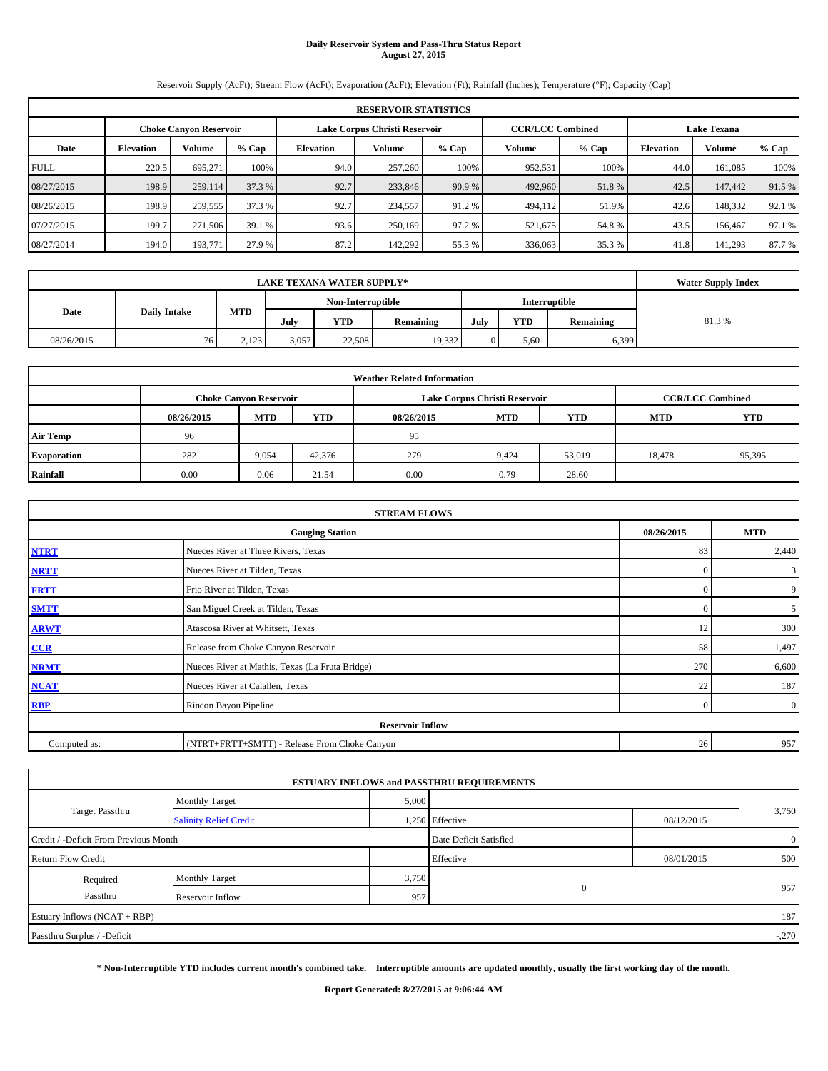# **Daily Reservoir System and Pass-Thru Status Report August 27, 2015**

Reservoir Supply (AcFt); Stream Flow (AcFt); Evaporation (AcFt); Elevation (Ft); Rainfall (Inches); Temperature (°F); Capacity (Cap)

|             | <b>RESERVOIR STATISTICS</b> |                               |        |                               |         |         |                         |         |                    |         |        |  |  |  |
|-------------|-----------------------------|-------------------------------|--------|-------------------------------|---------|---------|-------------------------|---------|--------------------|---------|--------|--|--|--|
|             |                             | <b>Choke Canvon Reservoir</b> |        | Lake Corpus Christi Reservoir |         |         | <b>CCR/LCC Combined</b> |         | <b>Lake Texana</b> |         |        |  |  |  |
| Date        | <b>Elevation</b>            | <b>Volume</b>                 | % Cap  | Elevation                     | Volume  | $%$ Cap | Volume                  | $%$ Cap | <b>Elevation</b>   | Volume  | % Cap  |  |  |  |
| <b>FULL</b> | 220.5                       | 695.271                       | 100%   | 94.0                          | 257,260 | 100%    | 952,531                 | 100%    | 44.0               | 161.085 | 100%   |  |  |  |
| 08/27/2015  | 198.9                       | 259,114                       | 37.3 % | 92.7                          | 233,846 | 90.9 %  | 492,960                 | 51.8%   | 42.5               | 147,442 | 91.5 % |  |  |  |
| 08/26/2015  | 198.9                       | 259,555                       | 37.3 % | 92.7                          | 234,557 | 91.2 %  | 494,112                 | 51.9%   | 42.6               | 148,332 | 92.1 % |  |  |  |
| 07/27/2015  | 199.7                       | 271,506                       | 39.1 % | 93.6                          | 250,169 | 97.2 %  | 521,675                 | 54.8%   | 43.5               | 156,467 | 97.1 % |  |  |  |
| 08/27/2014  | 194.0                       | 193,771                       | 27.9 % | 87.2                          | 142,292 | 55.3 %  | 336,063                 | 35.3 %  | 41.8               | 141,293 | 87.7%  |  |  |  |

|            | <b>Water Supply Index</b> |            |                                           |        |                  |      |            |           |       |
|------------|---------------------------|------------|-------------------------------------------|--------|------------------|------|------------|-----------|-------|
|            |                           |            | <b>Interruptible</b><br>Non-Interruptible |        |                  |      |            |           |       |
| Date       | <b>Daily Intake</b>       | <b>MTD</b> | July                                      | YTD    | <b>Remaining</b> | July | <b>YTD</b> | Remaining | 81.3% |
| 08/26/2015 | 76                        | 2.123      | 3,057                                     | 22,508 | 19,332           |      | 5.601      | 6,399     |       |

| <b>Weather Related Information</b> |            |                               |            |            |                               |                         |            |            |  |  |
|------------------------------------|------------|-------------------------------|------------|------------|-------------------------------|-------------------------|------------|------------|--|--|
|                                    |            | <b>Choke Canyon Reservoir</b> |            |            | Lake Corpus Christi Reservoir | <b>CCR/LCC Combined</b> |            |            |  |  |
|                                    | 08/26/2015 | <b>MTD</b>                    | <b>YTD</b> | 08/26/2015 | <b>MTD</b>                    | <b>YTD</b>              | <b>MTD</b> | <b>YTD</b> |  |  |
| <b>Air Temp</b>                    | 96         |                               |            | 95         |                               |                         |            |            |  |  |
| <b>Evaporation</b>                 | 282        | 9,054                         | 42,376     | 279        | 9,424                         | 53,019                  | 18,478     | 95,395     |  |  |
| Rainfall                           | 0.00       | 0.06                          | 21.54      | 0.00       | 0.79                          | 28.60                   |            |            |  |  |

| <b>STREAM FLOWS</b> |                                                 |            |                |  |  |  |  |  |  |
|---------------------|-------------------------------------------------|------------|----------------|--|--|--|--|--|--|
|                     | 08/26/2015                                      | <b>MTD</b> |                |  |  |  |  |  |  |
| <b>NTRT</b>         | Nueces River at Three Rivers, Texas             | 83         | 2,440          |  |  |  |  |  |  |
| <b>NRTT</b>         | Nueces River at Tilden, Texas                   | $\Omega$   | $\mathbf{3}$   |  |  |  |  |  |  |
| <b>FRTT</b>         | Frio River at Tilden, Texas                     | $\Omega$   | 9              |  |  |  |  |  |  |
| <b>SMTT</b>         | San Miguel Creek at Tilden, Texas               | $\Omega$   | 5 <sup>5</sup> |  |  |  |  |  |  |
| <b>ARWT</b>         | Atascosa River at Whitsett, Texas               | 12         | 300            |  |  |  |  |  |  |
| CCR                 | Release from Choke Canyon Reservoir             | 58         | 1,497          |  |  |  |  |  |  |
| <b>NRMT</b>         | Nueces River at Mathis, Texas (La Fruta Bridge) | 270        | 6,600          |  |  |  |  |  |  |
| <b>NCAT</b>         | Nueces River at Calallen, Texas                 | 22         | 187            |  |  |  |  |  |  |
| <b>RBP</b>          | Rincon Bayou Pipeline                           | $\Omega$   | $\overline{0}$ |  |  |  |  |  |  |
|                     | <b>Reservoir Inflow</b>                         |            |                |  |  |  |  |  |  |
| Computed as:        | (NTRT+FRTT+SMTT) - Release From Choke Canyon    | 26         | 957            |  |  |  |  |  |  |

|                                       |                               |       | <b>ESTUARY INFLOWS and PASSTHRU REQUIREMENTS</b> |            |                |  |
|---------------------------------------|-------------------------------|-------|--------------------------------------------------|------------|----------------|--|
|                                       | <b>Monthly Target</b>         | 5,000 |                                                  |            |                |  |
| <b>Target Passthru</b>                | <b>Salinity Relief Credit</b> |       | 1,250 Effective                                  | 08/12/2015 | 3,750          |  |
| Credit / -Deficit From Previous Month |                               |       | Date Deficit Satisfied                           |            | $\overline{0}$ |  |
| <b>Return Flow Credit</b>             |                               |       | Effective                                        | 08/01/2015 | 500            |  |
| Required                              | <b>Monthly Target</b>         | 3,750 |                                                  |            |                |  |
| Passthru                              | Reservoir Inflow              | 957   | $\mathbf{0}$                                     |            | 957            |  |
| Estuary Inflows (NCAT + RBP)          |                               |       |                                                  |            | 187            |  |
| Passthru Surplus / -Deficit           |                               |       |                                                  |            | $-.270$        |  |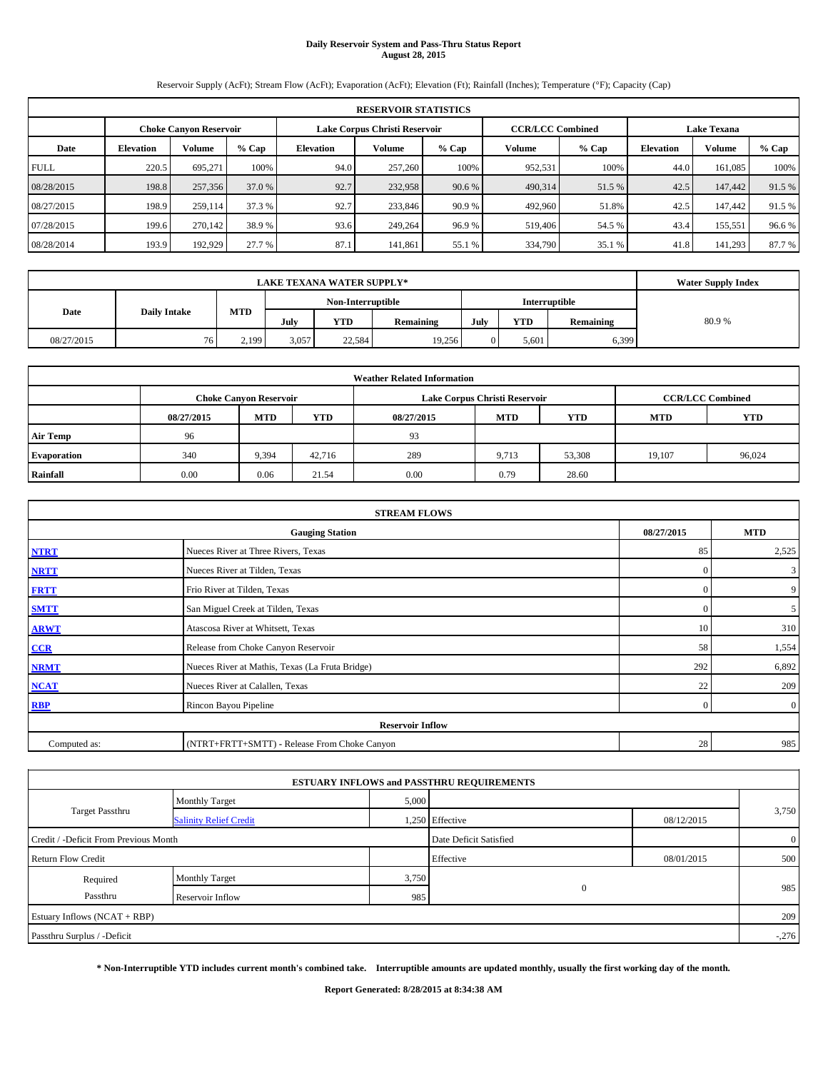# **Daily Reservoir System and Pass-Thru Status Report August 28, 2015**

Reservoir Supply (AcFt); Stream Flow (AcFt); Evaporation (AcFt); Elevation (Ft); Rainfall (Inches); Temperature (°F); Capacity (Cap)

|             | <b>RESERVOIR STATISTICS</b> |                               |        |                  |                               |         |                         |         |                    |         |         |  |
|-------------|-----------------------------|-------------------------------|--------|------------------|-------------------------------|---------|-------------------------|---------|--------------------|---------|---------|--|
|             |                             | <b>Choke Canvon Reservoir</b> |        |                  | Lake Corpus Christi Reservoir |         | <b>CCR/LCC Combined</b> |         | <b>Lake Texana</b> |         |         |  |
| Date        | <b>Elevation</b>            | Volume                        | % Cap  | <b>Elevation</b> | Volume                        | $%$ Cap | Volume                  | $%$ Cap | <b>Elevation</b>   | Volume  | $%$ Cap |  |
| <b>FULL</b> | 220.5                       | 695.271                       | 100%   | 94.0             | 257,260                       | 100%    | 952.531                 | 100%    | 44.0               | 161.085 | 100%    |  |
| 08/28/2015  | 198.8                       | 257,356                       | 37.0 % | 92.7             | 232,958                       | 90.6 %  | 490,314                 | 51.5 %  | 42.5               | 147,442 | 91.5 %  |  |
| 08/27/2015  | 198.9                       | 259,114                       | 37.3 % | 92.7             | 233,846                       | 90.9 %  | 492,960                 | 51.8%   | 42.5               | 147,442 | 91.5 %  |  |
| 07/28/2015  | 199.6                       | 270,142                       | 38.9%  | 93.6             | 249,264                       | 96.9%   | 519,406                 | 54.5 %  | 43.4               | 155,551 | 96.6%   |  |
| 08/28/2014  | 193.9                       | 192.929                       | 27.7 % | 87.1             | 141,861                       | 55.1 %  | 334,790                 | 35.1 %  | 41.8               | 141.293 | 87.7 %  |  |

|            |                     | <b>Water Supply Index</b> |                   |        |                  |      |            |                      |       |
|------------|---------------------|---------------------------|-------------------|--------|------------------|------|------------|----------------------|-------|
|            |                     |                           | Non-Interruptible |        |                  |      |            | <b>Interruptible</b> |       |
| Date       | <b>Daily Intake</b> | <b>MTD</b>                | July              | YTD    | <b>Remaining</b> | July | <b>YTD</b> | Remaining            | 80.9% |
| 08/27/2015 | 76                  | 2,199                     | 3,057             | 22.584 | 19.256           |      | 5.601      | 6,399                |       |

| <b>Weather Related Information</b> |            |                               |            |            |                               |                         |            |            |  |  |
|------------------------------------|------------|-------------------------------|------------|------------|-------------------------------|-------------------------|------------|------------|--|--|
|                                    |            | <b>Choke Canyon Reservoir</b> |            |            | Lake Corpus Christi Reservoir | <b>CCR/LCC Combined</b> |            |            |  |  |
|                                    | 08/27/2015 | <b>MTD</b>                    | <b>YTD</b> | 08/27/2015 | <b>MTD</b>                    | <b>YTD</b>              | <b>MTD</b> | <b>YTD</b> |  |  |
| <b>Air Temp</b>                    | 96         |                               |            | 93         |                               |                         |            |            |  |  |
| <b>Evaporation</b>                 | 340        | 9,394                         | 42,716     | 289        | 9,713                         | 53,308                  | 19,107     | 96,024     |  |  |
| Rainfall                           | 0.00       | 0.06                          | 21.54      | 0.00       | 0.79                          | 28.60                   |            |            |  |  |

| <b>STREAM FLOWS</b> |                                                 |            |                |  |  |  |  |  |  |
|---------------------|-------------------------------------------------|------------|----------------|--|--|--|--|--|--|
|                     | 08/27/2015                                      | <b>MTD</b> |                |  |  |  |  |  |  |
| <b>NTRT</b>         | Nueces River at Three Rivers, Texas             | 85         | 2,525          |  |  |  |  |  |  |
| <b>NRTT</b>         | Nueces River at Tilden, Texas                   | $\Omega$   | $\mathbf{3}$   |  |  |  |  |  |  |
| <b>FRTT</b>         | Frio River at Tilden, Texas                     | $\Omega$   | 9              |  |  |  |  |  |  |
| <b>SMTT</b>         | San Miguel Creek at Tilden, Texas               | $\Omega$   | 5 <sup>5</sup> |  |  |  |  |  |  |
| <b>ARWT</b>         | Atascosa River at Whitsett, Texas               | 10         | 310            |  |  |  |  |  |  |
| CCR                 | Release from Choke Canyon Reservoir             | 58         | 1,554          |  |  |  |  |  |  |
| <b>NRMT</b>         | Nueces River at Mathis, Texas (La Fruta Bridge) | 292        | 6,892          |  |  |  |  |  |  |
| <b>NCAT</b>         | Nueces River at Calallen, Texas                 | 22         | 209            |  |  |  |  |  |  |
| <b>RBP</b>          | Rincon Bayou Pipeline                           | $\Omega$   | $\overline{0}$ |  |  |  |  |  |  |
|                     | <b>Reservoir Inflow</b>                         |            |                |  |  |  |  |  |  |
| Computed as:        | (NTRT+FRTT+SMTT) - Release From Choke Canyon    | 28         | 985            |  |  |  |  |  |  |

| 5,000<br><b>Monthly Target</b>                                             |                        |            |                |  |
|----------------------------------------------------------------------------|------------------------|------------|----------------|--|
| <b>Target Passthru</b><br>1,250 Effective<br><b>Salinity Relief Credit</b> |                        | 08/12/2015 | 3,750          |  |
| Credit / -Deficit From Previous Month                                      | Date Deficit Satisfied |            | $\overline{0}$ |  |
| <b>Return Flow Credit</b>                                                  | Effective              | 08/01/2015 | 500            |  |
| 3,750<br><b>Monthly Target</b><br>Required                                 |                        |            |                |  |
| Passthru<br>985<br>Reservoir Inflow                                        | $\mathbf{0}$           |            | 985            |  |
| Estuary Inflows (NCAT + RBP)                                               |                        |            | 209            |  |
| Passthru Surplus / -Deficit                                                |                        |            | $-.276$        |  |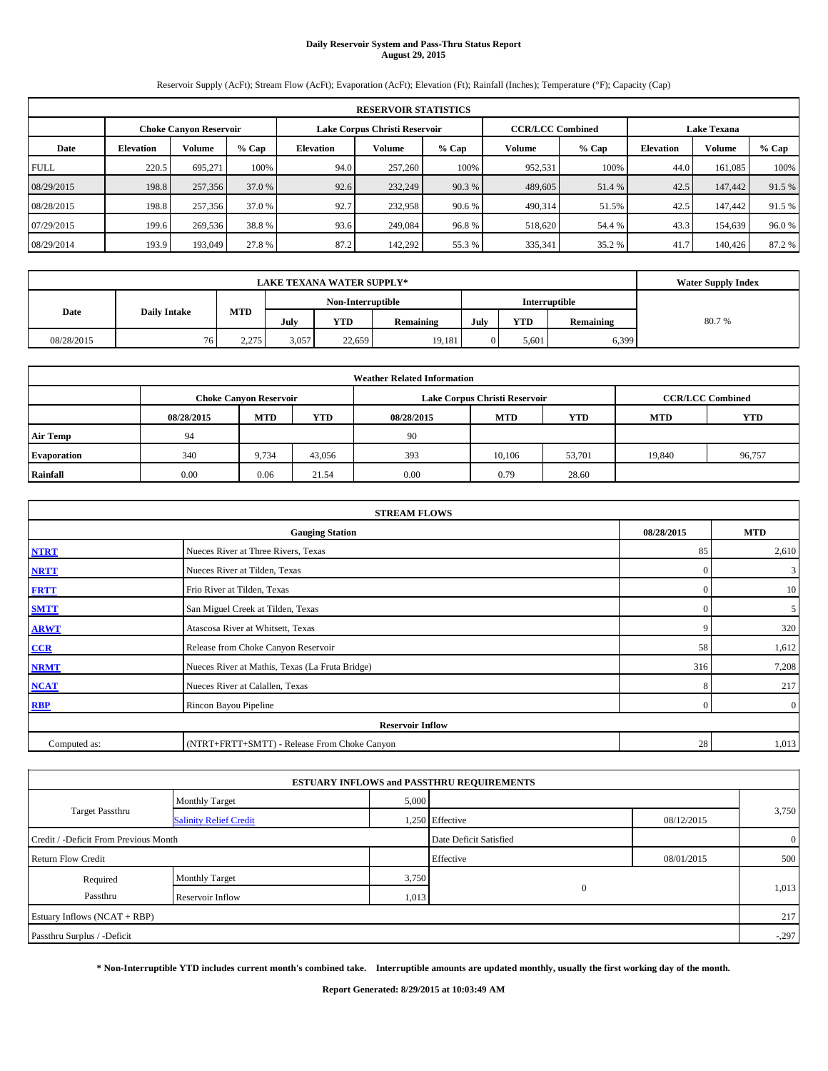# **Daily Reservoir System and Pass-Thru Status Report August 29, 2015**

Reservoir Supply (AcFt); Stream Flow (AcFt); Evaporation (AcFt); Elevation (Ft); Rainfall (Inches); Temperature (°F); Capacity (Cap)

|             | <b>RESERVOIR STATISTICS</b>   |               |        |                               |         |         |                         |        |                    |         |        |  |
|-------------|-------------------------------|---------------|--------|-------------------------------|---------|---------|-------------------------|--------|--------------------|---------|--------|--|
|             | <b>Choke Canvon Reservoir</b> |               |        | Lake Corpus Christi Reservoir |         |         | <b>CCR/LCC Combined</b> |        | <b>Lake Texana</b> |         |        |  |
| Date        | <b>Elevation</b>              | <b>Volume</b> | % Cap  | Elevation                     | Volume  | $%$ Cap | Volume                  | % Cap  | <b>Elevation</b>   | Volume  | % Cap  |  |
| <b>FULL</b> | 220.5                         | 695.271       | 100%   | 94.0                          | 257,260 | 100%    | 952,531                 | 100%   | 44.0               | 161.085 | 100%   |  |
| 08/29/2015  | 198.8                         | 257,356       | 37.0 % | 92.6                          | 232,249 | 90.3 %  | 489,605                 | 51.4 % | 42.5               | 147,442 | 91.5 % |  |
| 08/28/2015  | 198.8                         | 257,356       | 37.0 % | 92.7                          | 232,958 | 90.6 %  | 490,314                 | 51.5%  | 42.5               | 147,442 | 91.5 % |  |
| 07/29/2015  | 199.6                         | 269,536       | 38.8%  | 93.6                          | 249,084 | 96.8%   | 518,620                 | 54.4 % | 43.3               | 154.639 | 96.0%  |  |
| 08/29/2014  | 193.9                         | 193,049       | 27.8 % | 87.2                          | 142,292 | 55.3 %  | 335,341                 | 35.2 % | 41.7               | 140,426 | 87.2 % |  |

|            |                     | <b>Water Supply Index</b> |                   |        |                  |      |            |                      |       |
|------------|---------------------|---------------------------|-------------------|--------|------------------|------|------------|----------------------|-------|
|            |                     |                           | Non-Interruptible |        |                  |      |            | <b>Interruptible</b> |       |
| Date       | <b>Daily Intake</b> | <b>MTD</b>                | July              | YTD    | <b>Remaining</b> | July | <b>YTD</b> | Remaining            | 80.7% |
| 08/28/2015 | 76.                 | 2,275                     | 3,057             | 22,659 | 19.181           |      | 5.601      | 6,399                |       |

| <b>Weather Related Information</b> |            |                               |            |            |                               |                         |            |            |  |  |
|------------------------------------|------------|-------------------------------|------------|------------|-------------------------------|-------------------------|------------|------------|--|--|
|                                    |            | <b>Choke Canyon Reservoir</b> |            |            | Lake Corpus Christi Reservoir | <b>CCR/LCC Combined</b> |            |            |  |  |
|                                    | 08/28/2015 | <b>MTD</b>                    | <b>YTD</b> | 08/28/2015 | <b>MTD</b>                    | <b>YTD</b>              | <b>MTD</b> | <b>YTD</b> |  |  |
| <b>Air Temp</b>                    | 94         |                               |            | 90         |                               |                         |            |            |  |  |
| <b>Evaporation</b>                 | 340        | 9,734                         | 43,056     | 393        | 10.106                        | 53,701                  | 19,840     | 96,757     |  |  |
| Rainfall                           | 0.00       | 0.06                          | 21.54      | 0.00       | 0.79                          | 28.60                   |            |            |  |  |

| <b>STREAM FLOWS</b> |                                                 |                |                |  |  |  |  |  |  |
|---------------------|-------------------------------------------------|----------------|----------------|--|--|--|--|--|--|
|                     | 08/28/2015                                      | <b>MTD</b>     |                |  |  |  |  |  |  |
| <b>NTRT</b>         | Nueces River at Three Rivers, Texas             |                |                |  |  |  |  |  |  |
| <b>NRTT</b>         | Nueces River at Tilden, Texas                   | $\mathbf{0}$   | 3              |  |  |  |  |  |  |
| <b>FRTT</b>         | Frio River at Tilden, Texas                     | $\mathbf{0}$   | 10             |  |  |  |  |  |  |
| <b>SMTT</b>         | San Miguel Creek at Tilden, Texas               | $\Omega$       | 5              |  |  |  |  |  |  |
| <b>ARWT</b>         | Atascosa River at Whitsett, Texas               | 9              | 320            |  |  |  |  |  |  |
| CCR                 | Release from Choke Canyon Reservoir             | 58             | 1,612          |  |  |  |  |  |  |
| <b>NRMT</b>         | Nueces River at Mathis, Texas (La Fruta Bridge) | 316            | 7,208          |  |  |  |  |  |  |
| <b>NCAT</b>         | Nueces River at Calallen, Texas                 | 8              | 217            |  |  |  |  |  |  |
| <b>RBP</b>          | Rincon Bayou Pipeline                           | $\overline{0}$ | $\overline{0}$ |  |  |  |  |  |  |
|                     | <b>Reservoir Inflow</b>                         |                |                |  |  |  |  |  |  |
| Computed as:        | (NTRT+FRTT+SMTT) - Release From Choke Canyon    | 28             | 1,013          |  |  |  |  |  |  |

|                                       |                               |       | <b>ESTUARY INFLOWS and PASSTHRU REQUIREMENTS</b> |            |                |
|---------------------------------------|-------------------------------|-------|--------------------------------------------------|------------|----------------|
|                                       | <b>Monthly Target</b>         | 5,000 |                                                  |            |                |
| <b>Target Passthru</b>                | <b>Salinity Relief Credit</b> |       | 1,250 Effective                                  | 08/12/2015 | 3,750          |
| Credit / -Deficit From Previous Month |                               |       | Date Deficit Satisfied                           |            | $\overline{0}$ |
| <b>Return Flow Credit</b>             |                               |       | Effective                                        | 08/01/2015 | 500            |
| Required                              | <b>Monthly Target</b>         | 3,750 |                                                  |            |                |
| Passthru                              | Reservoir Inflow              | 1,013 | $\mathbf{0}$                                     |            | 1,013          |
| Estuary Inflows (NCAT + RBP)          |                               |       |                                                  |            | 217            |
| Passthru Surplus / -Deficit           |                               |       |                                                  |            | $-.297$        |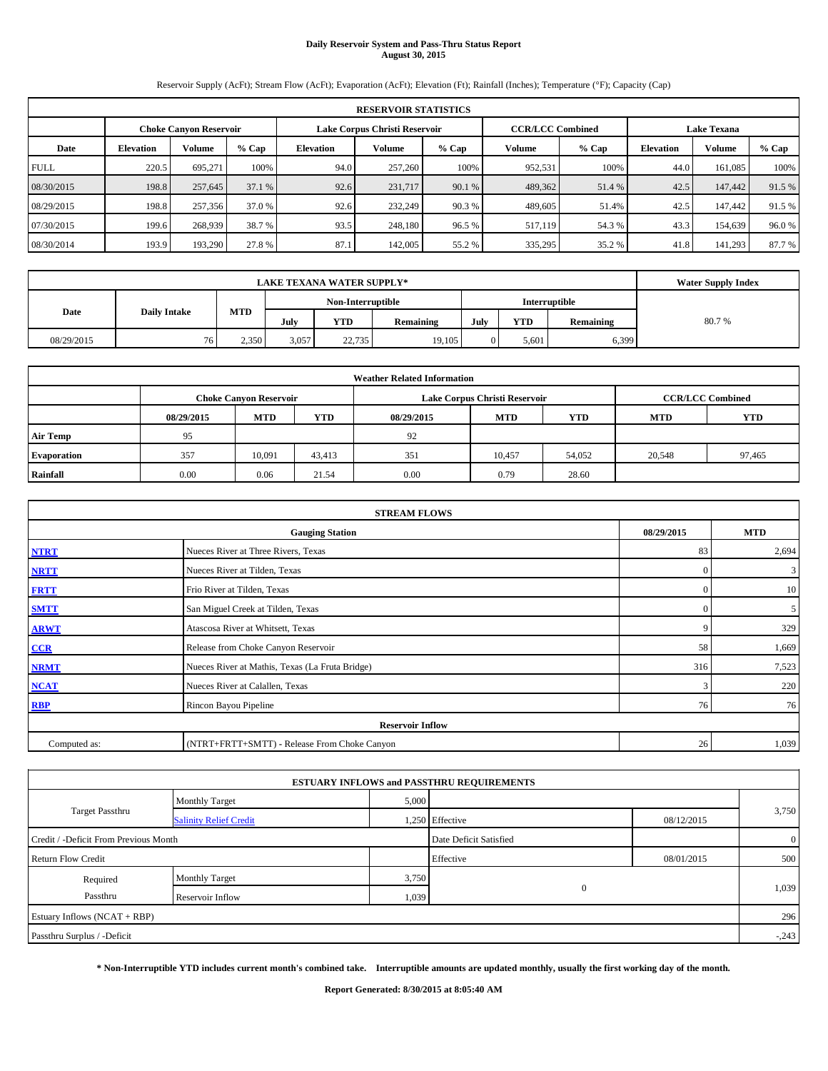# **Daily Reservoir System and Pass-Thru Status Report August 30, 2015**

Reservoir Supply (AcFt); Stream Flow (AcFt); Evaporation (AcFt); Elevation (Ft); Rainfall (Inches); Temperature (°F); Capacity (Cap)

|             | <b>RESERVOIR STATISTICS</b> |                               |        |                               |         |         |                         |         |                    |         |        |  |
|-------------|-----------------------------|-------------------------------|--------|-------------------------------|---------|---------|-------------------------|---------|--------------------|---------|--------|--|
|             |                             | <b>Choke Canvon Reservoir</b> |        | Lake Corpus Christi Reservoir |         |         | <b>CCR/LCC Combined</b> |         | <b>Lake Texana</b> |         |        |  |
| Date        | <b>Elevation</b>            | <b>Volume</b>                 | % Cap  | Elevation                     | Volume  | $%$ Cap | Volume                  | $%$ Cap | <b>Elevation</b>   | Volume  | % Cap  |  |
| <b>FULL</b> | 220.5                       | 695.271                       | 100%   | 94.0                          | 257,260 | 100%    | 952,531                 | 100%    | 44.0               | 161.085 | 100%   |  |
| 08/30/2015  | 198.8                       | 257,645                       | 37.1 % | 92.6                          | 231,717 | 90.1 %  | 489,362                 | 51.4 %  | 42.5               | 147,442 | 91.5 % |  |
| 08/29/2015  | 198.8                       | 257,356                       | 37.0 % | 92.6                          | 232,249 | 90.3 %  | 489,605                 | 51.4%   | 42.5               | 147,442 | 91.5 % |  |
| 07/30/2015  | 199.6                       | 268,939                       | 38.7 % | 93.5                          | 248,180 | 96.5%   | 517,119                 | 54.3 %  | 43.3               | 154.639 | 96.0%  |  |
| 08/30/2014  | 193.9                       | 193,290                       | 27.8 % | 87.1                          | 142,005 | 55.2 %  | 335,295                 | 35.2 %  | 41.8               | 141,293 | 87.7%  |  |

| <b>LAKE TEXANA WATER SUPPLY*</b> |                     |            |                                    |            |                  |      |            |           | <b>Water Supply Index</b> |
|----------------------------------|---------------------|------------|------------------------------------|------------|------------------|------|------------|-----------|---------------------------|
|                                  |                     |            | Non-Interruptible<br>Interruptible |            |                  |      |            |           |                           |
| Date                             | <b>Daily Intake</b> | <b>MTD</b> | July                               | <b>YTD</b> | <b>Remaining</b> | July | <b>YTD</b> | Remaining | 80.7%                     |
| 08/29/2015                       | 76.                 | 2,350      | 3,057                              | 22,735     | 19,105           |      | 5.601      | 6,399     |                           |

| <b>Weather Related Information</b> |                               |            |            |            |                               |                         |            |            |  |  |
|------------------------------------|-------------------------------|------------|------------|------------|-------------------------------|-------------------------|------------|------------|--|--|
|                                    | <b>Choke Canvon Reservoir</b> |            |            |            | Lake Corpus Christi Reservoir | <b>CCR/LCC Combined</b> |            |            |  |  |
|                                    | 08/29/2015                    | <b>MTD</b> | <b>YTD</b> | 08/29/2015 | <b>MTD</b>                    | <b>YTD</b>              | <b>MTD</b> | <b>YTD</b> |  |  |
| <b>Air Temp</b>                    | 95                            |            |            | 92         |                               |                         |            |            |  |  |
| <b>Evaporation</b>                 | 357                           | 10.091     | 43.413     | 351        | 10,457                        | 54,052                  | 20,548     | 97,465     |  |  |
| Rainfall                           | 0.00                          | 0.06       | 21.54      | 0.00       | 0.79                          | 28.60                   |            |            |  |  |

| <b>STREAM FLOWS</b> |                                                 |              |            |  |  |  |  |  |  |
|---------------------|-------------------------------------------------|--------------|------------|--|--|--|--|--|--|
|                     | <b>Gauging Station</b>                          | 08/29/2015   | <b>MTD</b> |  |  |  |  |  |  |
| <b>NTRT</b>         | Nueces River at Three Rivers, Texas             | 83           | 2,694      |  |  |  |  |  |  |
| <b>NRTT</b>         | Nueces River at Tilden, Texas                   | $\mathbf{0}$ | 3          |  |  |  |  |  |  |
| <b>FRTT</b>         | Frio River at Tilden, Texas                     | $\mathbf{0}$ | 10         |  |  |  |  |  |  |
| <b>SMTT</b>         | San Miguel Creek at Tilden, Texas               | $\Omega$     | 5          |  |  |  |  |  |  |
| <b>ARWT</b>         | Atascosa River at Whitsett, Texas               | 9            | 329        |  |  |  |  |  |  |
| CCR                 | Release from Choke Canyon Reservoir             | 58           | 1,669      |  |  |  |  |  |  |
| <b>NRMT</b>         | Nueces River at Mathis, Texas (La Fruta Bridge) | 316          | 7,523      |  |  |  |  |  |  |
| <b>NCAT</b>         | Nueces River at Calallen, Texas                 | 3            | 220        |  |  |  |  |  |  |
| <b>RBP</b>          | Rincon Bayou Pipeline                           | 76           | 76         |  |  |  |  |  |  |
|                     | <b>Reservoir Inflow</b>                         |              |            |  |  |  |  |  |  |
| Computed as:        | (NTRT+FRTT+SMTT) - Release From Choke Canyon    | 26           | 1,039      |  |  |  |  |  |  |

|                                       |                               |       | <b>ESTUARY INFLOWS and PASSTHRU REQUIREMENTS</b> |            |                |
|---------------------------------------|-------------------------------|-------|--------------------------------------------------|------------|----------------|
|                                       | <b>Monthly Target</b>         | 5,000 |                                                  |            |                |
| <b>Target Passthru</b>                | <b>Salinity Relief Credit</b> |       | 1,250 Effective                                  | 08/12/2015 | 3,750          |
| Credit / -Deficit From Previous Month |                               |       | Date Deficit Satisfied                           |            | $\overline{0}$ |
| <b>Return Flow Credit</b>             |                               |       | Effective                                        | 08/01/2015 | 500            |
| Required                              | <b>Monthly Target</b>         | 3,750 |                                                  |            |                |
| Passthru                              | Reservoir Inflow              | 1,039 | $\mathbf{0}$                                     |            | 1,039          |
| Estuary Inflows (NCAT + RBP)          |                               |       |                                                  |            | 296            |
| Passthru Surplus / -Deficit           |                               |       |                                                  |            | $-.243$        |